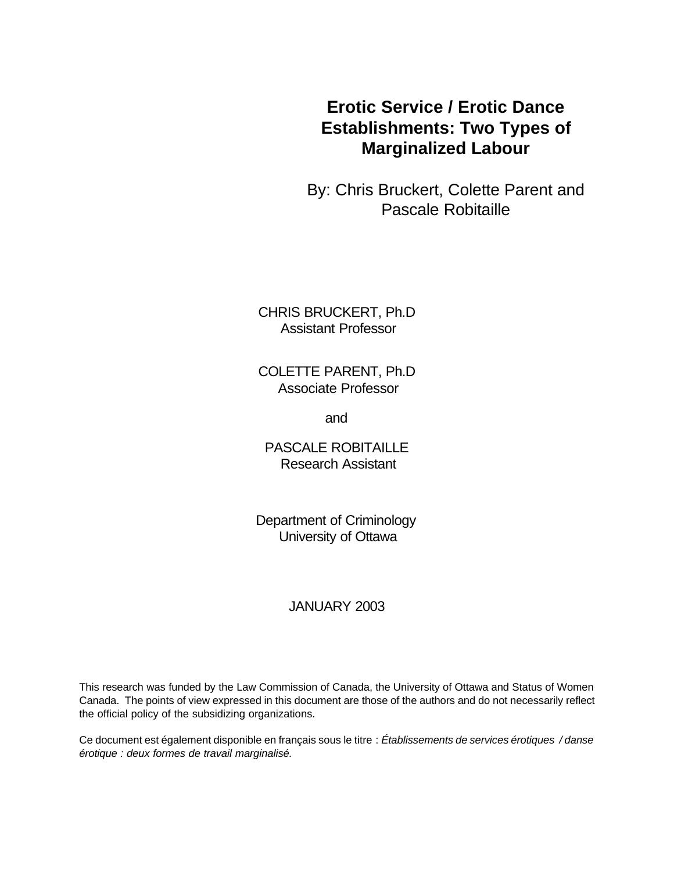# **Erotic Service / Erotic Dance Establishments: Two Types of Marginalized Labour**

By: Chris Bruckert, Colette Parent and Pascale Robitaille

CHRIS BRUCKERT, Ph.D Assistant Professor

COLETTE PARENT, Ph.D Associate Professor

and

PASCALE ROBITAILLE Research Assistant

Department of Criminology University of Ottawa

### JANUARY 2003

This research was funded by the Law Commission of Canada, the University of Ottawa and Status of Women Canada. The points of view expressed in this document are those of the authors and do not necessarily reflect the official policy of the subsidizing organizations.

Ce document est également disponible en français sous le titre : *Établissements de services érotiques / danse érotique : deux formes de travail marginalisé.*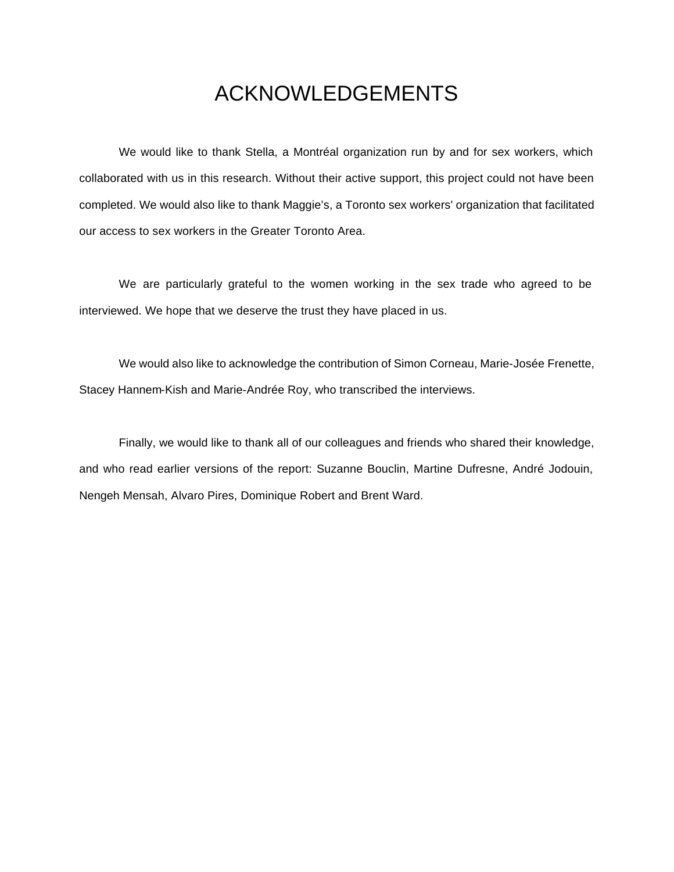# ACKNOWLEDGEMENTS

We would like to thank Stella, a Montréal organization run by and for sex workers, which collaborated with us in this research. Without their active support, this project could not have been completed. We would also like to thank Maggie's, a Toronto sex workers' organization that facilitated our access to sex workers in the Greater Toronto Area.

We are particularly grateful to the women working in the sex trade who agreed to be interviewed. We hope that we deserve the trust they have placed in us.

We would also like to acknowledge the contribution of Simon Corneau, Marie-Josée Frenette, Stacey Hannem-Kish and Marie-Andrée Roy, who transcribed the interviews.

Finally, we would like to thank all of our colleagues and friends who shared their knowledge, and who read earlier versions of the report: Suzanne Bouclin, Martine Dufresne, André Jodouin, Nengeh Mensah, Alvaro Pires, Dominique Robert and Brent Ward.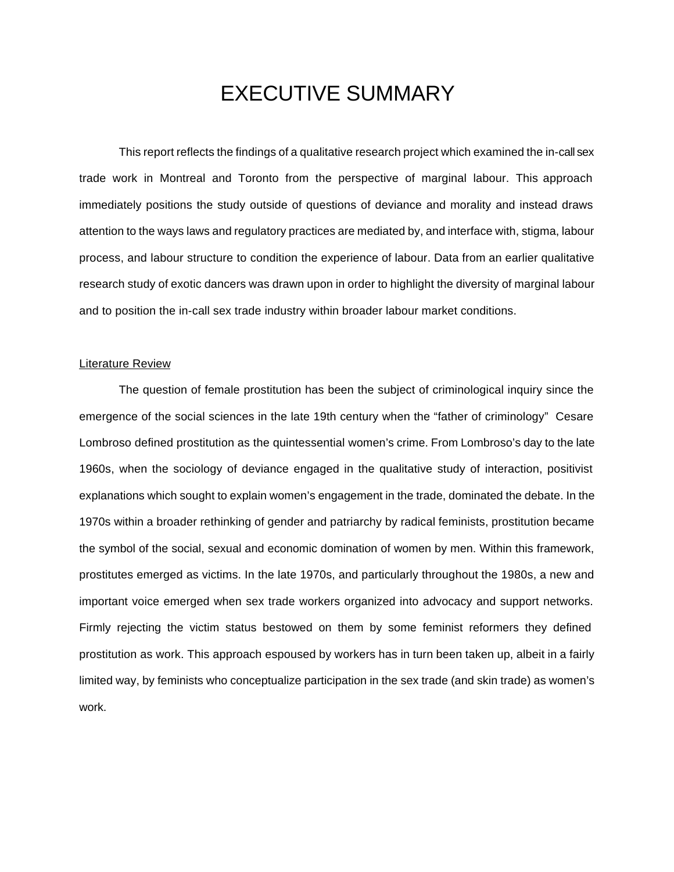# EXECUTIVE SUMMARY

This report reflects the findings of a qualitative research project which examined the in-call sex trade work in Montreal and Toronto from the perspective of marginal labour. This approach immediately positions the study outside of questions of deviance and morality and instead draws attention to the ways laws and regulatory practices are mediated by, and interface with, stigma, labour process, and labour structure to condition the experience of labour. Data from an earlier qualitative research study of exotic dancers was drawn upon in order to highlight the diversity of marginal labour and to position the in-call sex trade industry within broader labour market conditions.

#### Literature Review

The question of female prostitution has been the subject of criminological inquiry since the emergence of the social sciences in the late 19th century when the "father of criminology" Cesare Lombroso defined prostitution as the quintessential women's crime. From Lombroso's day to the late 1960s, when the sociology of deviance engaged in the qualitative study of interaction, positivist explanations which sought to explain women's engagement in the trade, dominated the debate. In the 1970s within a broader rethinking of gender and patriarchy by radical feminists, prostitution became the symbol of the social, sexual and economic domination of women by men. Within this framework, prostitutes emerged as victims. In the late 1970s, and particularly throughout the 1980s, a new and important voice emerged when sex trade workers organized into advocacy and support networks. Firmly rejecting the victim status bestowed on them by some feminist reformers they defined prostitution as work. This approach espoused by workers has in turn been taken up, albeit in a fairly limited way, by feminists who conceptualize participation in the sex trade (and skin trade) as women's work.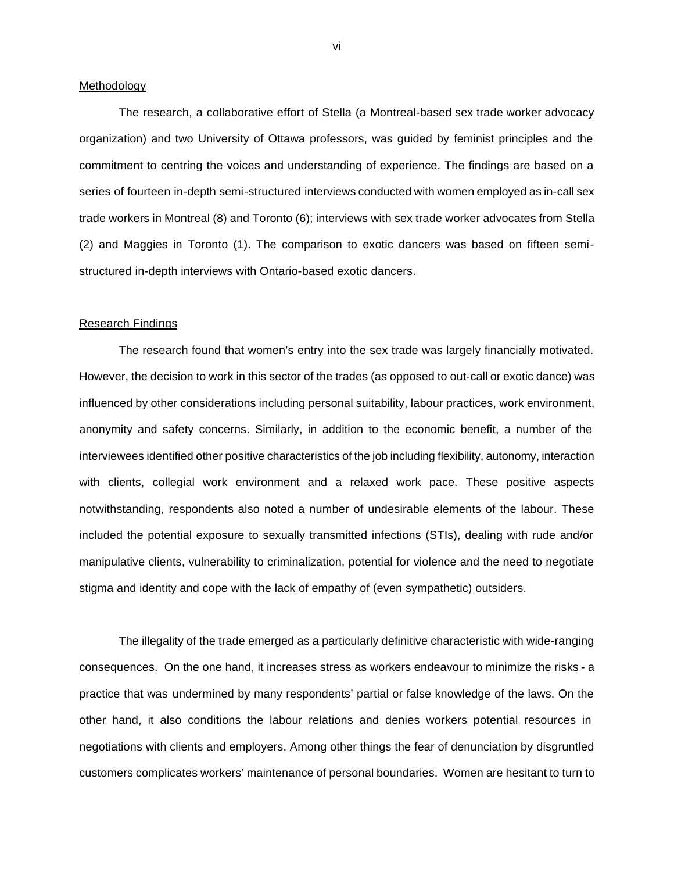#### Methodology

The research, a collaborative effort of Stella (a Montreal-based sex trade worker advocacy organization) and two University of Ottawa professors, was guided by feminist principles and the commitment to centring the voices and understanding of experience. The findings are based on a series of fourteen in-depth semi-structured interviews conducted with women employed as in-call sex trade workers in Montreal (8) and Toronto (6); interviews with sex trade worker advocates from Stella (2) and Maggies in Toronto (1). The comparison to exotic dancers was based on fifteen semistructured in-depth interviews with Ontario-based exotic dancers.

#### Research Findings

The research found that women's entry into the sex trade was largely financially motivated. However, the decision to work in this sector of the trades (as opposed to out-call or exotic dance) was influenced by other considerations including personal suitability, labour practices, work environment, anonymity and safety concerns. Similarly, in addition to the economic benefit, a number of the interviewees identified other positive characteristics of the job including flexibility, autonomy, interaction with clients, collegial work environment and a relaxed work pace. These positive aspects notwithstanding, respondents also noted a number of undesirable elements of the labour. These included the potential exposure to sexually transmitted infections (STIs), dealing with rude and/or manipulative clients, vulnerability to criminalization, potential for violence and the need to negotiate stigma and identity and cope with the lack of empathy of (even sympathetic) outsiders.

The illegality of the trade emerged as a particularly definitive characteristic with wide-ranging consequences. On the one hand, it increases stress as workers endeavour to minimize the risks - a practice that was undermined by many respondents' partial or false knowledge of the laws. On the other hand, it also conditions the labour relations and denies workers potential resources in negotiations with clients and employers. Among other things the fear of denunciation by disgruntled customers complicates workers' maintenance of personal boundaries. Women are hesitant to turn to

vi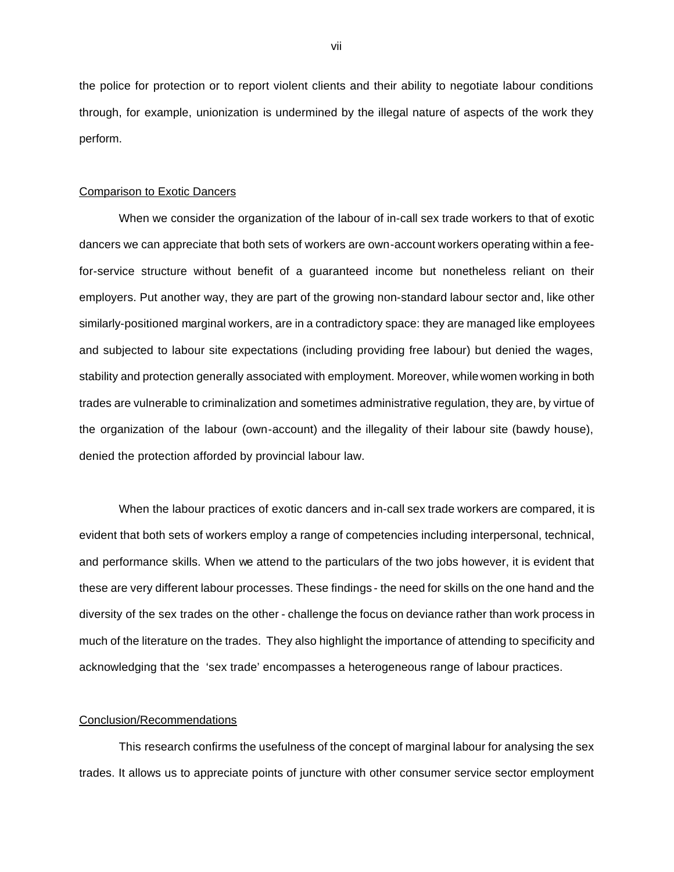the police for protection or to report violent clients and their ability to negotiate labour conditions through, for example, unionization is undermined by the illegal nature of aspects of the work they perform.

#### Comparison to Exotic Dancers

When we consider the organization of the labour of in-call sex trade workers to that of exotic dancers we can appreciate that both sets of workers are own-account workers operating within a feefor-service structure without benefit of a guaranteed income but nonetheless reliant on their employers. Put another way, they are part of the growing non-standard labour sector and, like other similarly-positioned marginal workers, are in a contradictory space: they are managed like employees and subjected to labour site expectations (including providing free labour) but denied the wages, stability and protection generally associated with employment. Moreover, while women working in both trades are vulnerable to criminalization and sometimes administrative regulation, they are, by virtue of the organization of the labour (own-account) and the illegality of their labour site (bawdy house), denied the protection afforded by provincial labour law.

When the labour practices of exotic dancers and in-call sex trade workers are compared, it is evident that both sets of workers employ a range of competencies including interpersonal, technical, and performance skills. When we attend to the particulars of the two jobs however, it is evident that these are very different labour processes. These findings - the need for skills on the one hand and the diversity of the sex trades on the other - challenge the focus on deviance rather than work process in much of the literature on the trades. They also highlight the importance of attending to specificity and acknowledging that the 'sex trade' encompasses a heterogeneous range of labour practices.

#### Conclusion/Recommendations

This research confirms the usefulness of the concept of marginal labour for analysing the sex trades. It allows us to appreciate points of juncture with other consumer service sector employment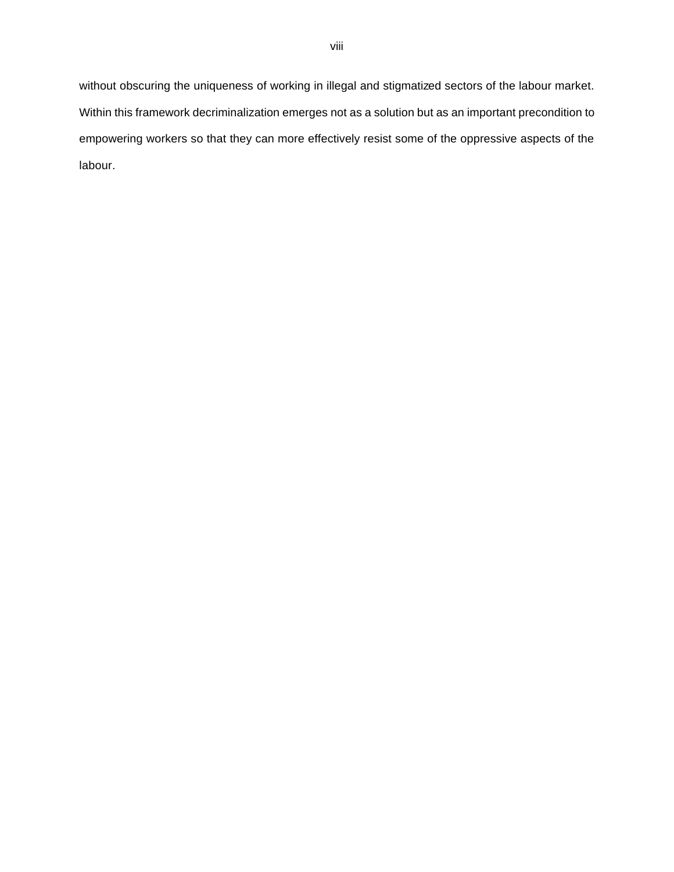without obscuring the uniqueness of working in illegal and stigmatized sectors of the labour market. Within this framework decriminalization emerges not as a solution but as an important precondition to empowering workers so that they can more effectively resist some of the oppressive aspects of the labour.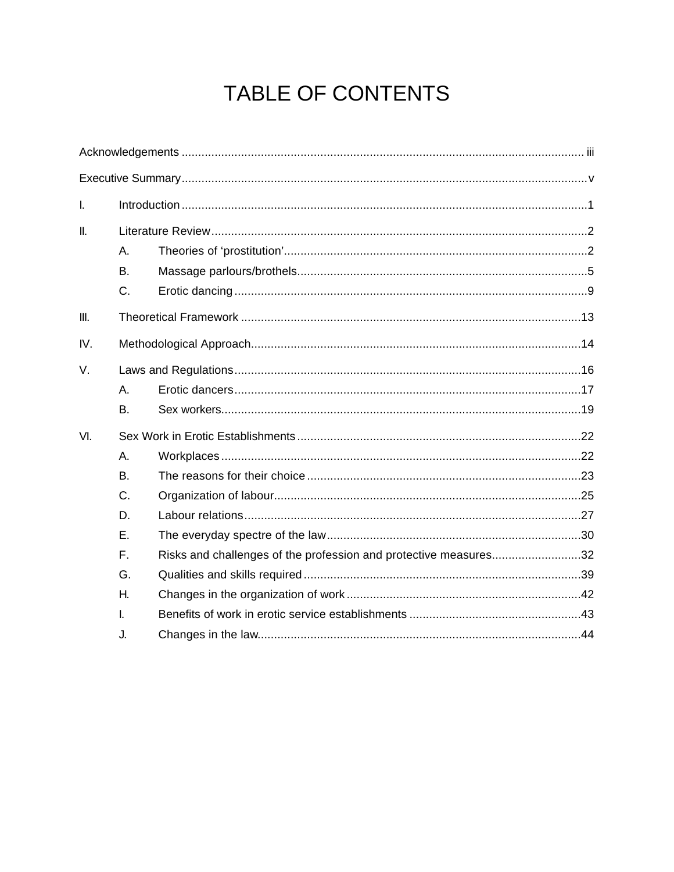# TABLE OF CONTENTS

| $\mathbf{I}$    |           |                                                                  |  |  |  |  |
|-----------------|-----------|------------------------------------------------------------------|--|--|--|--|
| $\mathbf{II}$ . |           |                                                                  |  |  |  |  |
|                 | Α.        |                                                                  |  |  |  |  |
|                 | <b>B.</b> |                                                                  |  |  |  |  |
|                 | C.        |                                                                  |  |  |  |  |
| III.            |           |                                                                  |  |  |  |  |
| IV.             |           |                                                                  |  |  |  |  |
| V.              |           |                                                                  |  |  |  |  |
|                 | Α.        |                                                                  |  |  |  |  |
|                 | <b>B.</b> |                                                                  |  |  |  |  |
| VI.             |           |                                                                  |  |  |  |  |
|                 | А.        |                                                                  |  |  |  |  |
|                 | <b>B.</b> |                                                                  |  |  |  |  |
|                 | C.        |                                                                  |  |  |  |  |
|                 | D.        |                                                                  |  |  |  |  |
|                 | Ε.        |                                                                  |  |  |  |  |
|                 | F.        | Risks and challenges of the profession and protective measures32 |  |  |  |  |
|                 | G.        |                                                                  |  |  |  |  |
|                 | Η.        |                                                                  |  |  |  |  |
|                 | L         |                                                                  |  |  |  |  |
|                 | J.        |                                                                  |  |  |  |  |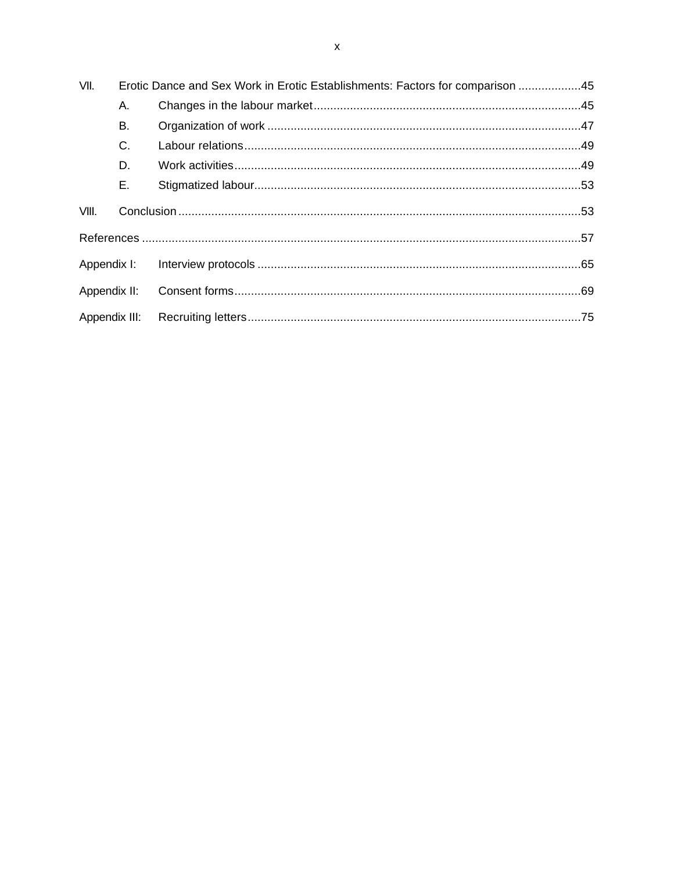| VII.          | Erotic Dance and Sex Work in Erotic Establishments: Factors for comparison 45 |  |  |  |
|---------------|-------------------------------------------------------------------------------|--|--|--|
|               | А.                                                                            |  |  |  |
|               | В.                                                                            |  |  |  |
|               | C.                                                                            |  |  |  |
|               | D.                                                                            |  |  |  |
|               | Ε.                                                                            |  |  |  |
| VIII.         |                                                                               |  |  |  |
|               |                                                                               |  |  |  |
| Appendix I:   |                                                                               |  |  |  |
| Appendix II:  |                                                                               |  |  |  |
| Appendix III: |                                                                               |  |  |  |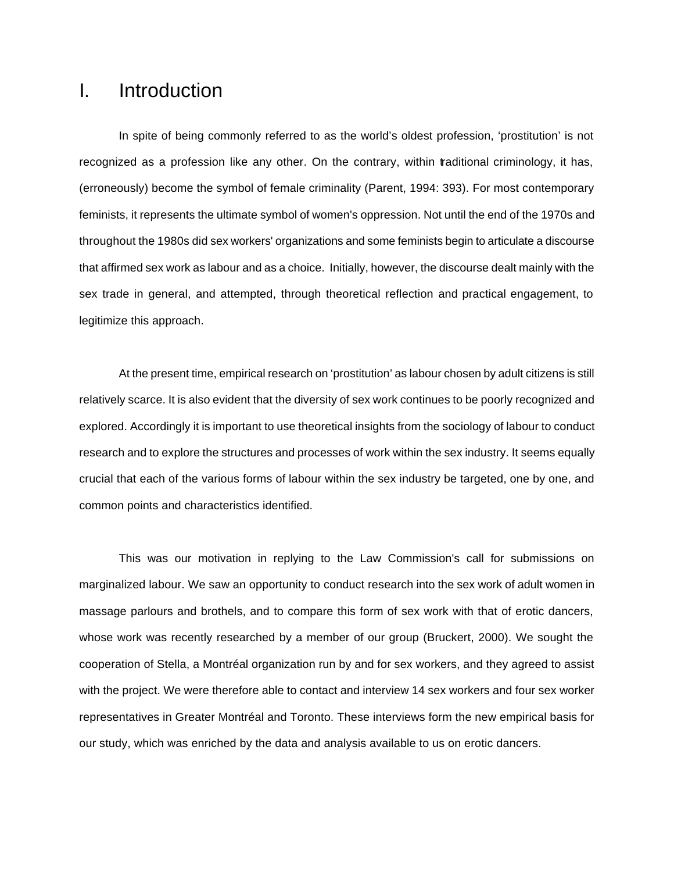# I. Introduction

In spite of being commonly referred to as the world's oldest profession, 'prostitution' is not recognized as a profession like any other. On the contrary, within traditional criminology, it has, (erroneously) become the symbol of female criminality (Parent, 1994: 393). For most contemporary feminists, it represents the ultimate symbol of women's oppression. Not until the end of the 1970s and throughout the 1980s did sex workers' organizations and some feminists begin to articulate a discourse that affirmed sex work as labour and as a choice. Initially, however, the discourse dealt mainly with the sex trade in general, and attempted, through theoretical reflection and practical engagement, to legitimize this approach.

At the present time, empirical research on 'prostitution' as labour chosen by adult citizens is still relatively scarce. It is also evident that the diversity of sex work continues to be poorly recognized and explored. Accordingly it is important to use theoretical insights from the sociology of labour to conduct research and to explore the structures and processes of work within the sex industry. It seems equally crucial that each of the various forms of labour within the sex industry be targeted, one by one, and common points and characteristics identified.

This was our motivation in replying to the Law Commission's call for submissions on marginalized labour. We saw an opportunity to conduct research into the sex work of adult women in massage parlours and brothels, and to compare this form of sex work with that of erotic dancers, whose work was recently researched by a member of our group (Bruckert, 2000). We sought the cooperation of Stella, a Montréal organization run by and for sex workers, and they agreed to assist with the project. We were therefore able to contact and interview 14 sex workers and four sex worker representatives in Greater Montréal and Toronto. These interviews form the new empirical basis for our study, which was enriched by the data and analysis available to us on erotic dancers.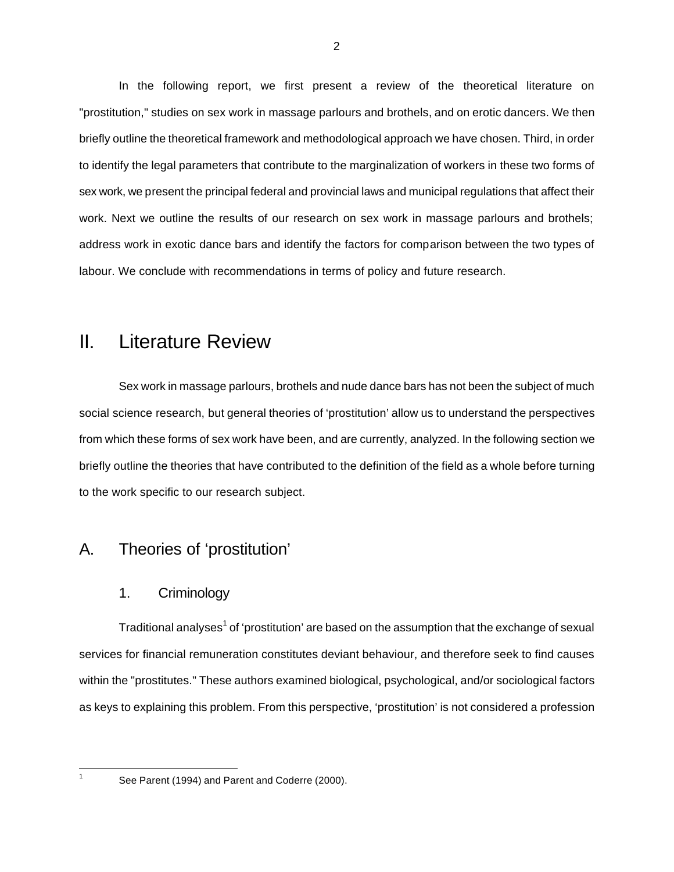In the following report, we first present a review of the theoretical literature on "prostitution," studies on sex work in massage parlours and brothels, and on erotic dancers. We then briefly outline the theoretical framework and methodological approach we have chosen. Third, in order to identify the legal parameters that contribute to the marginalization of workers in these two forms of sex work, we present the principal federal and provincial laws and municipal regulations that affect their work. Next we outline the results of our research on sex work in massage parlours and brothels; address work in exotic dance bars and identify the factors for comparison between the two types of labour. We conclude with recommendations in terms of policy and future research.

# II. Literature Review

Sex work in massage parlours, brothels and nude dance bars has not been the subject of much social science research, but general theories of 'prostitution' allow us to understand the perspectives from which these forms of sex work have been, and are currently, analyzed. In the following section we briefly outline the theories that have contributed to the definition of the field as a whole before turning to the work specific to our research subject.

### A. Theories of 'prostitution'

#### 1. Criminology

Traditional analyses<sup>1</sup> of 'prostitution' are based on the assumption that the exchange of sexual services for financial remuneration constitutes deviant behaviour, and therefore seek to find causes within the "prostitutes." These authors examined biological, psychological, and/or sociological factors as keys to explaining this problem. From this perspective, 'prostitution' is not considered a profession

 $\overline{a}$ 

See Parent (1994) and Parent and Coderre (2000).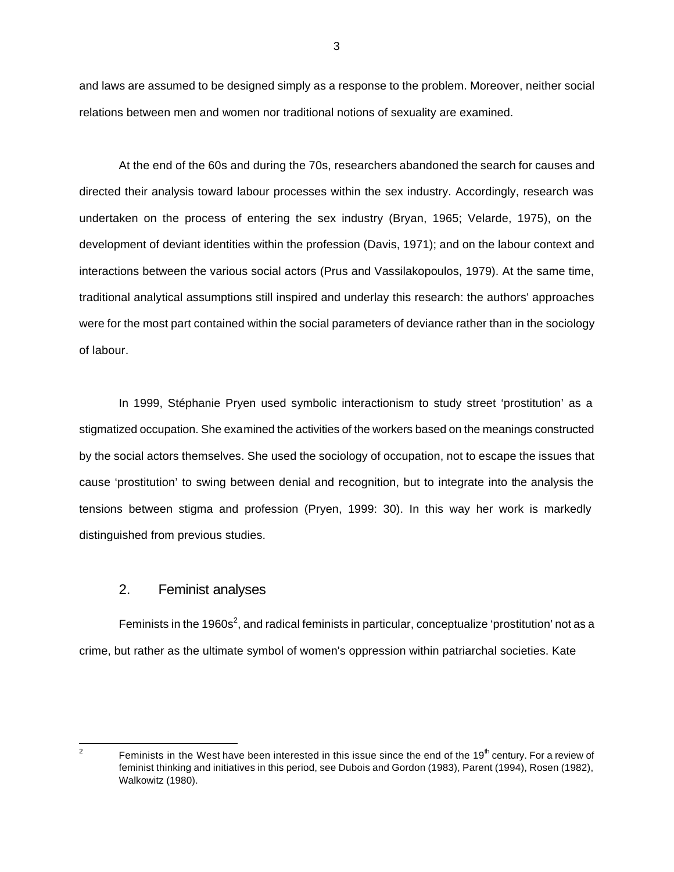and laws are assumed to be designed simply as a response to the problem. Moreover, neither social relations between men and women nor traditional notions of sexuality are examined.

At the end of the 60s and during the 70s, researchers abandoned the search for causes and directed their analysis toward labour processes within the sex industry. Accordingly, research was undertaken on the process of entering the sex industry (Bryan, 1965; Velarde, 1975), on the development of deviant identities within the profession (Davis, 1971); and on the labour context and interactions between the various social actors (Prus and Vassilakopoulos, 1979). At the same time, traditional analytical assumptions still inspired and underlay this research: the authors' approaches were for the most part contained within the social parameters of deviance rather than in the sociology of labour.

In 1999, Stéphanie Pryen used symbolic interactionism to study street 'prostitution' as a stigmatized occupation. She examined the activities of the workers based on the meanings constructed by the social actors themselves. She used the sociology of occupation, not to escape the issues that cause 'prostitution' to swing between denial and recognition, but to integrate into the analysis the tensions between stigma and profession (Pryen, 1999: 30). In this way her work is markedly distinguished from previous studies.

#### 2. Feminist analyses

Feminists in the 1960s<sup>2</sup>, and radical feminists in particular, conceptualize 'prostitution' not as a crime, but rather as the ultimate symbol of women's oppression within patriarchal societies. Kate

 $\frac{1}{2}$ Feminists in the West have been interested in this issue since the end of the 19<sup>th</sup> century. For a review of feminist thinking and initiatives in this period, see Dubois and Gordon (1983), Parent (1994), Rosen (1982), Walkowitz (1980).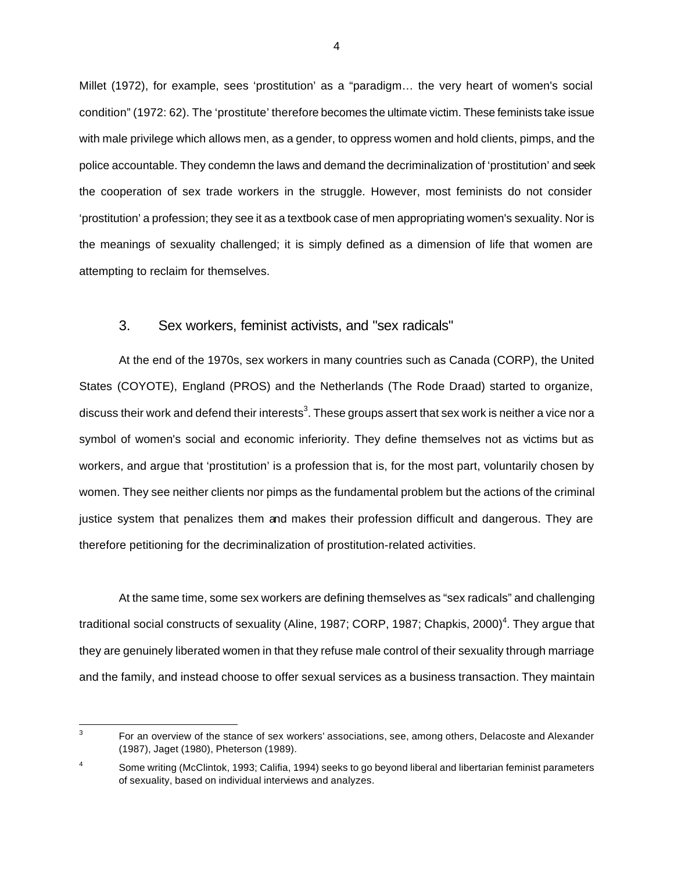Millet (1972), for example, sees 'prostitution' as a "paradigm… the very heart of women's social condition" (1972: 62). The 'prostitute' therefore becomes the ultimate victim. These feminists take issue with male privilege which allows men, as a gender, to oppress women and hold clients, pimps, and the police accountable. They condemn the laws and demand the decriminalization of 'prostitution' and seek the cooperation of sex trade workers in the struggle. However, most feminists do not consider 'prostitution' a profession; they see it as a textbook case of men appropriating women's sexuality. Nor is the meanings of sexuality challenged; it is simply defined as a dimension of life that women are attempting to reclaim for themselves.

#### 3. Sex workers, feminist activists, and "sex radicals"

At the end of the 1970s, sex workers in many countries such as Canada (CORP), the United States (COYOTE), England (PROS) and the Netherlands (The Rode Draad) started to organize, discuss their work and defend their interests $^3$ . These groups assert that sex work is neither a vice nor a symbol of women's social and economic inferiority. They define themselves not as victims but as workers, and argue that 'prostitution' is a profession that is, for the most part, voluntarily chosen by women. They see neither clients nor pimps as the fundamental problem but the actions of the criminal justice system that penalizes them and makes their profession difficult and dangerous. They are therefore petitioning for the decriminalization of prostitution-related activities.

At the same time, some sex workers are defining themselves as "sex radicals" and challenging traditional social constructs of sexuality (Aline, 1987; CORP, 1987; Chapkis, 2000)<sup>4</sup>. They argue that they are genuinely liberated women in that they refuse male control of their sexuality through marriage and the family, and instead choose to offer sexual services as a business transaction. They maintain

<sup>-&</sup>lt;br>3 For an overview of the stance of sex workers' associations, see, among others, Delacoste and Alexander (1987), Jaget (1980), Pheterson (1989).

<sup>&</sup>lt;sup>4</sup> Some writing (McClintok, 1993; Califia, 1994) seeks to go beyond liberal and libertarian feminist parameters of sexuality, based on individual interviews and analyzes.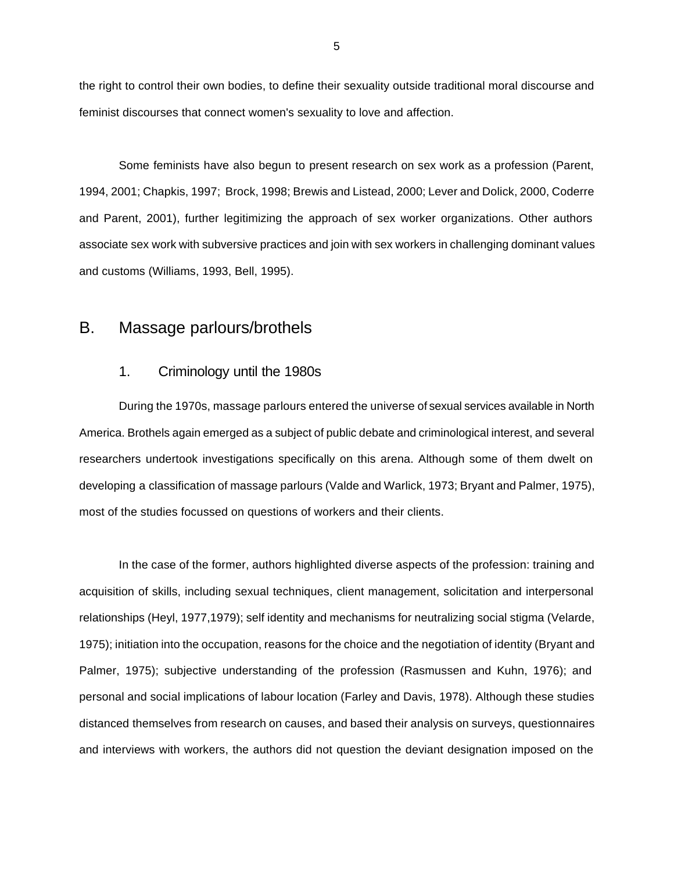the right to control their own bodies, to define their sexuality outside traditional moral discourse and feminist discourses that connect women's sexuality to love and affection.

Some feminists have also begun to present research on sex work as a profession (Parent, 1994, 2001; Chapkis, 1997; Brock, 1998; Brewis and Listead, 2000; Lever and Dolick, 2000, Coderre and Parent, 2001), further legitimizing the approach of sex worker organizations. Other authors associate sex work with subversive practices and join with sex workers in challenging dominant values and customs (Williams, 1993, Bell, 1995).

### B. Massage parlours/brothels

#### 1. Criminology until the 1980s

During the 1970s, massage parlours entered the universe of sexual services available in North America. Brothels again emerged as a subject of public debate and criminological interest, and several researchers undertook investigations specifically on this arena. Although some of them dwelt on developing a classification of massage parlours (Valde and Warlick, 1973; Bryant and Palmer, 1975), most of the studies focussed on questions of workers and their clients.

In the case of the former, authors highlighted diverse aspects of the profession: training and acquisition of skills, including sexual techniques, client management, solicitation and interpersonal relationships (Heyl, 1977,1979); self identity and mechanisms for neutralizing social stigma (Velarde, 1975); initiation into the occupation, reasons for the choice and the negotiation of identity (Bryant and Palmer, 1975); subjective understanding of the profession (Rasmussen and Kuhn, 1976); and personal and social implications of labour location (Farley and Davis, 1978). Although these studies distanced themselves from research on causes, and based their analysis on surveys, questionnaires and interviews with workers, the authors did not question the deviant designation imposed on the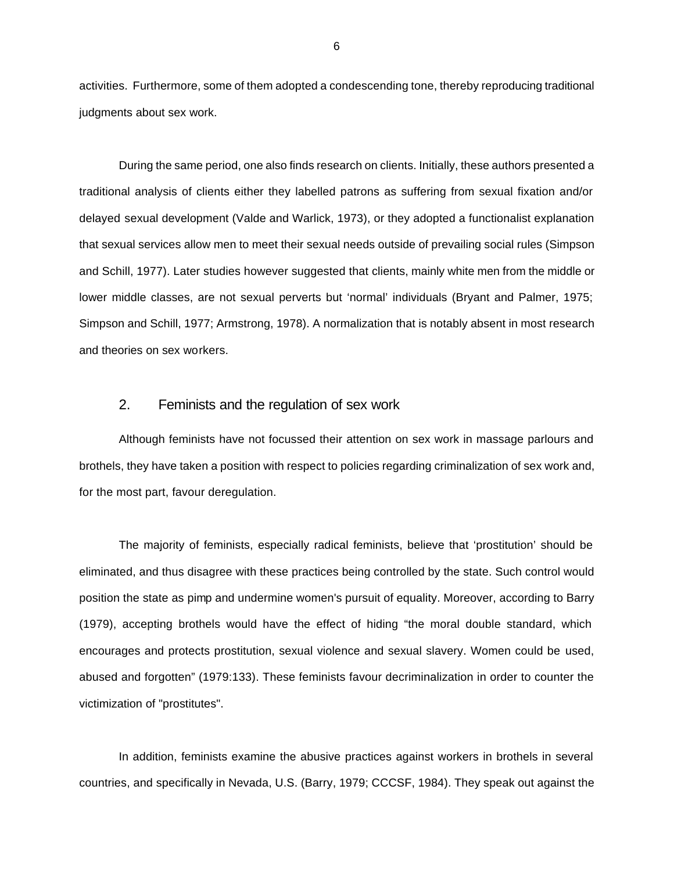activities. Furthermore, some of them adopted a condescending tone, thereby reproducing traditional judgments about sex work.

During the same period, one also finds research on clients. Initially, these authors presented a traditional analysis of clients either they labelled patrons as suffering from sexual fixation and/or delayed sexual development (Valde and Warlick, 1973), or they adopted a functionalist explanation that sexual services allow men to meet their sexual needs outside of prevailing social rules (Simpson and Schill, 1977). Later studies however suggested that clients, mainly white men from the middle or lower middle classes, are not sexual perverts but 'normal' individuals (Bryant and Palmer, 1975; Simpson and Schill, 1977; Armstrong, 1978). A normalization that is notably absent in most research and theories on sex workers.

#### 2. Feminists and the regulation of sex work

Although feminists have not focussed their attention on sex work in massage parlours and brothels, they have taken a position with respect to policies regarding criminalization of sex work and, for the most part, favour deregulation.

The majority of feminists, especially radical feminists, believe that 'prostitution' should be eliminated, and thus disagree with these practices being controlled by the state. Such control would position the state as pimp and undermine women's pursuit of equality. Moreover, according to Barry (1979), accepting brothels would have the effect of hiding "the moral double standard, which encourages and protects prostitution, sexual violence and sexual slavery. Women could be used, abused and forgotten" (1979:133). These feminists favour decriminalization in order to counter the victimization of "prostitutes".

In addition, feminists examine the abusive practices against workers in brothels in several countries, and specifically in Nevada, U.S. (Barry, 1979; CCCSF, 1984). They speak out against the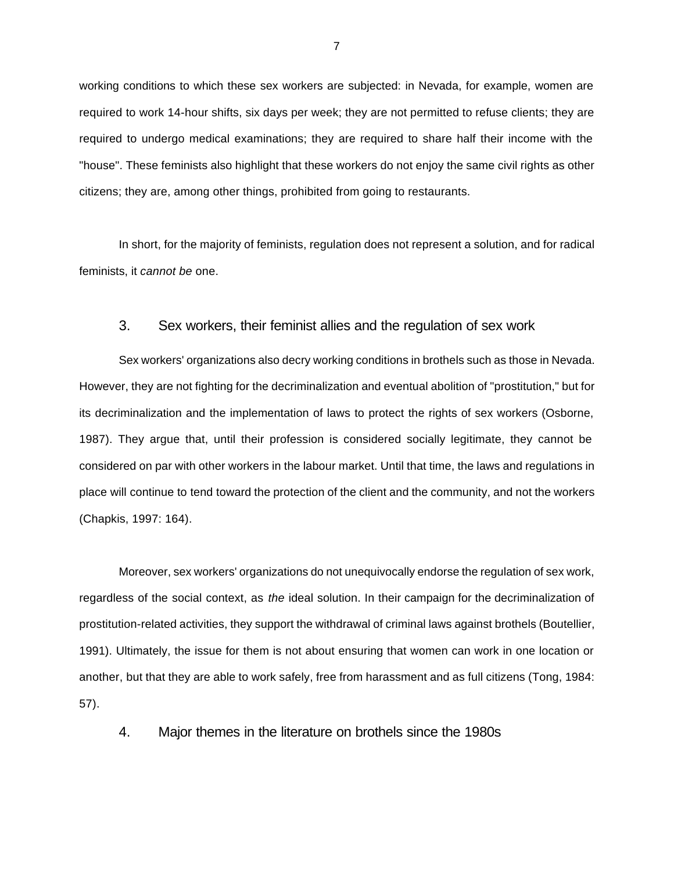working conditions to which these sex workers are subjected: in Nevada, for example, women are required to work 14-hour shifts, six days per week; they are not permitted to refuse clients; they are required to undergo medical examinations; they are required to share half their income with the "house". These feminists also highlight that these workers do not enjoy the same civil rights as other citizens; they are, among other things, prohibited from going to restaurants.

In short, for the majority of feminists, regulation does not represent a solution, and for radical feminists, it *cannot be* one.

#### 3. Sex workers, their feminist allies and the regulation of sex work

Sex workers' organizations also decry working conditions in brothels such as those in Nevada. However, they are not fighting for the decriminalization and eventual abolition of "prostitution," but for its decriminalization and the implementation of laws to protect the rights of sex workers (Osborne, 1987). They argue that, until their profession is considered socially legitimate, they cannot be considered on par with other workers in the labour market. Until that time, the laws and regulations in place will continue to tend toward the protection of the client and the community, and not the workers (Chapkis, 1997: 164).

Moreover, sex workers' organizations do not unequivocally endorse the regulation of sex work, regardless of the social context, as *the* ideal solution. In their campaign for the decriminalization of prostitution-related activities, they support the withdrawal of criminal laws against brothels (Boutellier, 1991). Ultimately, the issue for them is not about ensuring that women can work in one location or another, but that they are able to work safely, free from harassment and as full citizens (Tong, 1984: 57).

4. Major themes in the literature on brothels since the 1980s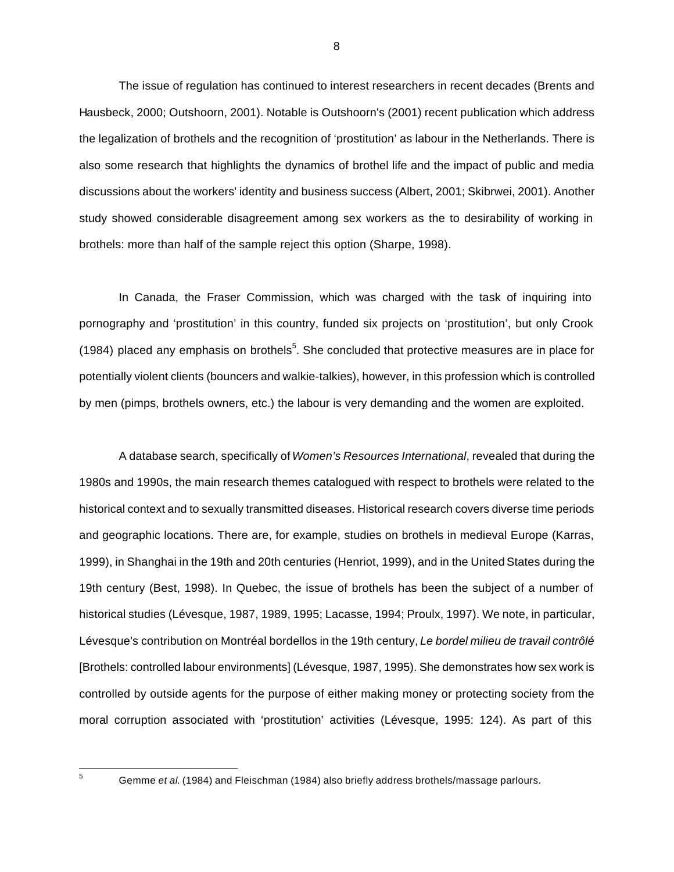The issue of regulation has continued to interest researchers in recent decades (Brents and Hausbeck, 2000; Outshoorn, 2001). Notable is Outshoorn's (2001) recent publication which address the legalization of brothels and the recognition of 'prostitution' as labour in the Netherlands. There is also some research that highlights the dynamics of brothel life and the impact of public and media discussions about the workers' identity and business success (Albert, 2001; Skibrwei, 2001). Another study showed considerable disagreement among sex workers as the to desirability of working in brothels: more than half of the sample reject this option (Sharpe, 1998).

In Canada, the Fraser Commission, which was charged with the task of inquiring into pornography and 'prostitution' in this country, funded six projects on 'prostitution', but only Crook (1984) placed any emphasis on brothels<sup>5</sup>. She concluded that protective measures are in place for potentially violent clients (bouncers and walkie-talkies), however, in this profession which is controlled by men (pimps, brothels owners, etc.) the labour is very demanding and the women are exploited.

A database search, specifically of *Women's Resources International*, revealed that during the 1980s and 1990s, the main research themes catalogued with respect to brothels were related to the historical context and to sexually transmitted diseases. Historical research covers diverse time periods and geographic locations. There are, for example, studies on brothels in medieval Europe (Karras, 1999), in Shanghai in the 19th and 20th centuries (Henriot, 1999), and in the United States during the 19th century (Best, 1998). In Quebec, the issue of brothels has been the subject of a number of historical studies (Lévesque, 1987, 1989, 1995; Lacasse, 1994; Proulx, 1997). We note, in particular, Lévesque's contribution on Montréal bordellos in the 19th century, *Le bordel milieu de travail contrôlé* [Brothels: controlled labour environments] (Lévesque, 1987, 1995). She demonstrates how sex work is controlled by outside agents for the purpose of either making money or protecting society from the moral corruption associated with 'prostitution' activities (Lévesque, 1995: 124). As part of this

 $\overline{5}$ 

8

<sup>5</sup> Gemme *et al.* (1984) and Fleischman (1984) also briefly address brothels/massage parlours.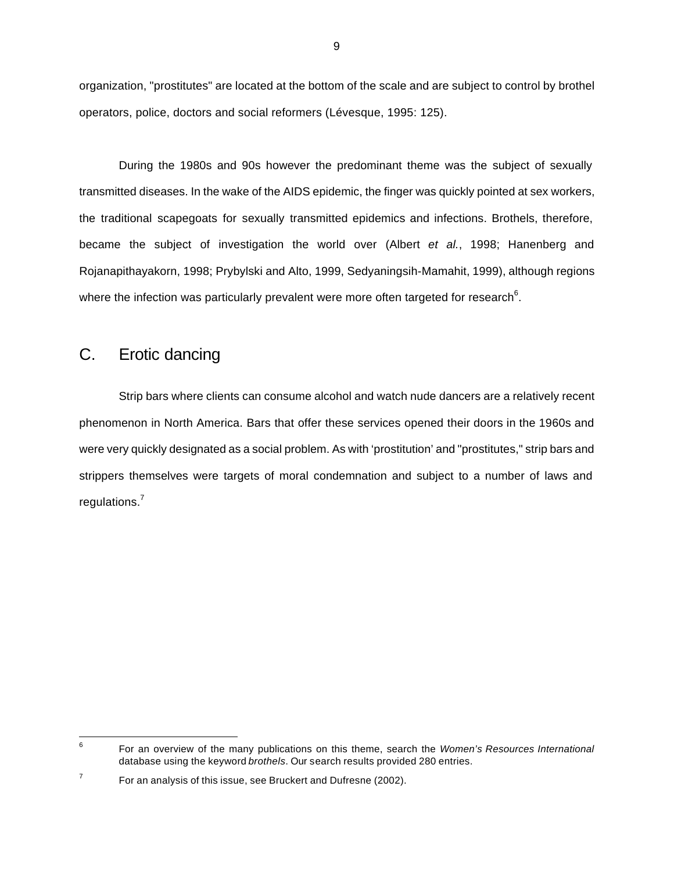organization, "prostitutes" are located at the bottom of the scale and are subject to control by brothel operators, police, doctors and social reformers (Lévesque, 1995: 125).

During the 1980s and 90s however the predominant theme was the subject of sexually transmitted diseases. In the wake of the AIDS epidemic, the finger was quickly pointed at sex workers, the traditional scapegoats for sexually transmitted epidemics and infections. Brothels, therefore, became the subject of investigation the world over (Albert *et al.*, 1998; Hanenberg and Rojanapithayakorn, 1998; Prybylski and Alto, 1999, Sedyaningsih-Mamahit, 1999), although regions where the infection was particularly prevalent were more often targeted for research<sup>6</sup>.

### C. Erotic dancing

Strip bars where clients can consume alcohol and watch nude dancers are a relatively recent phenomenon in North America. Bars that offer these services opened their doors in the 1960s and were very quickly designated as a social problem. As with 'prostitution' and "prostitutes," strip bars and strippers themselves were targets of moral condemnation and subject to a number of laws and regulations.<sup>7</sup>

<sup>-&</sup>lt;br>6 For an overview of the many publications on this theme, search the *Women's Resources International* database using the keyword *brothels*. Our search results provided 280 entries.

<sup>7</sup> For an analysis of this issue, see Bruckert and Dufresne (2002).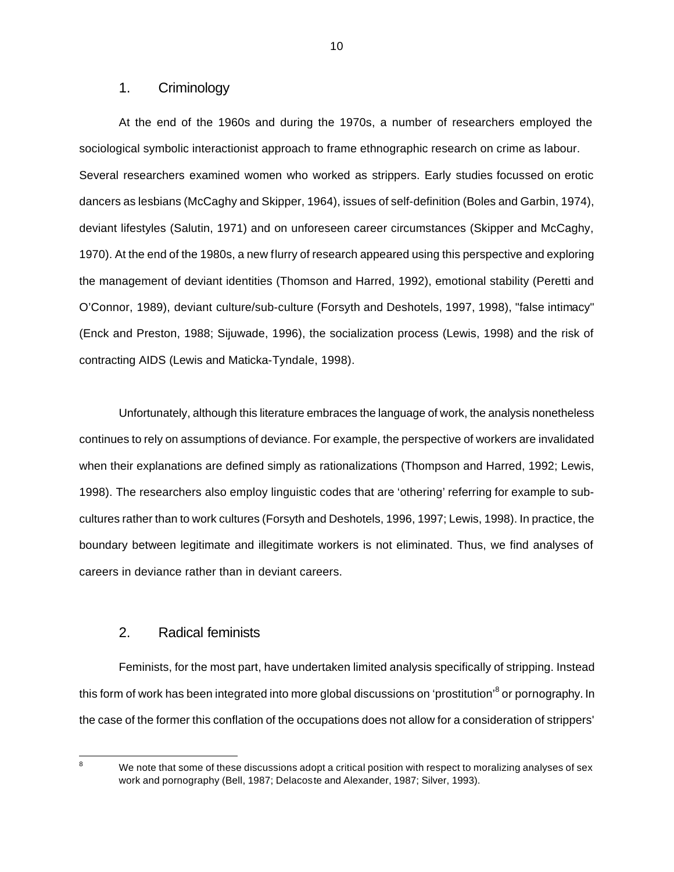#### 1. Criminology

At the end of the 1960s and during the 1970s, a number of researchers employed the sociological symbolic interactionist approach to frame ethnographic research on crime as labour. Several researchers examined women who worked as strippers. Early studies focussed on erotic dancers as lesbians (McCaghy and Skipper, 1964), issues of self-definition (Boles and Garbin, 1974), deviant lifestyles (Salutin, 1971) and on unforeseen career circumstances (Skipper and McCaghy, 1970). At the end of the 1980s, a new flurry of research appeared using this perspective and exploring the management of deviant identities (Thomson and Harred, 1992), emotional stability (Peretti and O'Connor, 1989), deviant culture/sub-culture (Forsyth and Deshotels, 1997, 1998), "false intimacy" (Enck and Preston, 1988; Sijuwade, 1996), the socialization process (Lewis, 1998) and the risk of contracting AIDS (Lewis and Maticka-Tyndale, 1998).

Unfortunately, although this literature embraces the language of work, the analysis nonetheless continues to rely on assumptions of deviance. For example, the perspective of workers are invalidated when their explanations are defined simply as rationalizations (Thompson and Harred, 1992; Lewis, 1998). The researchers also employ linguistic codes that are 'othering' referring for example to subcultures rather than to work cultures (Forsyth and Deshotels, 1996, 1997; Lewis, 1998). In practice, the boundary between legitimate and illegitimate workers is not eliminated. Thus, we find analyses of careers in deviance rather than in deviant careers.

#### 2. Radical feminists

Feminists, for the most part, have undertaken limited analysis specifically of stripping. Instead this form of work has been integrated into more global discussions on 'prostitution'<sup>8</sup> or pornography. In the case of the former this conflation of the occupations does not allow for a consideration of strippers'

8

10

We note that some of these discussions adopt a critical position with respect to moralizing analyses of sex work and pornography (Bell, 1987; Delacoste and Alexander, 1987; Silver, 1993).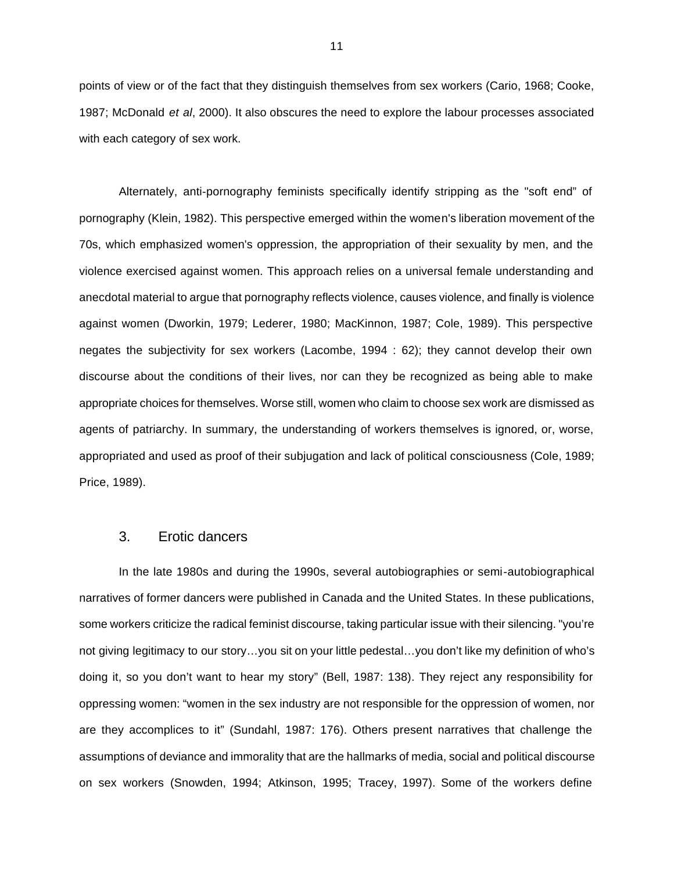points of view or of the fact that they distinguish themselves from sex workers (Cario, 1968; Cooke, 1987; McDonald *et al*, 2000). It also obscures the need to explore the labour processes associated with each category of sex work.

Alternately, anti-pornography feminists specifically identify stripping as the "soft end" of pornography (Klein, 1982). This perspective emerged within the women's liberation movement of the 70s, which emphasized women's oppression, the appropriation of their sexuality by men, and the violence exercised against women. This approach relies on a universal female understanding and anecdotal material to argue that pornography reflects violence, causes violence, and finally is violence against women (Dworkin, 1979; Lederer, 1980; MacKinnon, 1987; Cole, 1989). This perspective negates the subjectivity for sex workers (Lacombe, 1994 : 62); they cannot develop their own discourse about the conditions of their lives, nor can they be recognized as being able to make appropriate choices for themselves. Worse still, women who claim to choose sex work are dismissed as agents of patriarchy. In summary, the understanding of workers themselves is ignored, or, worse, appropriated and used as proof of their subjugation and lack of political consciousness (Cole, 1989; Price, 1989).

#### 3. Erotic dancers

In the late 1980s and during the 1990s, several autobiographies or semi-autobiographical narratives of former dancers were published in Canada and the United States. In these publications, some workers criticize the radical feminist discourse, taking particular issue with their silencing. "you're not giving legitimacy to our story…you sit on your little pedestal…you don't like my definition of who's doing it, so you don't want to hear my story" (Bell, 1987: 138). They reject any responsibility for oppressing women: "women in the sex industry are not responsible for the oppression of women, nor are they accomplices to it" (Sundahl, 1987: 176). Others present narratives that challenge the assumptions of deviance and immorality that are the hallmarks of media, social and political discourse on sex workers (Snowden, 1994; Atkinson, 1995; Tracey, 1997). Some of the workers define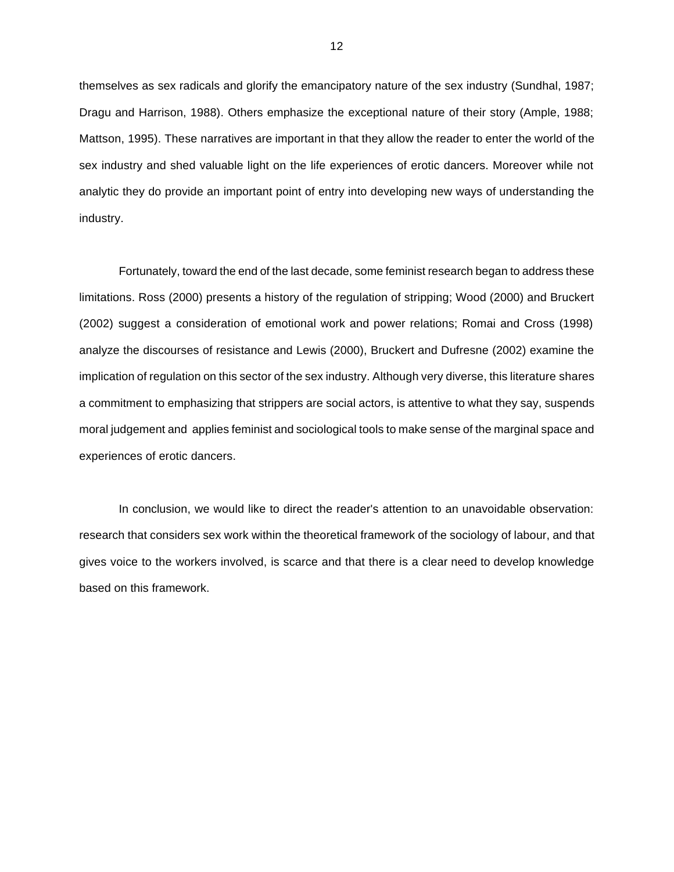themselves as sex radicals and glorify the emancipatory nature of the sex industry (Sundhal, 1987; Dragu and Harrison, 1988). Others emphasize the exceptional nature of their story (Ample, 1988; Mattson, 1995). These narratives are important in that they allow the reader to enter the world of the sex industry and shed valuable light on the life experiences of erotic dancers. Moreover while not analytic they do provide an important point of entry into developing new ways of understanding the industry.

Fortunately, toward the end of the last decade, some feminist research began to address these limitations. Ross (2000) presents a history of the regulation of stripping; Wood (2000) and Bruckert (2002) suggest a consideration of emotional work and power relations; Romai and Cross (1998) analyze the discourses of resistance and Lewis (2000), Bruckert and Dufresne (2002) examine the implication of regulation on this sector of the sex industry. Although very diverse, this literature shares a commitment to emphasizing that strippers are social actors, is attentive to what they say, suspends moral judgement and applies feminist and sociological tools to make sense of the marginal space and experiences of erotic dancers.

In conclusion, we would like to direct the reader's attention to an unavoidable observation: research that considers sex work within the theoretical framework of the sociology of labour, and that gives voice to the workers involved, is scarce and that there is a clear need to develop knowledge based on this framework.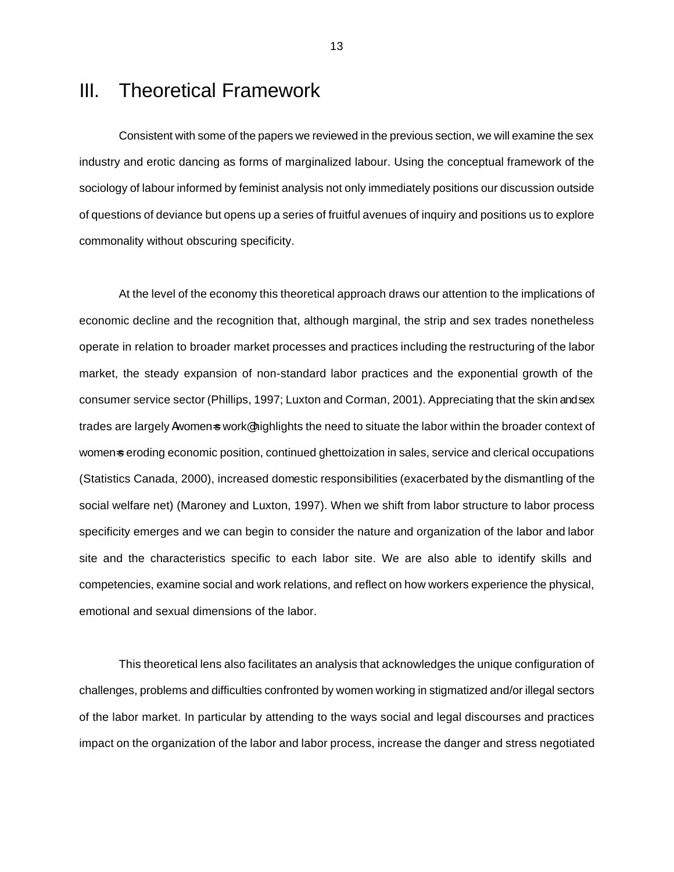## III. Theoretical Framework

Consistent with some of the papers we reviewed in the previous section, we will examine the sex industry and erotic dancing as forms of marginalized labour. Using the conceptual framework of the sociology of labour informed by feminist analysis not only immediately positions our discussion outside of questions of deviance but opens up a series of fruitful avenues of inquiry and positions us to explore commonality without obscuring specificity.

At the level of the economy this theoretical approach draws our attention to the implications of economic decline and the recognition that, although marginal, the strip and sex trades nonetheless operate in relation to broader market processes and practices including the restructuring of the labor market, the steady expansion of non-standard labor practices and the exponential growth of the consumer service sector (Phillips, 1997; Luxton and Corman, 2001). Appreciating that the skin and sex trades are largely Awomen=s work@highlights the need to situate the labor within the broader context of womens eroding economic position, continued ghettoization in sales, service and clerical occupations (Statistics Canada, 2000), increased domestic responsibilities (exacerbated by the dismantling of the social welfare net) (Maroney and Luxton, 1997). When we shift from labor structure to labor process specificity emerges and we can begin to consider the nature and organization of the labor and labor site and the characteristics specific to each labor site. We are also able to identify skills and competencies, examine social and work relations, and reflect on how workers experience the physical, emotional and sexual dimensions of the labor.

This theoretical lens also facilitates an analysis that acknowledges the unique configuration of challenges, problems and difficulties confronted by women working in stigmatized and/or illegal sectors of the labor market. In particular by attending to the ways social and legal discourses and practices impact on the organization of the labor and labor process, increase the danger and stress negotiated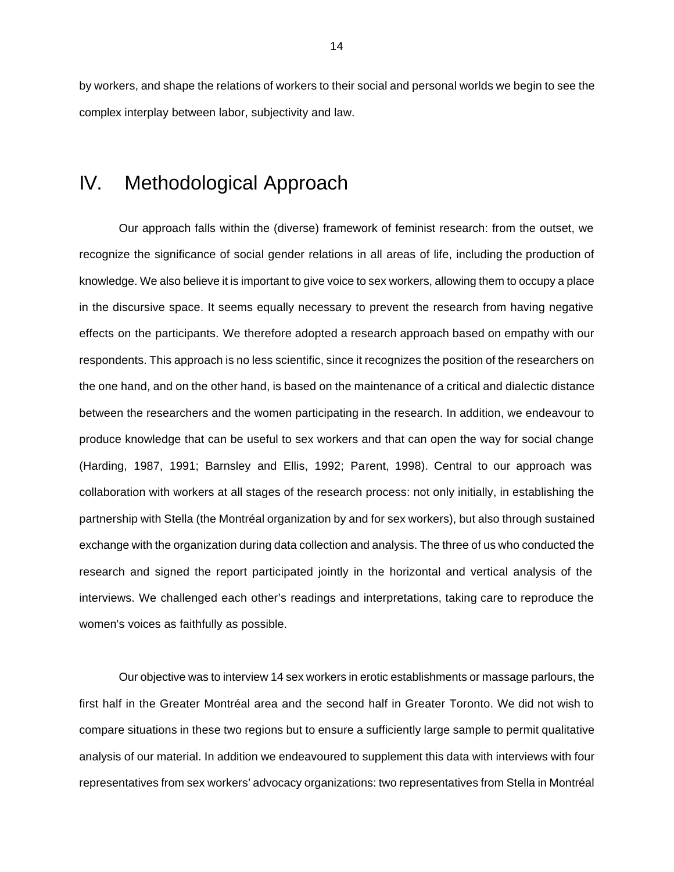by workers, and shape the relations of workers to their social and personal worlds we begin to see the complex interplay between labor, subjectivity and law.

### IV. Methodological Approach

Our approach falls within the (diverse) framework of feminist research: from the outset, we recognize the significance of social gender relations in all areas of life, including the production of knowledge. We also believe it is important to give voice to sex workers, allowing them to occupy a place in the discursive space. It seems equally necessary to prevent the research from having negative effects on the participants. We therefore adopted a research approach based on empathy with our respondents. This approach is no less scientific, since it recognizes the position of the researchers on the one hand, and on the other hand, is based on the maintenance of a critical and dialectic distance between the researchers and the women participating in the research. In addition, we endeavour to produce knowledge that can be useful to sex workers and that can open the way for social change (Harding, 1987, 1991; Barnsley and Ellis, 1992; Parent, 1998). Central to our approach was collaboration with workers at all stages of the research process: not only initially, in establishing the partnership with Stella (the Montréal organization by and for sex workers), but also through sustained exchange with the organization during data collection and analysis. The three of us who conducted the research and signed the report participated jointly in the horizontal and vertical analysis of the interviews. We challenged each other's readings and interpretations, taking care to reproduce the women's voices as faithfully as possible.

Our objective was to interview 14 sex workers in erotic establishments or massage parlours, the first half in the Greater Montréal area and the second half in Greater Toronto. We did not wish to compare situations in these two regions but to ensure a sufficiently large sample to permit qualitative analysis of our material. In addition we endeavoured to supplement this data with interviews with four representatives from sex workers' advocacy organizations: two representatives from Stella in Montréal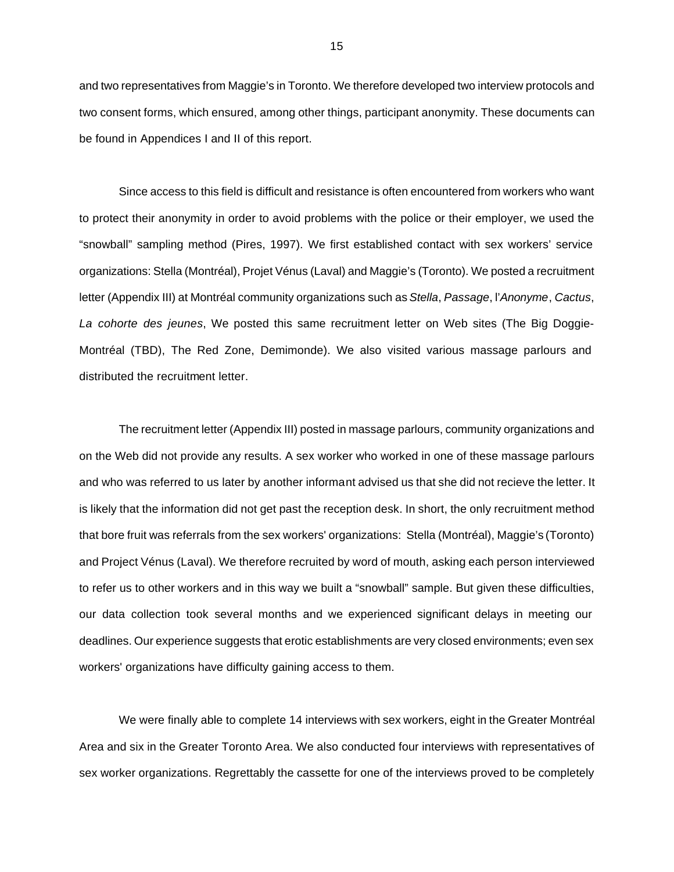and two representatives from Maggie's in Toronto. We therefore developed two interview protocols and two consent forms, which ensured, among other things, participant anonymity. These documents can be found in Appendices I and II of this report.

Since access to this field is difficult and resistance is often encountered from workers who want to protect their anonymity in order to avoid problems with the police or their employer, we used the "snowball" sampling method (Pires, 1997). We first established contact with sex workers' service organizations: Stella (Montréal), Projet Vénus (Laval) and Maggie's (Toronto). We posted a recruitment letter (Appendix III) at Montréal community organizations such as *Stella*, *Passage*, l'*Anonyme*, *Cactus*, *La cohorte des jeunes*, We posted this same recruitment letter on Web sites (The Big Doggie-Montréal (TBD), The Red Zone, Demimonde). We also visited various massage parlours and distributed the recruitment letter.

The recruitment letter (Appendix III) posted in massage parlours, community organizations and on the Web did not provide any results. A sex worker who worked in one of these massage parlours and who was referred to us later by another informant advised us that she did not recieve the letter. It is likely that the information did not get past the reception desk. In short, the only recruitment method that bore fruit was referrals from the sex workers' organizations: Stella (Montréal), Maggie's (Toronto) and Project Vénus (Laval). We therefore recruited by word of mouth, asking each person interviewed to refer us to other workers and in this way we built a "snowball" sample. But given these difficulties, our data collection took several months and we experienced significant delays in meeting our deadlines. Our experience suggests that erotic establishments are very closed environments; even sex workers' organizations have difficulty gaining access to them.

We were finally able to complete 14 interviews with sex workers, eight in the Greater Montréal Area and six in the Greater Toronto Area. We also conducted four interviews with representatives of sex worker organizations. Regrettably the cassette for one of the interviews proved to be completely

15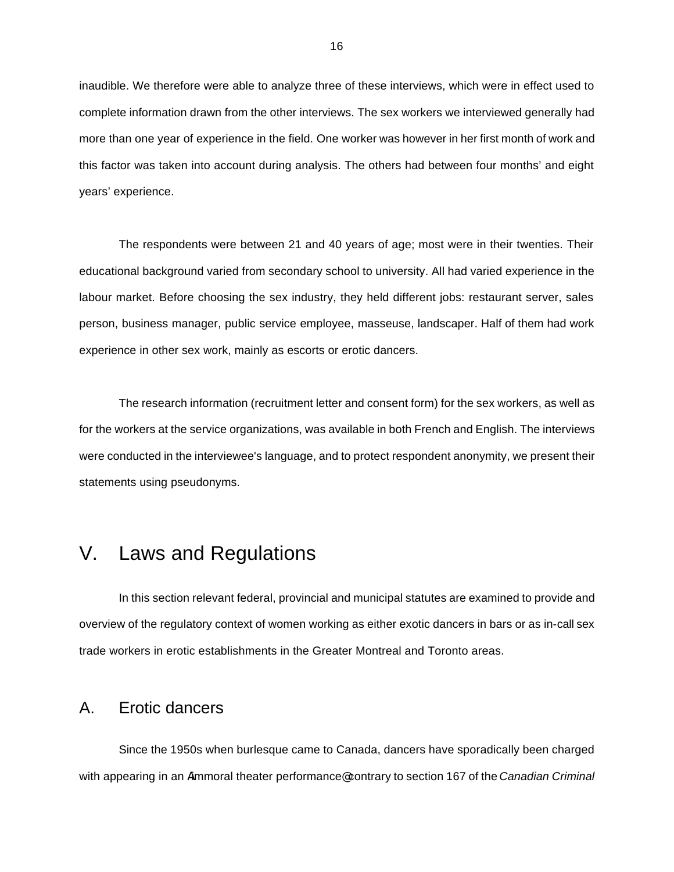inaudible. We therefore were able to analyze three of these interviews, which were in effect used to complete information drawn from the other interviews. The sex workers we interviewed generally had more than one year of experience in the field. One worker was however in her first month of work and this factor was taken into account during analysis. The others had between four months' and eight years' experience.

The respondents were between 21 and 40 years of age; most were in their twenties. Their educational background varied from secondary school to university. All had varied experience in the labour market. Before choosing the sex industry, they held different jobs: restaurant server, sales person, business manager, public service employee, masseuse, landscaper. Half of them had work experience in other sex work, mainly as escorts or erotic dancers.

The research information (recruitment letter and consent form) for the sex workers, as well as for the workers at the service organizations, was available in both French and English. The interviews were conducted in the interviewee's language, and to protect respondent anonymity, we present their statements using pseudonyms.

# V. Laws and Regulations

In this section relevant federal, provincial and municipal statutes are examined to provide and overview of the regulatory context of women working as either exotic dancers in bars or as in-call sex trade workers in erotic establishments in the Greater Montreal and Toronto areas.

### A. Erotic dancers

Since the 1950s when burlesque came to Canada, dancers have sporadically been charged with appearing in an Aimmoral theater performance@ contrary to section 167 of the *Canadian Criminal*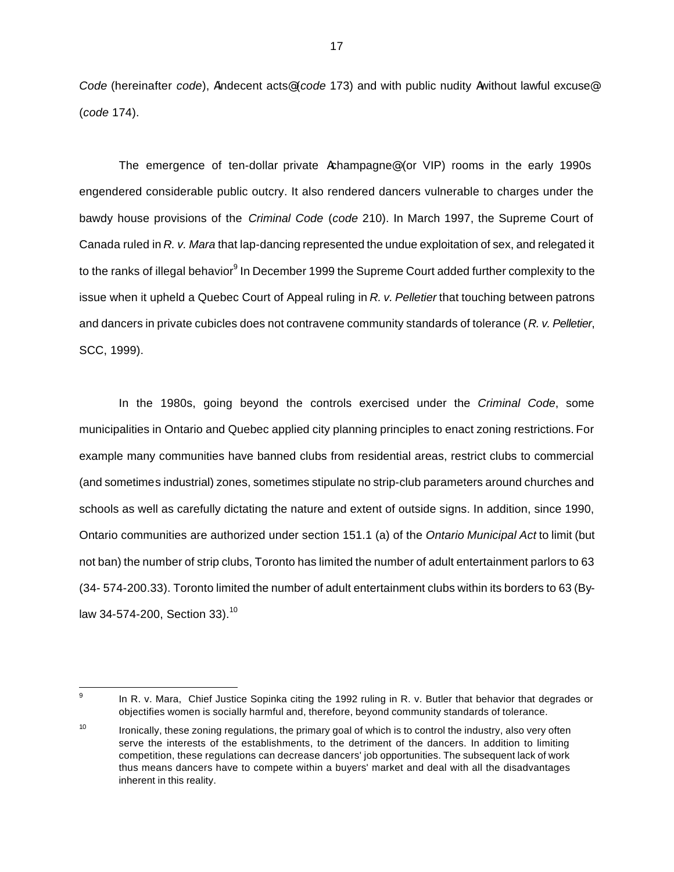*Code* (hereinafter *code*), Aindecent acts@ (*code* 173) and with public nudity Awithout lawful excuse@ (*code* 174).

The emergence of ten-dollar private Achampagne@ (or VIP) rooms in the early 1990s engendered considerable public outcry. It also rendered dancers vulnerable to charges under the bawdy house provisions of the *Criminal Code* (*code* 210). In March 1997, the Supreme Court of Canada ruled in *R. v. Mara* that lap-dancing represented the undue exploitation of sex, and relegated it to the ranks of illegal behavior<sup>9</sup> In December 1999 the Supreme Court added further complexity to the issue when it upheld a Quebec Court of Appeal ruling in *R. v. Pelletier* that touching between patrons and dancers in private cubicles does not contravene community standards of tolerance (*R. v. Pelletier*, SCC, 1999).

In the 1980s, going beyond the controls exercised under the *Criminal Code*, some municipalities in Ontario and Quebec applied city planning principles to enact zoning restrictions. For example many communities have banned clubs from residential areas, restrict clubs to commercial (and sometimes industrial) zones, sometimes stipulate no strip-club parameters around churches and schools as well as carefully dictating the nature and extent of outside signs. In addition, since 1990, Ontario communities are authorized under section 151.1 (a) of the *Ontario Municipal Act* to limit (but not ban) the number of strip clubs, Toronto has limited the number of adult entertainment parlors to 63 (34- 574-200.33). Toronto limited the number of adult entertainment clubs within its borders to 63 (Bylaw 34-574-200, Section 33).<sup>10</sup>

<sup>-&</sup>lt;br>9

In R. v. Mara, Chief Justice Sopinka citing the 1992 ruling in R. v. Butler that behavior that degrades or objectifies women is socially harmful and, therefore, beyond community standards of tolerance.

<sup>&</sup>lt;sup>10</sup> Ironically, these zoning regulations, the primary goal of which is to control the industry, also very often serve the interests of the establishments, to the detriment of the dancers. In addition to limiting competition, these regulations can decrease dancers' job opportunities. The subsequent lack of work thus means dancers have to compete within a buyers' market and deal with all the disadvantages inherent in this reality.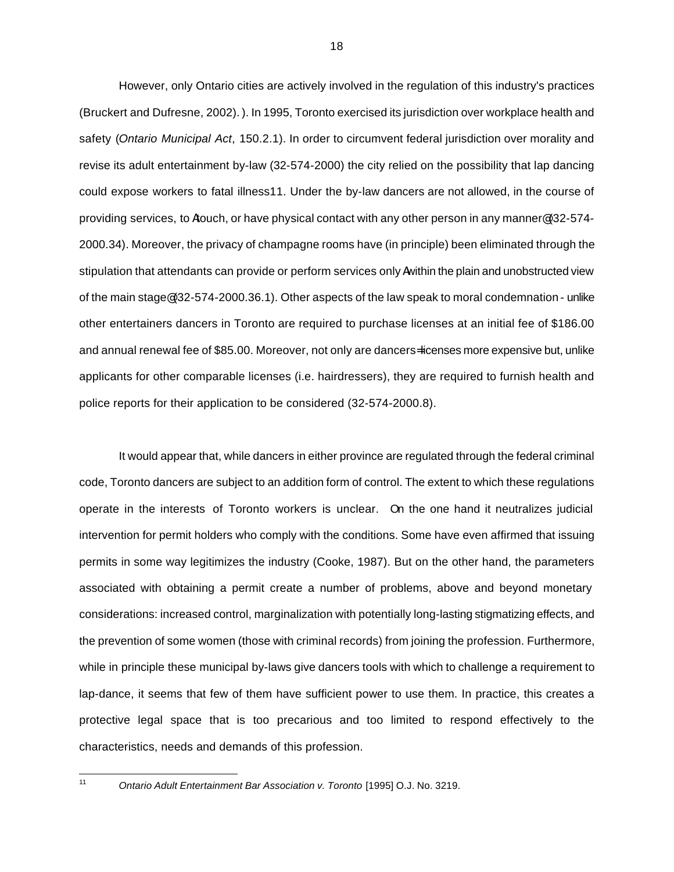However, only Ontario cities are actively involved in the regulation of this industry's practices (Bruckert and Dufresne, 2002). ). In 1995, Toronto exercised its jurisdiction over workplace health and safety (*Ontario Municipal Act*, 150.2.1). In order to circumvent federal jurisdiction over morality and revise its adult entertainment by-law (32-574-2000) the city relied on the possibility that lap dancing could expose workers to fatal illness11. Under the by-law dancers are not allowed, in the course of providing services, to Atouch, or have physical contact with any other person in any manner@ (32-574- 2000.34). Moreover, the privacy of champagne rooms have (in principle) been eliminated through the stipulation that attendants can provide or perform services only Awithin the plain and unobstructed view of the main stage@ (32-574-2000.36.1). Other aspects of the law speak to moral condemnation - unlike other entertainers dancers in Toronto are required to purchase licenses at an initial fee of \$186.00 and annual renewal fee of \$85.00. Moreover, not only are dancers= licenses more expensive but, unlike applicants for other comparable licenses (i.e. hairdressers), they are required to furnish health and police reports for their application to be considered (32-574-2000.8).

It would appear that, while dancers in either province are regulated through the federal criminal code, Toronto dancers are subject to an addition form of control. The extent to which these regulations operate in the interests of Toronto workers is unclear. On the one hand it neutralizes judicial intervention for permit holders who comply with the conditions. Some have even affirmed that issuing permits in some way legitimizes the industry (Cooke, 1987). But on the other hand, the parameters associated with obtaining a permit create a number of problems, above and beyond monetary considerations: increased control, marginalization with potentially long-lasting stigmatizing effects, and the prevention of some women (those with criminal records) from joining the profession. Furthermore, while in principle these municipal by-laws give dancers tools with which to challenge a requirement to lap-dance, it seems that few of them have sufficient power to use them. In practice, this creates a protective legal space that is too precarious and too limited to respond effectively to the characteristics, needs and demands of this profession.

 $11$ 

<sup>11</sup> *Ontario Adult Entertainment Bar Association v. Toronto* [1995] O.J. No. 3219.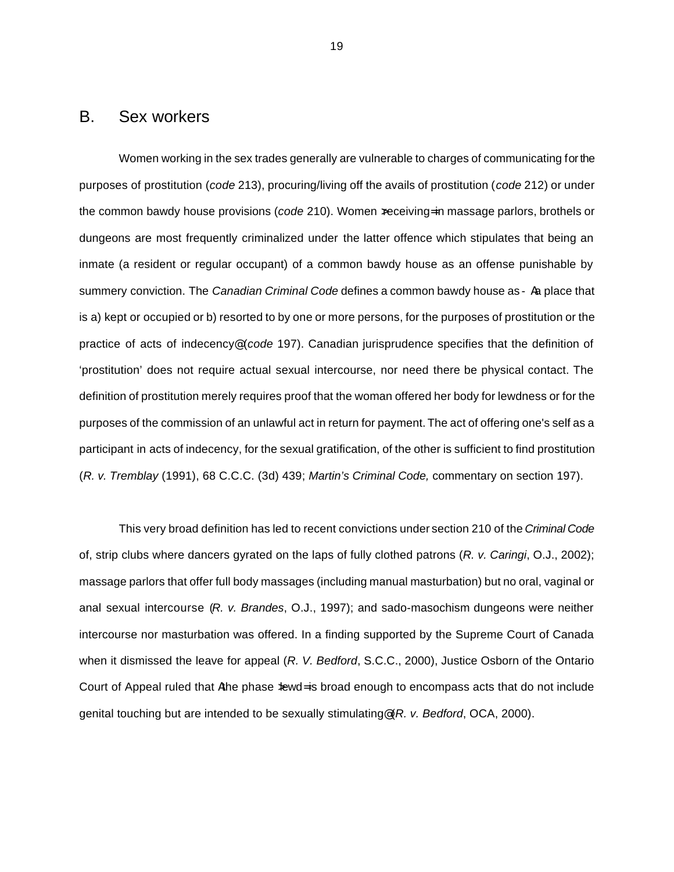### B. Sex workers

Women working in the sex trades generally are vulnerable to charges of communicating for the purposes of prostitution (*code* 213), procuring/living off the avails of prostitution (*code* 212) or under the common bawdy house provisions (*code* 210). Women xeceiving= in massage parlors, brothels or dungeons are most frequently criminalized under the latter offence which stipulates that being an inmate (a resident or regular occupant) of a common bawdy house as an offense punishable by summery conviction. The *Canadian Criminal Code* defines a common bawdy house as - Aa place that is a) kept or occupied or b) resorted to by one or more persons, for the purposes of prostitution or the practice of acts of indecency@ (*code* 197). Canadian jurisprudence specifies that the definition of 'prostitution' does not require actual sexual intercourse, nor need there be physical contact. The definition of prostitution merely requires proof that the woman offered her body for lewdness or for the purposes of the commission of an unlawful act in return for payment. The act of offering one's self as a participant in acts of indecency, for the sexual gratification, of the other is sufficient to find prostitution (*R. v. Tremblay* (1991), 68 C.C.C. (3d) 439; *Martin's Criminal Code,* commentary on section 197).

This very broad definition has led to recent convictions under section 210 of the *Criminal Code* of, strip clubs where dancers gyrated on the laps of fully clothed patrons (*R. v. Caringi*, O.J., 2002); massage parlors that offer full body massages (including manual masturbation) but no oral, vaginal or anal sexual intercourse (*R. v. Brandes*, O.J., 1997); and sado-masochism dungeons were neither intercourse nor masturbation was offered. In a finding supported by the Supreme Court of Canada when it dismissed the leave for appeal (*R. V. Bedford*, S.C.C., 2000), Justice Osborn of the Ontario Court of Appeal ruled that Athe phase  $\frac{1}{2}$  and enough to encompass acts that do not include genital touching but are intended to be sexually stimulating@ (*R. v. Bedford*, OCA, 2000).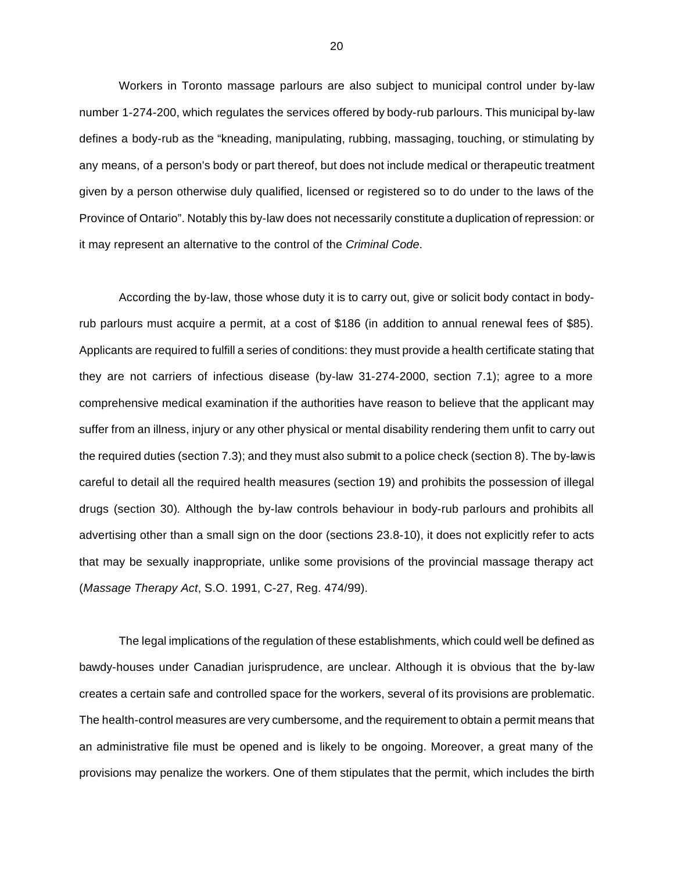Workers in Toronto massage parlours are also subject to municipal control under by-law number 1-274-200, which regulates the services offered by body-rub parlours. This municipal by-law defines a body-rub as the "kneading, manipulating, rubbing, massaging, touching, or stimulating by any means, of a person's body or part thereof, but does not include medical or therapeutic treatment given by a person otherwise duly qualified, licensed or registered so to do under to the laws of the Province of Ontario". Notably this by-law does not necessarily constitute a duplication of repression: or it may represent an alternative to the control of the *Criminal Code*.

According the by-law, those whose duty it is to carry out, give or solicit body contact in bodyrub parlours must acquire a permit, at a cost of \$186 (in addition to annual renewal fees of \$85). Applicants are required to fulfill a series of conditions: they must provide a health certificate stating that they are not carriers of infectious disease (by-law 31-274-2000, section 7.1); agree to a more comprehensive medical examination if the authorities have reason to believe that the applicant may suffer from an illness, injury or any other physical or mental disability rendering them unfit to carry out the required duties (section 7.3); and they must also submit to a police check (section 8). The by-law is careful to detail all the required health measures (section 19) and prohibits the possession of illegal drugs (section 30)*.* Although the by-law controls behaviour in body-rub parlours and prohibits all advertising other than a small sign on the door (sections 23.8-10), it does not explicitly refer to acts that may be sexually inappropriate, unlike some provisions of the provincial massage therapy act (*Massage Therapy Act*, S.O. 1991, C-27, Reg. 474/99).

The legal implications of the regulation of these establishments, which could well be defined as bawdy-houses under Canadian jurisprudence, are unclear. Although it is obvious that the by-law creates a certain safe and controlled space for the workers, several of its provisions are problematic. The health-control measures are very cumbersome, and the requirement to obtain a permit means that an administrative file must be opened and is likely to be ongoing. Moreover, a great many of the provisions may penalize the workers. One of them stipulates that the permit, which includes the birth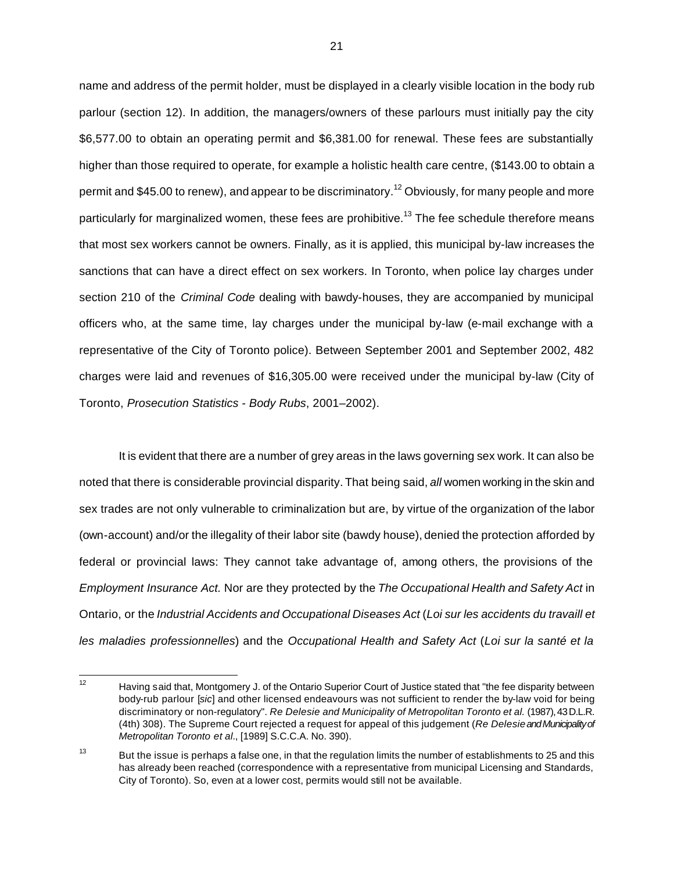name and address of the permit holder, must be displayed in a clearly visible location in the body rub parlour (section 12). In addition, the managers/owners of these parlours must initially pay the city \$6,577.00 to obtain an operating permit and \$6,381.00 for renewal. These fees are substantially higher than those required to operate, for example a holistic health care centre, (\$143.00 to obtain a permit and \$45.00 to renew), and appear to be discriminatory.<sup>12</sup> Obviously, for many people and more particularly for marginalized women, these fees are prohibitive.<sup>13</sup> The fee schedule therefore means that most sex workers cannot be owners. Finally, as it is applied, this municipal by-law increases the sanctions that can have a direct effect on sex workers. In Toronto, when police lay charges under section 210 of the *Criminal Code* dealing with bawdy-houses, they are accompanied by municipal officers who, at the same time, lay charges under the municipal by-law (e-mail exchange with a representative of the City of Toronto police). Between September 2001 and September 2002, 482 charges were laid and revenues of \$16,305.00 were received under the municipal by-law (City of Toronto, *Prosecution Statistics - Body Rubs*, 2001–2002).

It is evident that there are a number of grey areas in the laws governing sex work. It can also be noted that there is considerable provincial disparity. That being said, *all* women working in the skin and sex trades are not only vulnerable to criminalization but are, by virtue of the organization of the labor (own-account) and/or the illegality of their labor site (bawdy house), denied the protection afforded by federal or provincial laws: They cannot take advantage of, among others, the provisions of the *Employment Insurance Act.* Nor are they protected by the *The Occupational Health and Safety Act* in Ontario, or the *Industrial Accidents and Occupational Diseases Act* (*Loi sur les accidents du travaill et les maladies professionnelles*) and the *Occupational Health and Safety Act* (*Loi sur la santé et la* 

 $12$ Having said that, Montgomery J. of the Ontario Superior Court of Justice stated that "the fee disparity between body-rub parlour [*sic*] and other licensed endeavours was not sufficient to render the by-law void for being discriminatory or non-regulatory". *Re Delesie and Municipality of Metropolitan Toronto et al.* (1987), 43 D.L.R. (4th) 308). The Supreme Court rejected a request for appeal of this judgement (*Re Delesieand Municipality of Metropolitan Toronto et al.*, [1989] S.C.C.A. No. 390).

<sup>&</sup>lt;sup>13</sup> But the issue is perhaps a false one, in that the regulation limits the number of establishments to 25 and this has already been reached (correspondence with a representative from municipal Licensing and Standards, City of Toronto). So, even at a lower cost, permits would still not be available.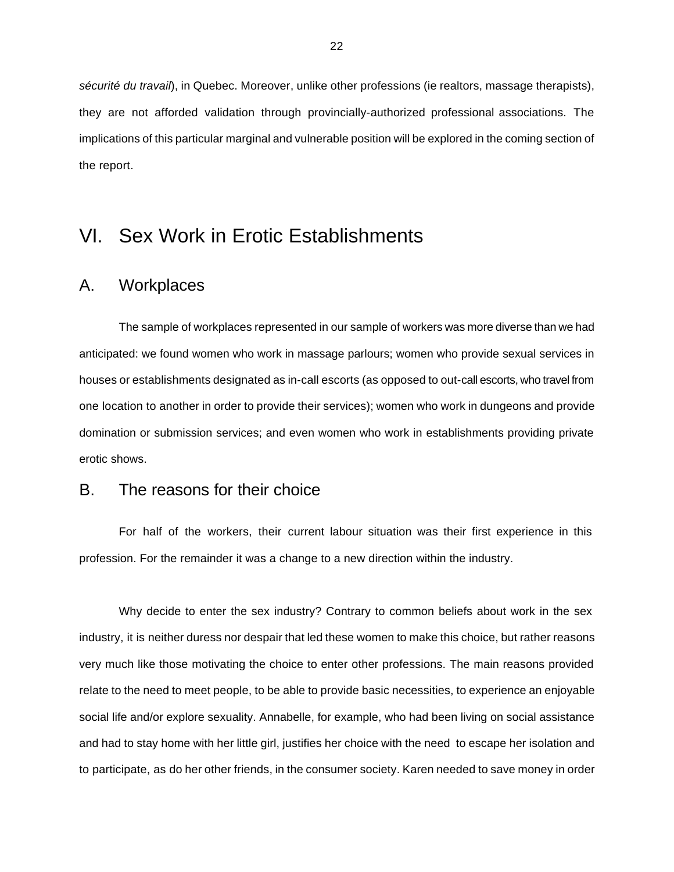*sécurité du travail*), in Quebec. Moreover, unlike other professions (ie realtors, massage therapists), they are not afforded validation through provincially-authorized professional associations. The implications of this particular marginal and vulnerable position will be explored in the coming section of the report.

# VI. Sex Work in Erotic Establishments

### A. Workplaces

The sample of workplaces represented in our sample of workers was more diverse than we had anticipated: we found women who work in massage parlours; women who provide sexual services in houses or establishments designated as in-call escorts (as opposed to out-call escorts, who travel from one location to another in order to provide their services); women who work in dungeons and provide domination or submission services; and even women who work in establishments providing private erotic shows.

#### B. The reasons for their choice

For half of the workers, their current labour situation was their first experience in this profession. For the remainder it was a change to a new direction within the industry.

Why decide to enter the sex industry? Contrary to common beliefs about work in the sex industry, it is neither duress nor despair that led these women to make this choice, but rather reasons very much like those motivating the choice to enter other professions. The main reasons provided relate to the need to meet people, to be able to provide basic necessities, to experience an enjoyable social life and/or explore sexuality. Annabelle, for example, who had been living on social assistance and had to stay home with her little girl, justifies her choice with the need to escape her isolation and to participate, as do her other friends, in the consumer society. Karen needed to save money in order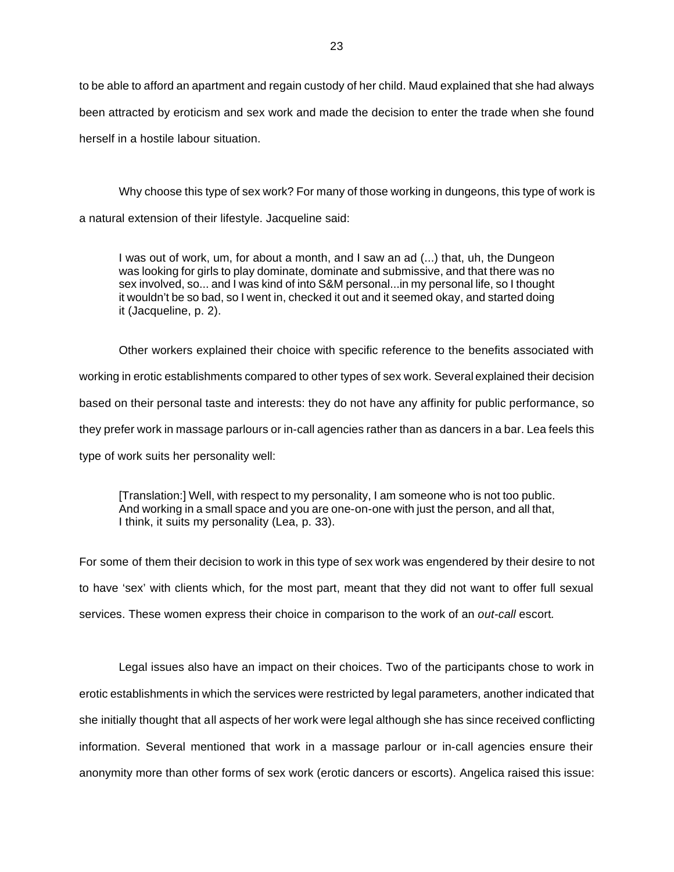to be able to afford an apartment and regain custody of her child. Maud explained that she had always been attracted by eroticism and sex work and made the decision to enter the trade when she found herself in a hostile labour situation.

Why choose this type of sex work? For many of those working in dungeons, this type of work is a natural extension of their lifestyle. Jacqueline said:

I was out of work, um, for about a month, and I saw an ad (...) that, uh, the Dungeon was looking for girls to play dominate, dominate and submissive, and that there was no sex involved, so... and I was kind of into S&M personal...in my personal life, so I thought it wouldn't be so bad, so I went in, checked it out and it seemed okay, and started doing it (Jacqueline, p. 2).

Other workers explained their choice with specific reference to the benefits associated with working in erotic establishments compared to other types of sex work. Several explained their decision based on their personal taste and interests: they do not have any affinity for public performance, so they prefer work in massage parlours or in-call agencies rather than as dancers in a bar. Lea feels this type of work suits her personality well:

[Translation:] Well, with respect to my personality, I am someone who is not too public. And working in a small space and you are one-on-one with just the person, and all that, I think, it suits my personality (Lea, p. 33).

For some of them their decision to work in this type of sex work was engendered by their desire to not to have 'sex' with clients which, for the most part, meant that they did not want to offer full sexual services. These women express their choice in comparison to the work of an *out-call* escort*.*

Legal issues also have an impact on their choices. Two of the participants chose to work in erotic establishments in which the services were restricted by legal parameters, another indicated that she initially thought that all aspects of her work were legal although she has since received conflicting information. Several mentioned that work in a massage parlour or in-call agencies ensure their anonymity more than other forms of sex work (erotic dancers or escorts). Angelica raised this issue: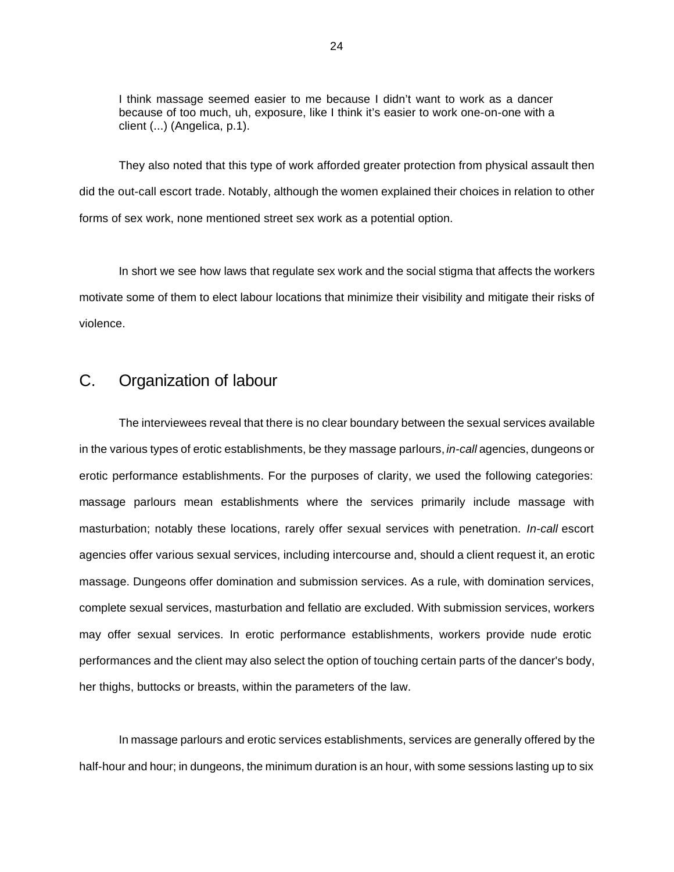I think massage seemed easier to me because I didn't want to work as a dancer because of too much, uh, exposure, like I think it's easier to work one-on-one with a client (...) (Angelica, p.1).

They also noted that this type of work afforded greater protection from physical assault then did the out-call escort trade. Notably, although the women explained their choices in relation to other forms of sex work, none mentioned street sex work as a potential option.

In short we see how laws that regulate sex work and the social stigma that affects the workers motivate some of them to elect labour locations that minimize their visibility and mitigate their risks of violence.

### C. Organization of labour

The interviewees reveal that there is no clear boundary between the sexual services available in the various types of erotic establishments, be they massage parlours, *in-call* agencies, dungeons or erotic performance establishments. For the purposes of clarity, we used the following categories: massage parlours mean establishments where the services primarily include massage with masturbation; notably these locations, rarely offer sexual services with penetration. *In-call* escort agencies offer various sexual services, including intercourse and, should a client request it, an erotic massage. Dungeons offer domination and submission services. As a rule, with domination services, complete sexual services, masturbation and fellatio are excluded. With submission services, workers may offer sexual services. In erotic performance establishments, workers provide nude erotic performances and the client may also select the option of touching certain parts of the dancer's body, her thighs, buttocks or breasts, within the parameters of the law.

In massage parlours and erotic services establishments, services are generally offered by the half-hour and hour; in dungeons, the minimum duration is an hour, with some sessions lasting up to six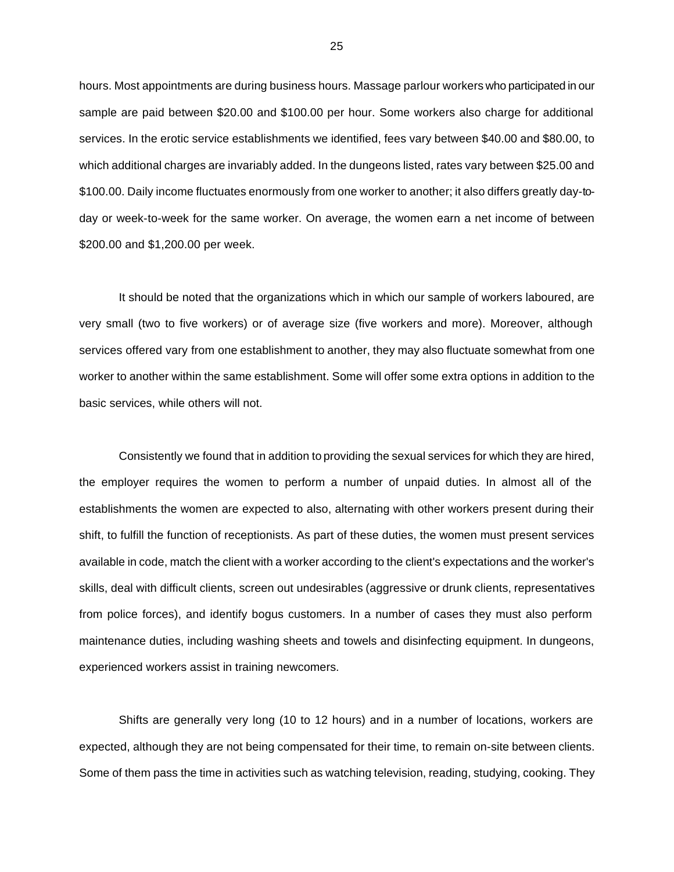hours. Most appointments are during business hours. Massage parlour workers who participated in our sample are paid between \$20.00 and \$100.00 per hour. Some workers also charge for additional services. In the erotic service establishments we identified, fees vary between \$40.00 and \$80.00, to which additional charges are invariably added. In the dungeons listed, rates vary between \$25.00 and \$100.00. Daily income fluctuates enormously from one worker to another; it also differs greatly day-today or week-to-week for the same worker. On average, the women earn a net income of between \$200.00 and \$1,200.00 per week.

It should be noted that the organizations which in which our sample of workers laboured, are very small (two to five workers) or of average size (five workers and more). Moreover, although services offered vary from one establishment to another, they may also fluctuate somewhat from one worker to another within the same establishment. Some will offer some extra options in addition to the basic services, while others will not.

Consistently we found that in addition to providing the sexual services for which they are hired, the employer requires the women to perform a number of unpaid duties. In almost all of the establishments the women are expected to also, alternating with other workers present during their shift, to fulfill the function of receptionists. As part of these duties, the women must present services available in code, match the client with a worker according to the client's expectations and the worker's skills, deal with difficult clients, screen out undesirables (aggressive or drunk clients, representatives from police forces), and identify bogus customers. In a number of cases they must also perform maintenance duties, including washing sheets and towels and disinfecting equipment. In dungeons, experienced workers assist in training newcomers.

Shifts are generally very long (10 to 12 hours) and in a number of locations, workers are expected, although they are not being compensated for their time, to remain on-site between clients. Some of them pass the time in activities such as watching television, reading, studying, cooking. They

25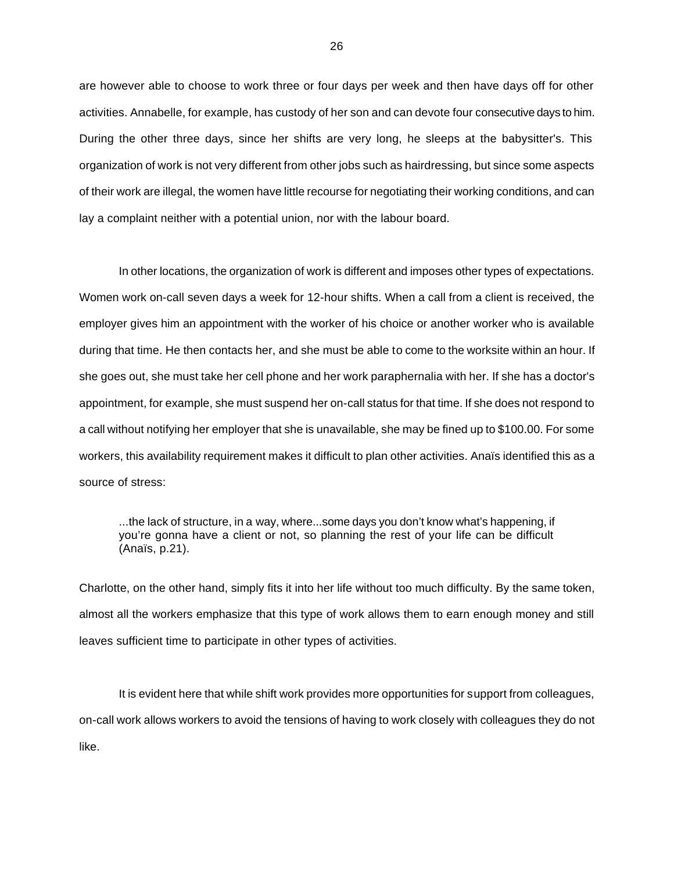are however able to choose to work three or four days per week and then have days off for other activities. Annabelle, for example, has custody of her son and can devote four consecutive days to him. During the other three days, since her shifts are very long, he sleeps at the babysitter's. This organization of work is not very different from other jobs such as hairdressing, but since some aspects of their work are illegal, the women have little recourse for negotiating their working conditions, and can lay a complaint neither with a potential union, nor with the labour board.

In other locations, the organization of work is different and imposes other types of expectations. Women work on-call seven days a week for 12-hour shifts. When a call from a client is received, the employer gives him an appointment with the worker of his choice or another worker who is available during that time. He then contacts her, and she must be able to come to the worksite within an hour. If she goes out, she must take her cell phone and her work paraphernalia with her. If she has a doctor's appointment, for example, she must suspend her on-call status for that time. If she does not respond to a call without notifying her employer that she is unavailable, she may be fined up to \$100.00. For some workers, this availability requirement makes it difficult to plan other activities. Anaïs identified this as a source of stress:

...the lack of structure, in a way, where...some days you don't know what's happening, if you're gonna have a client or not, so planning the rest of your life can be difficult (Anaïs, p.21).

Charlotte, on the other hand, simply fits it into her life without too much difficulty. By the same token, almost all the workers emphasize that this type of work allows them to earn enough money and still leaves sufficient time to participate in other types of activities.

It is evident here that while shift work provides more opportunities for support from colleagues, on-call work allows workers to avoid the tensions of having to work closely with colleagues they do not like.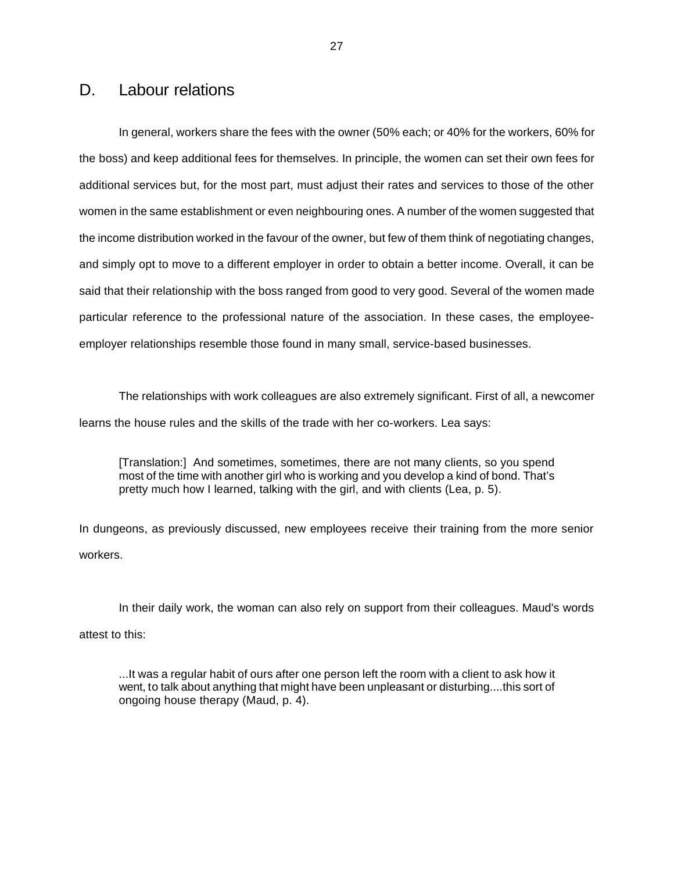#### D. Labour relations

In general, workers share the fees with the owner (50% each; or 40% for the workers, 60% for the boss) and keep additional fees for themselves. In principle, the women can set their own fees for additional services but, for the most part, must adjust their rates and services to those of the other women in the same establishment or even neighbouring ones. A number of the women suggested that the income distribution worked in the favour of the owner, but few of them think of negotiating changes, and simply opt to move to a different employer in order to obtain a better income. Overall, it can be said that their relationship with the boss ranged from good to very good. Several of the women made particular reference to the professional nature of the association. In these cases, the employeeemployer relationships resemble those found in many small, service-based businesses.

The relationships with work colleagues are also extremely significant. First of all, a newcomer learns the house rules and the skills of the trade with her co-workers. Lea says:

[Translation:] And sometimes, sometimes, there are not many clients, so you spend most of the time with another girl who is working and you develop a kind of bond. That's pretty much how I learned, talking with the girl, and with clients (Lea, p. 5).

In dungeons, as previously discussed, new employees receive their training from the more senior workers.

In their daily work, the woman can also rely on support from their colleagues. Maud's words attest to this:

...It was a regular habit of ours after one person left the room with a client to ask how it went, to talk about anything that might have been unpleasant or disturbing....this sort of ongoing house therapy (Maud, p. 4).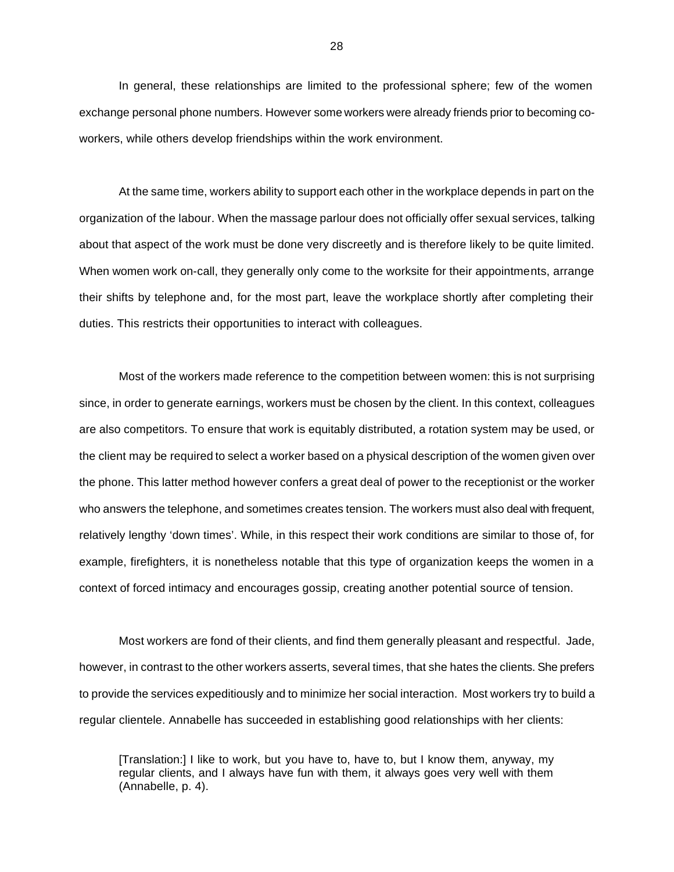In general, these relationships are limited to the professional sphere; few of the women exchange personal phone numbers. However some workers were already friends prior to becoming coworkers, while others develop friendships within the work environment.

At the same time, workers ability to support each other in the workplace depends in part on the organization of the labour. When the massage parlour does not officially offer sexual services, talking about that aspect of the work must be done very discreetly and is therefore likely to be quite limited. When women work on-call, they generally only come to the worksite for their appointments, arrange their shifts by telephone and, for the most part, leave the workplace shortly after completing their duties. This restricts their opportunities to interact with colleagues.

Most of the workers made reference to the competition between women: this is not surprising since, in order to generate earnings, workers must be chosen by the client. In this context, colleagues are also competitors. To ensure that work is equitably distributed, a rotation system may be used, or the client may be required to select a worker based on a physical description of the women given over the phone. This latter method however confers a great deal of power to the receptionist or the worker who answers the telephone, and sometimes creates tension. The workers must also deal with frequent, relatively lengthy 'down times'. While, in this respect their work conditions are similar to those of, for example, firefighters, it is nonetheless notable that this type of organization keeps the women in a context of forced intimacy and encourages gossip, creating another potential source of tension.

Most workers are fond of their clients, and find them generally pleasant and respectful. Jade, however, in contrast to the other workers asserts, several times, that she hates the clients. She prefers to provide the services expeditiously and to minimize her social interaction. Most workers try to build a regular clientele. Annabelle has succeeded in establishing good relationships with her clients:

[Translation:] I like to work, but you have to, have to, but I know them, anyway, my regular clients, and I always have fun with them, it always goes very well with them (Annabelle, p. 4).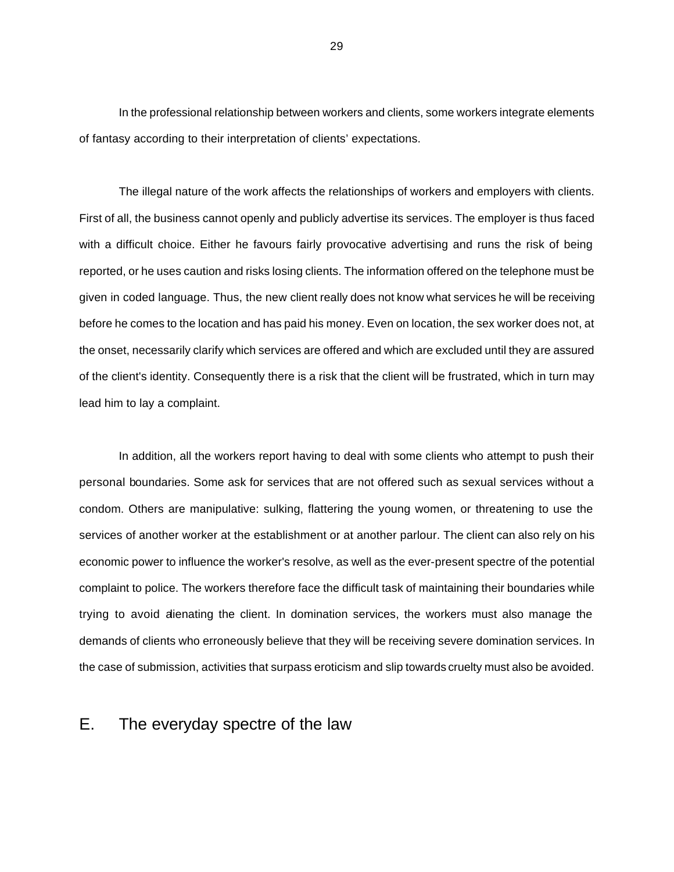In the professional relationship between workers and clients, some workers integrate elements of fantasy according to their interpretation of clients' expectations.

The illegal nature of the work affects the relationships of workers and employers with clients. First of all, the business cannot openly and publicly advertise its services. The employer is thus faced with a difficult choice. Either he favours fairly provocative advertising and runs the risk of being reported, or he uses caution and risks losing clients. The information offered on the telephone must be given in coded language. Thus, the new client really does not know what services he will be receiving before he comes to the location and has paid his money. Even on location, the sex worker does not, at the onset, necessarily clarify which services are offered and which are excluded until they are assured of the client's identity. Consequently there is a risk that the client will be frustrated, which in turn may lead him to lay a complaint.

In addition, all the workers report having to deal with some clients who attempt to push their personal boundaries. Some ask for services that are not offered such as sexual services without a condom. Others are manipulative: sulking, flattering the young women, or threatening to use the services of another worker at the establishment or at another parlour. The client can also rely on his economic power to influence the worker's resolve, as well as the ever-present spectre of the potential complaint to police. The workers therefore face the difficult task of maintaining their boundaries while trying to avoid alienating the client. In domination services, the workers must also manage the demands of clients who erroneously believe that they will be receiving severe domination services. In the case of submission, activities that surpass eroticism and slip towards cruelty must also be avoided.

#### E. The everyday spectre of the law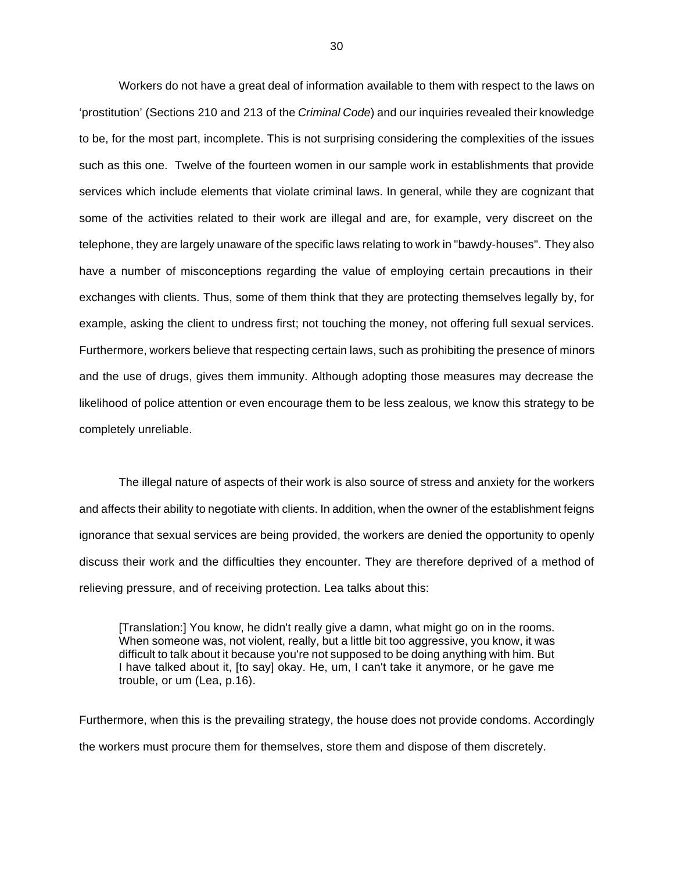Workers do not have a great deal of information available to them with respect to the laws on 'prostitution' (Sections 210 and 213 of the *Criminal Code*) and our inquiries revealed their knowledge to be, for the most part, incomplete. This is not surprising considering the complexities of the issues such as this one. Twelve of the fourteen women in our sample work in establishments that provide services which include elements that violate criminal laws. In general, while they are cognizant that some of the activities related to their work are illegal and are, for example, very discreet on the telephone, they are largely unaware of the specific laws relating to work in "bawdy-houses". They also have a number of misconceptions regarding the value of employing certain precautions in their exchanges with clients. Thus, some of them think that they are protecting themselves legally by, for example, asking the client to undress first; not touching the money, not offering full sexual services. Furthermore, workers believe that respecting certain laws, such as prohibiting the presence of minors and the use of drugs, gives them immunity. Although adopting those measures may decrease the likelihood of police attention or even encourage them to be less zealous, we know this strategy to be completely unreliable.

The illegal nature of aspects of their work is also source of stress and anxiety for the workers and affects their ability to negotiate with clients. In addition, when the owner of the establishment feigns ignorance that sexual services are being provided, the workers are denied the opportunity to openly discuss their work and the difficulties they encounter. They are therefore deprived of a method of relieving pressure, and of receiving protection. Lea talks about this:

[Translation:] You know, he didn't really give a damn, what might go on in the rooms. When someone was, not violent, really, but a little bit too aggressive, you know, it was difficult to talk about it because you're not supposed to be doing anything with him. But I have talked about it, [to say] okay. He, um, I can't take it anymore, or he gave me trouble, or um (Lea, p.16).

Furthermore, when this is the prevailing strategy, the house does not provide condoms. Accordingly the workers must procure them for themselves, store them and dispose of them discretely.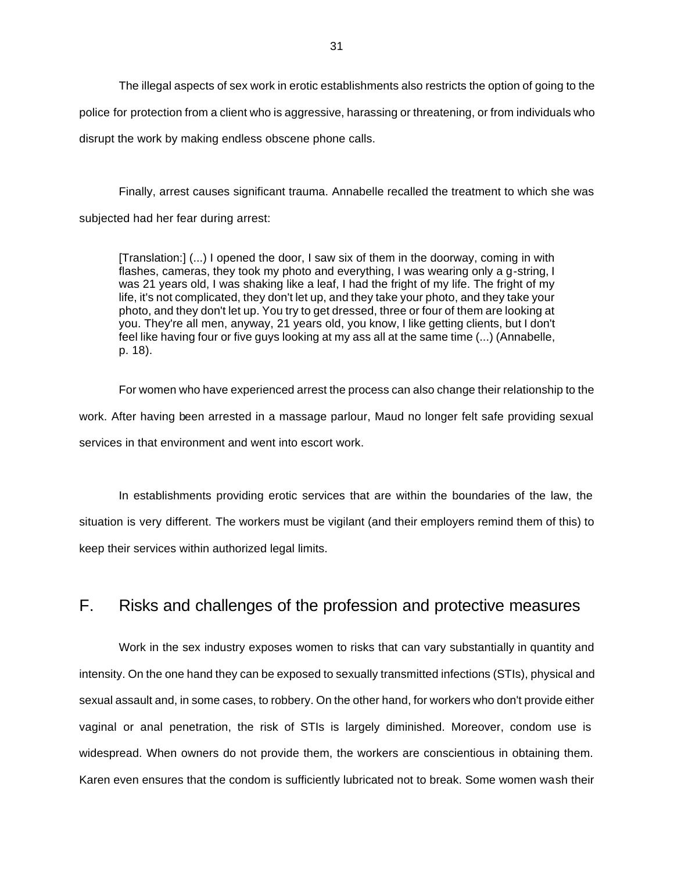The illegal aspects of sex work in erotic establishments also restricts the option of going to the police for protection from a client who is aggressive, harassing or threatening, or from individuals who disrupt the work by making endless obscene phone calls.

Finally, arrest causes significant trauma. Annabelle recalled the treatment to which she was subjected had her fear during arrest:

[Translation:] (...) I opened the door, I saw six of them in the doorway, coming in with flashes, cameras, they took my photo and everything, I was wearing only a g-string, I was 21 years old, I was shaking like a leaf, I had the fright of my life. The fright of my life, it's not complicated, they don't let up, and they take your photo, and they take your photo, and they don't let up. You try to get dressed, three or four of them are looking at you. They're all men, anyway, 21 years old, you know, I like getting clients, but I don't feel like having four or five guys looking at my ass all at the same time (...) (Annabelle, p. 18).

For women who have experienced arrest the process can also change their relationship to the work. After having been arrested in a massage parlour, Maud no longer felt safe providing sexual services in that environment and went into escort work.

In establishments providing erotic services that are within the boundaries of the law, the situation is very different. The workers must be vigilant (and their employers remind them of this) to keep their services within authorized legal limits.

## F. Risks and challenges of the profession and protective measures

Work in the sex industry exposes women to risks that can vary substantially in quantity and intensity. On the one hand they can be exposed to sexually transmitted infections (STIs), physical and sexual assault and, in some cases, to robbery. On the other hand, for workers who don't provide either vaginal or anal penetration, the risk of STIs is largely diminished. Moreover, condom use is widespread. When owners do not provide them, the workers are conscientious in obtaining them. Karen even ensures that the condom is sufficiently lubricated not to break. Some women wash their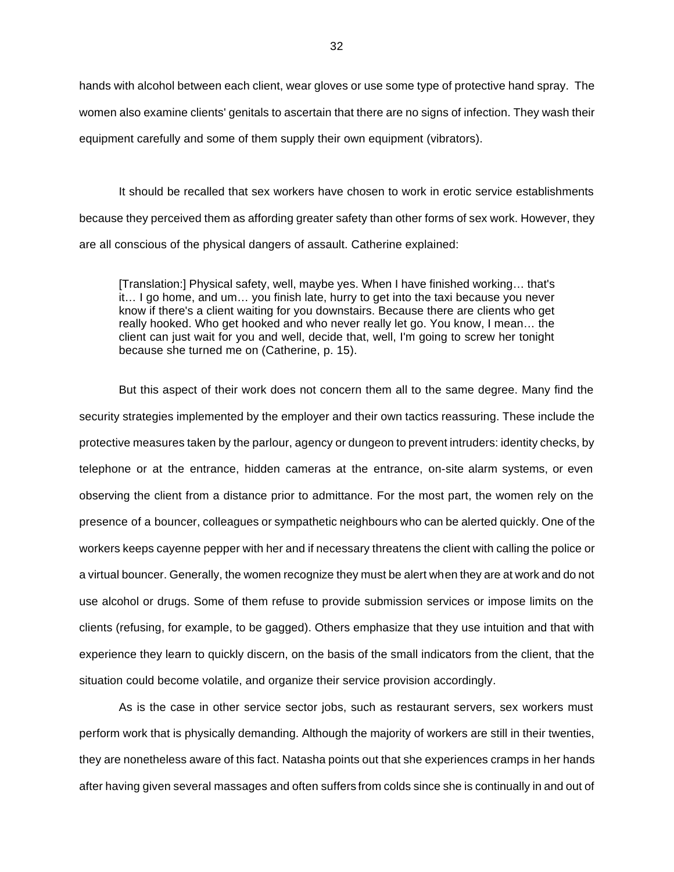hands with alcohol between each client, wear gloves or use some type of protective hand spray. The women also examine clients' genitals to ascertain that there are no signs of infection. They wash their equipment carefully and some of them supply their own equipment (vibrators).

It should be recalled that sex workers have chosen to work in erotic service establishments because they perceived them as affording greater safety than other forms of sex work. However, they are all conscious of the physical dangers of assault. Catherine explained:

[Translation:] Physical safety, well, maybe yes. When I have finished working… that's it… I go home, and um… you finish late, hurry to get into the taxi because you never know if there's a client waiting for you downstairs. Because there are clients who get really hooked. Who get hooked and who never really let go. You know, I mean… the client can just wait for you and well, decide that, well, I'm going to screw her tonight because she turned me on (Catherine, p. 15).

But this aspect of their work does not concern them all to the same degree. Many find the security strategies implemented by the employer and their own tactics reassuring. These include the protective measures taken by the parlour, agency or dungeon to prevent intruders: identity checks, by telephone or at the entrance, hidden cameras at the entrance, on-site alarm systems, or even observing the client from a distance prior to admittance. For the most part, the women rely on the presence of a bouncer, colleagues or sympathetic neighbours who can be alerted quickly. One of the workers keeps cayenne pepper with her and if necessary threatens the client with calling the police or a virtual bouncer. Generally, the women recognize they must be alert when they are at work and do not use alcohol or drugs. Some of them refuse to provide submission services or impose limits on the clients (refusing, for example, to be gagged). Others emphasize that they use intuition and that with experience they learn to quickly discern, on the basis of the small indicators from the client, that the situation could become volatile, and organize their service provision accordingly.

As is the case in other service sector jobs, such as restaurant servers, sex workers must perform work that is physically demanding. Although the majority of workers are still in their twenties, they are nonetheless aware of this fact. Natasha points out that she experiences cramps in her hands after having given several massages and often suffers from colds since she is continually in and out of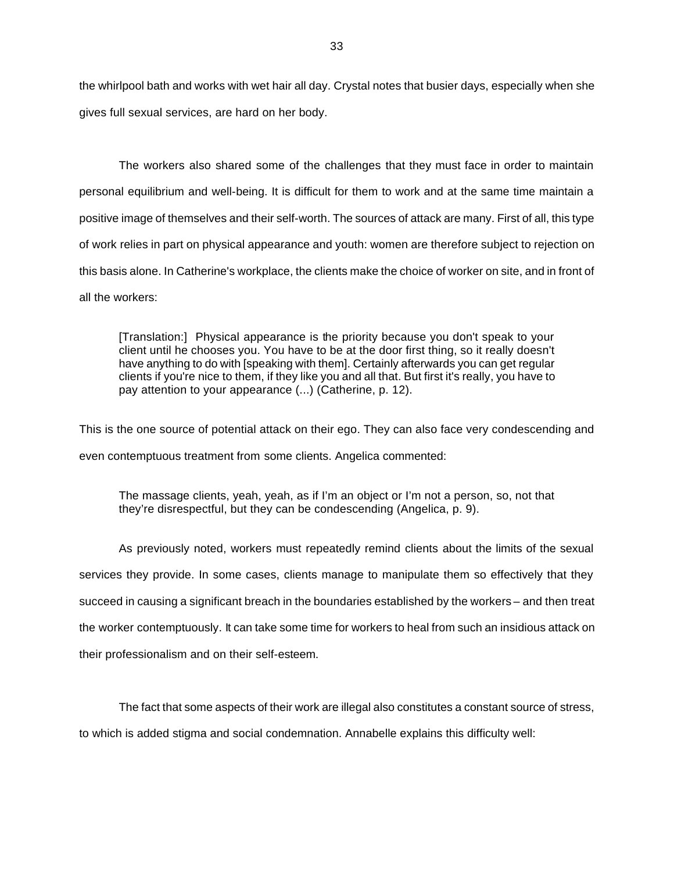the whirlpool bath and works with wet hair all day. Crystal notes that busier days, especially when she gives full sexual services, are hard on her body.

The workers also shared some of the challenges that they must face in order to maintain personal equilibrium and well-being. It is difficult for them to work and at the same time maintain a positive image of themselves and their self-worth. The sources of attack are many. First of all, this type of work relies in part on physical appearance and youth: women are therefore subject to rejection on this basis alone. In Catherine's workplace, the clients make the choice of worker on site, and in front of all the workers:

[Translation:] Physical appearance is the priority because you don't speak to your client until he chooses you. You have to be at the door first thing, so it really doesn't have anything to do with [speaking with them]. Certainly afterwards you can get regular clients if you're nice to them, if they like you and all that. But first it's really, you have to pay attention to your appearance (...) (Catherine, p. 12).

This is the one source of potential attack on their ego. They can also face very condescending and even contemptuous treatment from some clients. Angelica commented:

The massage clients, yeah, yeah, as if I'm an object or I'm not a person, so, not that they're disrespectful, but they can be condescending (Angelica, p. 9).

As previously noted, workers must repeatedly remind clients about the limits of the sexual services they provide. In some cases, clients manage to manipulate them so effectively that they succeed in causing a significant breach in the boundaries established by the workers – and then treat the worker contemptuously. It can take some time for workers to heal from such an insidious attack on their professionalism and on their self-esteem.

The fact that some aspects of their work are illegal also constitutes a constant source of stress,

to which is added stigma and social condemnation. Annabelle explains this difficulty well: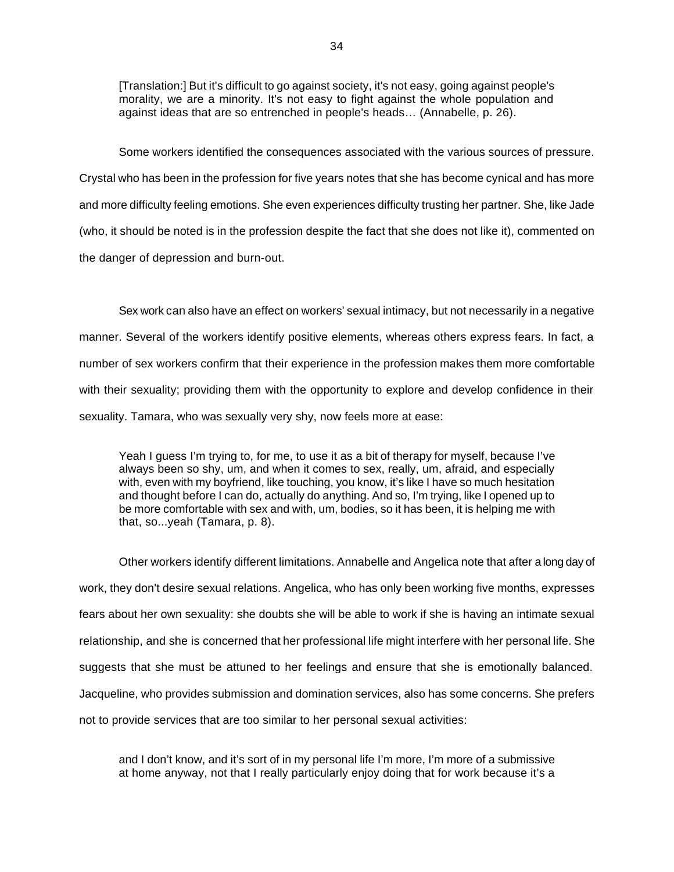[Translation:] But it's difficult to go against society, it's not easy, going against people's morality, we are a minority. It's not easy to fight against the whole population and against ideas that are so entrenched in people's heads… (Annabelle, p. 26).

Some workers identified the consequences associated with the various sources of pressure. Crystal who has been in the profession for five years notes that she has become cynical and has more and more difficulty feeling emotions. She even experiences difficulty trusting her partner. She, like Jade (who, it should be noted is in the profession despite the fact that she does not like it), commented on the danger of depression and burn-out.

Sex work can also have an effect on workers' sexual intimacy, but not necessarily in a negative manner. Several of the workers identify positive elements, whereas others express fears. In fact, a number of sex workers confirm that their experience in the profession makes them more comfortable with their sexuality; providing them with the opportunity to explore and develop confidence in their sexuality. Tamara, who was sexually very shy, now feels more at ease:

Yeah I guess I'm trying to, for me, to use it as a bit of therapy for myself, because I've always been so shy, um, and when it comes to sex, really, um, afraid, and especially with, even with my boyfriend, like touching, you know, it's like I have so much hesitation and thought before I can do, actually do anything. And so, I'm trying, like I opened up to be more comfortable with sex and with, um, bodies, so it has been, it is helping me with that, so...yeah (Tamara, p. 8).

Other workers identify different limitations. Annabelle and Angelica note that after a long day of work, they don't desire sexual relations. Angelica, who has only been working five months, expresses fears about her own sexuality: she doubts she will be able to work if she is having an intimate sexual relationship, and she is concerned that her professional life might interfere with her personal life. She suggests that she must be attuned to her feelings and ensure that she is emotionally balanced. Jacqueline, who provides submission and domination services, also has some concerns. She prefers not to provide services that are too similar to her personal sexual activities:

and I don't know, and it's sort of in my personal life I'm more, I'm more of a submissive at home anyway, not that I really particularly enjoy doing that for work because it's a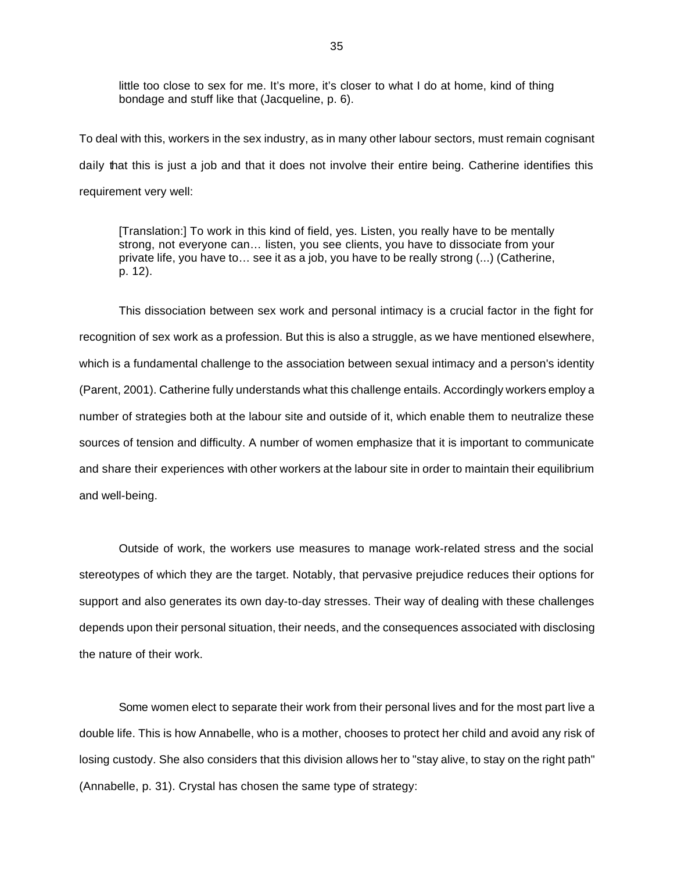little too close to sex for me. It's more, it's closer to what I do at home, kind of thing bondage and stuff like that (Jacqueline, p. 6).

To deal with this, workers in the sex industry, as in many other labour sectors, must remain cognisant daily that this is just a job and that it does not involve their entire being. Catherine identifies this requirement very well:

[Translation:] To work in this kind of field, yes. Listen, you really have to be mentally strong, not everyone can… listen, you see clients, you have to dissociate from your private life, you have to… see it as a job, you have to be really strong (...) (Catherine, p. 12).

This dissociation between sex work and personal intimacy is a crucial factor in the fight for recognition of sex work as a profession. But this is also a struggle, as we have mentioned elsewhere, which is a fundamental challenge to the association between sexual intimacy and a person's identity (Parent, 2001). Catherine fully understands what this challenge entails. Accordingly workers employ a number of strategies both at the labour site and outside of it, which enable them to neutralize these sources of tension and difficulty. A number of women emphasize that it is important to communicate and share their experiences with other workers at the labour site in order to maintain their equilibrium and well-being.

Outside of work, the workers use measures to manage work-related stress and the social stereotypes of which they are the target. Notably, that pervasive prejudice reduces their options for support and also generates its own day-to-day stresses. Their way of dealing with these challenges depends upon their personal situation, their needs, and the consequences associated with disclosing the nature of their work.

Some women elect to separate their work from their personal lives and for the most part live a double life. This is how Annabelle, who is a mother, chooses to protect her child and avoid any risk of losing custody. She also considers that this division allows her to "stay alive, to stay on the right path" (Annabelle, p. 31). Crystal has chosen the same type of strategy: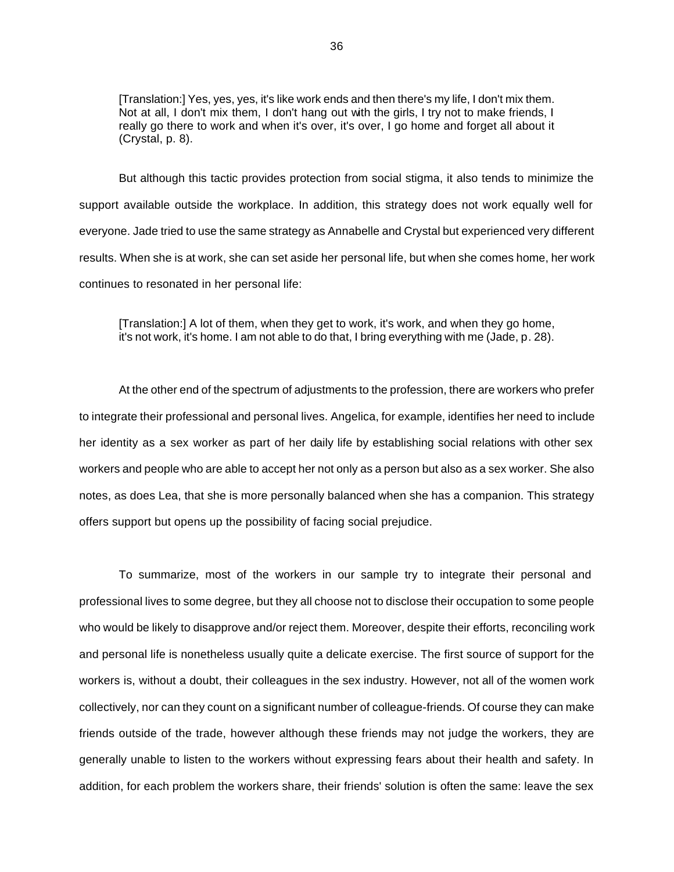[Translation:] Yes, yes, yes, it's like work ends and then there's my life, I don't mix them. Not at all, I don't mix them, I don't hang out with the girls, I try not to make friends, I really go there to work and when it's over, it's over, I go home and forget all about it (Crystal, p. 8).

But although this tactic provides protection from social stigma, it also tends to minimize the support available outside the workplace. In addition, this strategy does not work equally well for everyone. Jade tried to use the same strategy as Annabelle and Crystal but experienced very different results. When she is at work, she can set aside her personal life, but when she comes home, her work continues to resonated in her personal life:

[Translation:] A lot of them, when they get to work, it's work, and when they go home, it's not work, it's home. I am not able to do that, I bring everything with me (Jade, p. 28).

At the other end of the spectrum of adjustments to the profession, there are workers who prefer to integrate their professional and personal lives. Angelica, for example, identifies her need to include her identity as a sex worker as part of her daily life by establishing social relations with other sex workers and people who are able to accept her not only as a person but also as a sex worker. She also notes, as does Lea, that she is more personally balanced when she has a companion. This strategy offers support but opens up the possibility of facing social prejudice.

To summarize, most of the workers in our sample try to integrate their personal and professional lives to some degree, but they all choose not to disclose their occupation to some people who would be likely to disapprove and/or reject them. Moreover, despite their efforts, reconciling work and personal life is nonetheless usually quite a delicate exercise. The first source of support for the workers is, without a doubt, their colleagues in the sex industry. However, not all of the women work collectively, nor can they count on a significant number of colleague-friends. Of course they can make friends outside of the trade, however although these friends may not judge the workers, they are generally unable to listen to the workers without expressing fears about their health and safety. In addition, for each problem the workers share, their friends' solution is often the same: leave the sex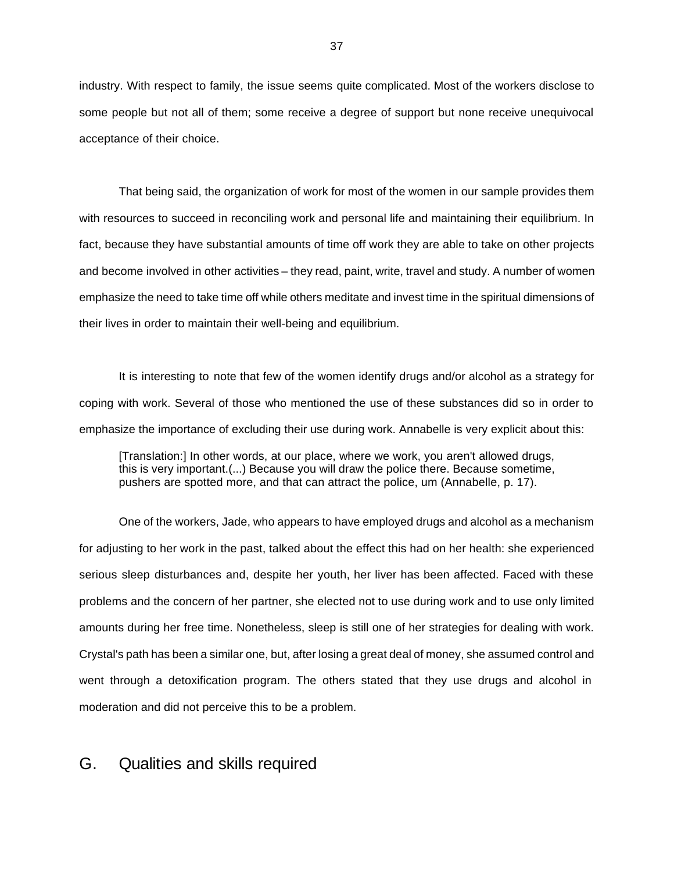industry. With respect to family, the issue seems quite complicated. Most of the workers disclose to some people but not all of them; some receive a degree of support but none receive unequivocal acceptance of their choice.

That being said, the organization of work for most of the women in our sample provides them with resources to succeed in reconciling work and personal life and maintaining their equilibrium. In fact, because they have substantial amounts of time off work they are able to take on other projects and become involved in other activities – they read, paint, write, travel and study. A number of women emphasize the need to take time off while others meditate and invest time in the spiritual dimensions of their lives in order to maintain their well-being and equilibrium.

It is interesting to note that few of the women identify drugs and/or alcohol as a strategy for coping with work. Several of those who mentioned the use of these substances did so in order to emphasize the importance of excluding their use during work. Annabelle is very explicit about this:

[Translation:] In other words, at our place, where we work, you aren't allowed drugs, this is very important.(...) Because you will draw the police there. Because sometime, pushers are spotted more, and that can attract the police, um (Annabelle, p. 17).

One of the workers, Jade, who appears to have employed drugs and alcohol as a mechanism for adjusting to her work in the past, talked about the effect this had on her health: she experienced serious sleep disturbances and, despite her youth, her liver has been affected. Faced with these problems and the concern of her partner, she elected not to use during work and to use only limited amounts during her free time. Nonetheless, sleep is still one of her strategies for dealing with work. Crystal's path has been a similar one, but, after losing a great deal of money, she assumed control and went through a detoxification program. The others stated that they use drugs and alcohol in moderation and did not perceive this to be a problem.

#### G. Qualities and skills required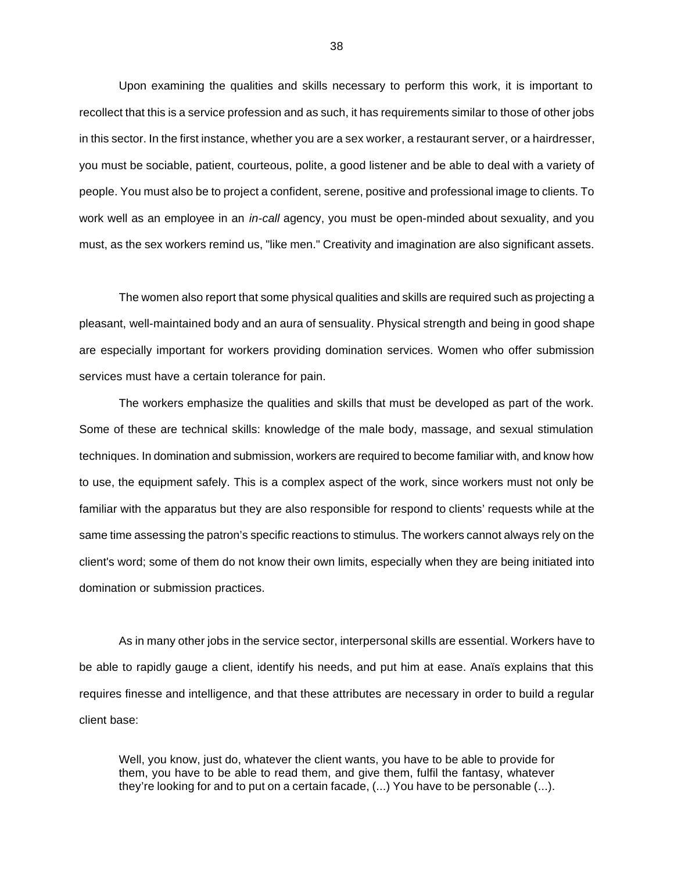Upon examining the qualities and skills necessary to perform this work, it is important to recollect that this is a service profession and as such, it has requirements similar to those of other jobs in this sector. In the first instance, whether you are a sex worker, a restaurant server, or a hairdresser, you must be sociable, patient, courteous, polite, a good listener and be able to deal with a variety of people. You must also be to project a confident, serene, positive and professional image to clients. To work well as an employee in an *in-call* agency, you must be open-minded about sexuality, and you must, as the sex workers remind us, "like men." Creativity and imagination are also significant assets.

The women also report that some physical qualities and skills are required such as projecting a pleasant, well-maintained body and an aura of sensuality. Physical strength and being in good shape are especially important for workers providing domination services. Women who offer submission services must have a certain tolerance for pain.

The workers emphasize the qualities and skills that must be developed as part of the work. Some of these are technical skills: knowledge of the male body, massage, and sexual stimulation techniques. In domination and submission, workers are required to become familiar with, and know how to use, the equipment safely. This is a complex aspect of the work, since workers must not only be familiar with the apparatus but they are also responsible for respond to clients' requests while at the same time assessing the patron's specific reactions to stimulus. The workers cannot always rely on the client's word; some of them do not know their own limits, especially when they are being initiated into domination or submission practices.

As in many other jobs in the service sector, interpersonal skills are essential. Workers have to be able to rapidly gauge a client, identify his needs, and put him at ease. Anaïs explains that this requires finesse and intelligence, and that these attributes are necessary in order to build a regular client base:

Well, you know, just do, whatever the client wants, you have to be able to provide for them, you have to be able to read them, and give them, fulfil the fantasy, whatever they're looking for and to put on a certain facade, (...) You have to be personable (...).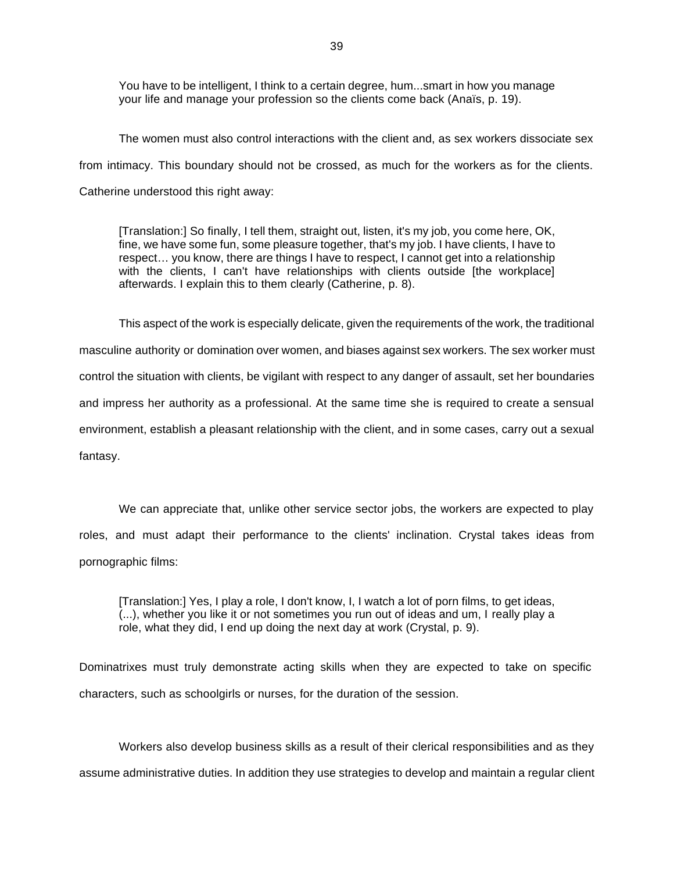You have to be intelligent, I think to a certain degree, hum...smart in how you manage your life and manage your profession so the clients come back (Anaïs, p. 19).

The women must also control interactions with the client and, as sex workers dissociate sex from intimacy. This boundary should not be crossed, as much for the workers as for the clients. Catherine understood this right away:

[Translation:] So finally, I tell them, straight out, listen, it's my job, you come here, OK, fine, we have some fun, some pleasure together, that's my job. I have clients, I have to respect… you know, there are things I have to respect, I cannot get into a relationship with the clients, I can't have relationships with clients outside [the workplace] afterwards. I explain this to them clearly (Catherine, p. 8).

This aspect of the work is especially delicate, given the requirements of the work, the traditional masculine authority or domination over women, and biases against sex workers. The sex worker must control the situation with clients, be vigilant with respect to any danger of assault, set her boundaries and impress her authority as a professional. At the same time she is required to create a sensual environment, establish a pleasant relationship with the client, and in some cases, carry out a sexual fantasy.

We can appreciate that, unlike other service sector jobs, the workers are expected to play roles, and must adapt their performance to the clients' inclination. Crystal takes ideas from pornographic films:

[Translation:] Yes, I play a role, I don't know, I, I watch a lot of porn films, to get ideas, (...), whether you like it or not sometimes you run out of ideas and um, I really play a role, what they did, I end up doing the next day at work (Crystal, p. 9).

Dominatrixes must truly demonstrate acting skills when they are expected to take on specific characters, such as schoolgirls or nurses, for the duration of the session.

Workers also develop business skills as a result of their clerical responsibilities and as they assume administrative duties. In addition they use strategies to develop and maintain a regular client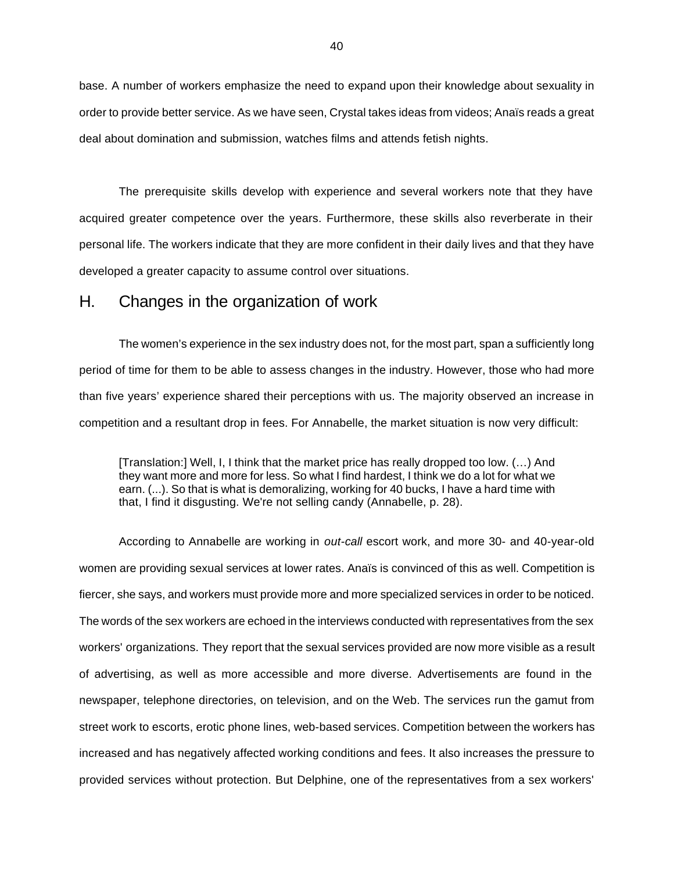base. A number of workers emphasize the need to expand upon their knowledge about sexuality in order to provide better service. As we have seen, Crystal takes ideas from videos; Anaïs reads a great deal about domination and submission, watches films and attends fetish nights.

The prerequisite skills develop with experience and several workers note that they have acquired greater competence over the years. Furthermore, these skills also reverberate in their personal life. The workers indicate that they are more confident in their daily lives and that they have developed a greater capacity to assume control over situations.

#### H. Changes in the organization of work

The women's experience in the sex industry does not, for the most part, span a sufficiently long period of time for them to be able to assess changes in the industry. However, those who had more than five years' experience shared their perceptions with us. The majority observed an increase in competition and a resultant drop in fees. For Annabelle, the market situation is now very difficult:

[Translation:] Well, I, I think that the market price has really dropped too low. (…) And they want more and more for less. So what I find hardest, I think we do a lot for what we earn. (...). So that is what is demoralizing, working for 40 bucks, I have a hard time with that, I find it disgusting. We're not selling candy (Annabelle, p. 28).

According to Annabelle are working in *out-call* escort work, and more 30- and 40-year-old women are providing sexual services at lower rates. Anaïs is convinced of this as well. Competition is fiercer, she says, and workers must provide more and more specialized services in order to be noticed. The words of the sex workers are echoed in the interviews conducted with representatives from the sex workers' organizations. They report that the sexual services provided are now more visible as a result of advertising, as well as more accessible and more diverse. Advertisements are found in the newspaper, telephone directories, on television, and on the Web. The services run the gamut from street work to escorts, erotic phone lines, web-based services. Competition between the workers has increased and has negatively affected working conditions and fees. It also increases the pressure to provided services without protection. But Delphine, one of the representatives from a sex workers'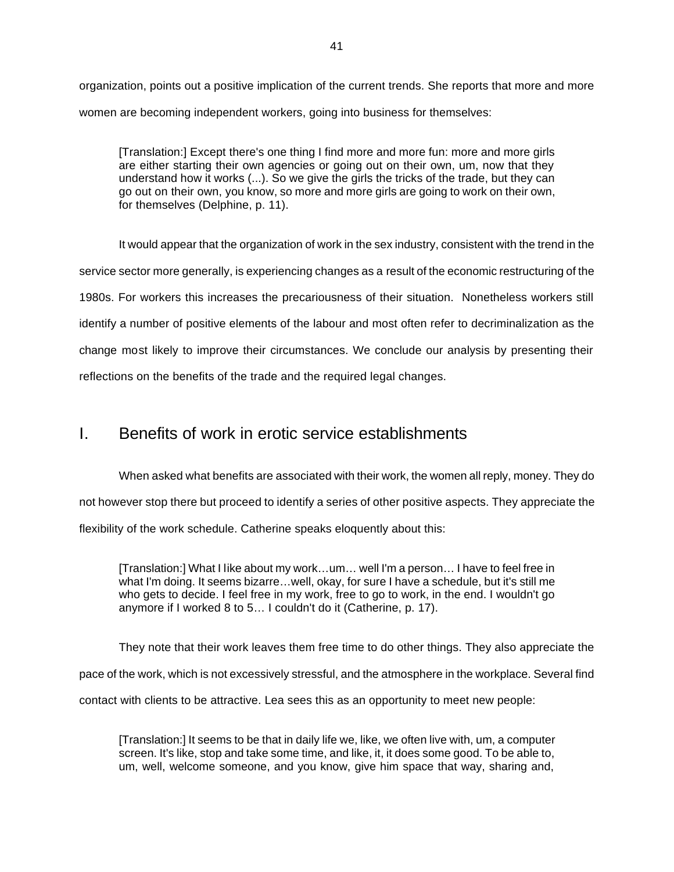organization, points out a positive implication of the current trends. She reports that more and more women are becoming independent workers, going into business for themselves:

[Translation:] Except there's one thing I find more and more fun: more and more girls are either starting their own agencies or going out on their own, um, now that they understand how it works (...). So we give the girls the tricks of the trade, but they can go out on their own, you know, so more and more girls are going to work on their own, for themselves (Delphine, p. 11).

It would appear that the organization of work in the sex industry, consistent with the trend in the service sector more generally, is experiencing changes as a result of the economic restructuring of the 1980s. For workers this increases the precariousness of their situation. Nonetheless workers still identify a number of positive elements of the labour and most often refer to decriminalization as the change most likely to improve their circumstances. We conclude our analysis by presenting their reflections on the benefits of the trade and the required legal changes.

### I. Benefits of work in erotic service establishments

When asked what benefits are associated with their work, the women all reply, money. They do not however stop there but proceed to identify a series of other positive aspects. They appreciate the flexibility of the work schedule. Catherine speaks eloquently about this:

[Translation:] What I like about my work…um… well I'm a person… I have to feel free in what I'm doing. It seems bizarre…well, okay, for sure I have a schedule, but it's still me who gets to decide. I feel free in my work, free to go to work, in the end. I wouldn't go anymore if I worked 8 to 5… I couldn't do it (Catherine, p. 17).

They note that their work leaves them free time to do other things. They also appreciate the pace of the work, which is not excessively stressful, and the atmosphere in the workplace. Several find contact with clients to be attractive. Lea sees this as an opportunity to meet new people:

[Translation:] It seems to be that in daily life we, like, we often live with, um, a computer screen. It's like, stop and take some time, and like, it, it does some good. To be able to, um, well, welcome someone, and you know, give him space that way, sharing and,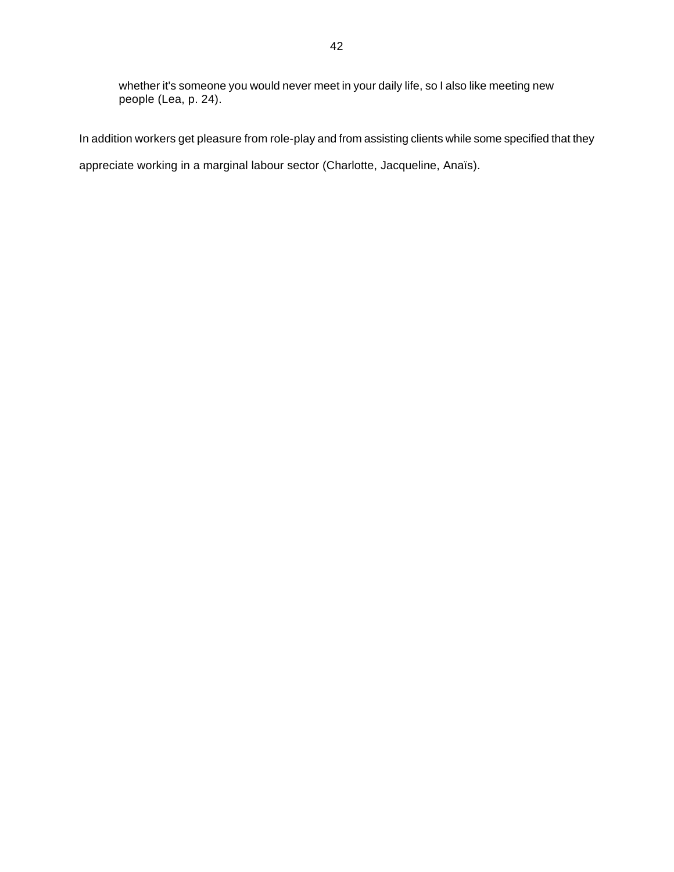whether it's someone you would never meet in your daily life, so I also like meeting new people (Lea, p. 24).

In addition workers get pleasure from role-play and from assisting clients while some specified that they

appreciate working in a marginal labour sector (Charlotte, Jacqueline, Anaïs).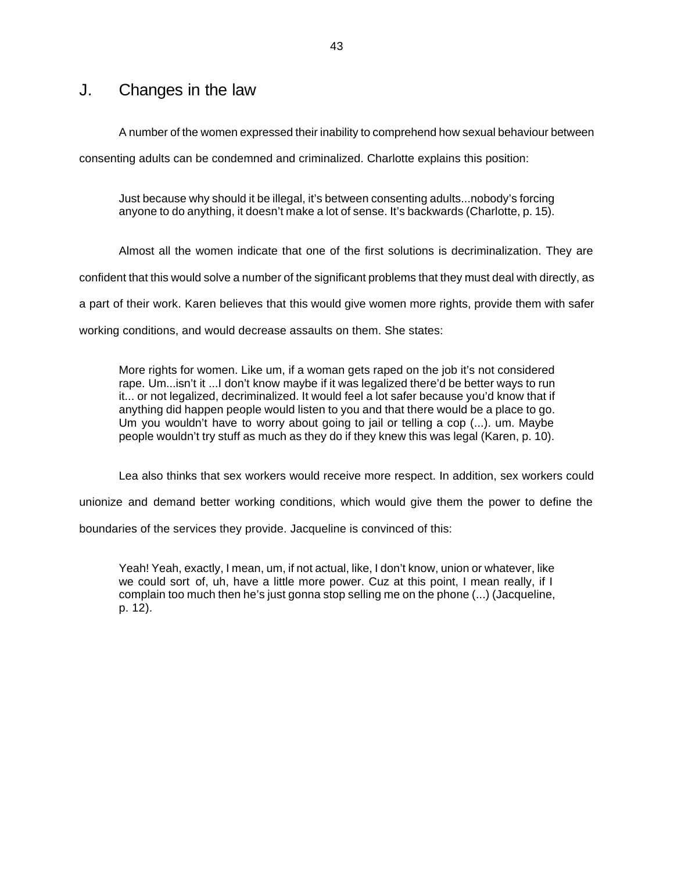#### J. Changes in the law

A number of the women expressed their inability to comprehend how sexual behaviour between consenting adults can be condemned and criminalized. Charlotte explains this position:

Just because why should it be illegal, it's between consenting adults...nobody's forcing anyone to do anything, it doesn't make a lot of sense. It's backwards (Charlotte, p. 15).

Almost all the women indicate that one of the first solutions is decriminalization. They are confident that this would solve a number of the significant problems that they must deal with directly, as a part of their work. Karen believes that this would give women more rights, provide them with safer working conditions, and would decrease assaults on them. She states:

More rights for women. Like um, if a woman gets raped on the job it's not considered rape. Um...isn't it ...I don't know maybe if it was legalized there'd be better ways to run it... or not legalized, decriminalized. It would feel a lot safer because you'd know that if anything did happen people would listen to you and that there would be a place to go. Um you wouldn't have to worry about going to jail or telling a cop (...). um. Maybe people wouldn't try stuff as much as they do if they knew this was legal (Karen, p. 10).

Lea also thinks that sex workers would receive more respect. In addition, sex workers could

unionize and demand better working conditions, which would give them the power to define the

boundaries of the services they provide. Jacqueline is convinced of this:

Yeah! Yeah, exactly, I mean, um, if not actual, like, I don't know, union or whatever, like we could sort of, uh, have a little more power. Cuz at this point, I mean really, if I complain too much then he's just gonna stop selling me on the phone (...) (Jacqueline, p. 12).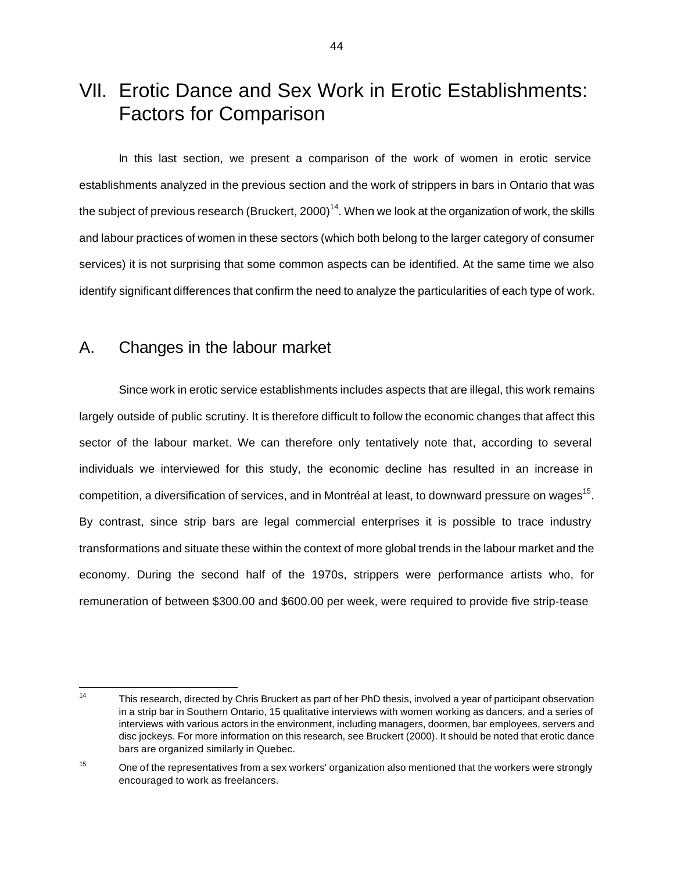# VII. Erotic Dance and Sex Work in Erotic Establishments: Factors for Comparison

In this last section, we present a comparison of the work of women in erotic service establishments analyzed in the previous section and the work of strippers in bars in Ontario that was the subject of previous research (Bruckert, 2000)<sup>14</sup>. When we look at the organization of work, the skills and labour practices of women in these sectors (which both belong to the larger category of consumer services) it is not surprising that some common aspects can be identified. At the same time we also identify significant differences that confirm the need to analyze the particularities of each type of work.

#### A. Changes in the labour market

Since work in erotic service establishments includes aspects that are illegal, this work remains largely outside of public scrutiny. It is therefore difficult to follow the economic changes that affect this sector of the labour market. We can therefore only tentatively note that, according to several individuals we interviewed for this study, the economic decline has resulted in an increase in competition, a diversification of services, and in Montréal at least, to downward pressure on wages<sup>15</sup>. By contrast, since strip bars are legal commercial enterprises it is possible to trace industry transformations and situate these within the context of more global trends in the labour market and the economy. During the second half of the 1970s, strippers were performance artists who, for remuneration of between \$300.00 and \$600.00 per week, were required to provide five strip-tease

This research, directed by Chris Bruckert as part of her PhD thesis, involved a year of participant observation in a strip bar in Southern Ontario, 15 qualitative interviews with women working as dancers, and a series of interviews with various actors in the environment, including managers, doormen, bar employees, servers and disc jockeys. For more information on this research, see Bruckert (2000). It should be noted that erotic dance bars are organized similarly in Quebec.

<sup>&</sup>lt;sup>15</sup> One of the representatives from a sex workers' organization also mentioned that the workers were strongly encouraged to work as freelancers.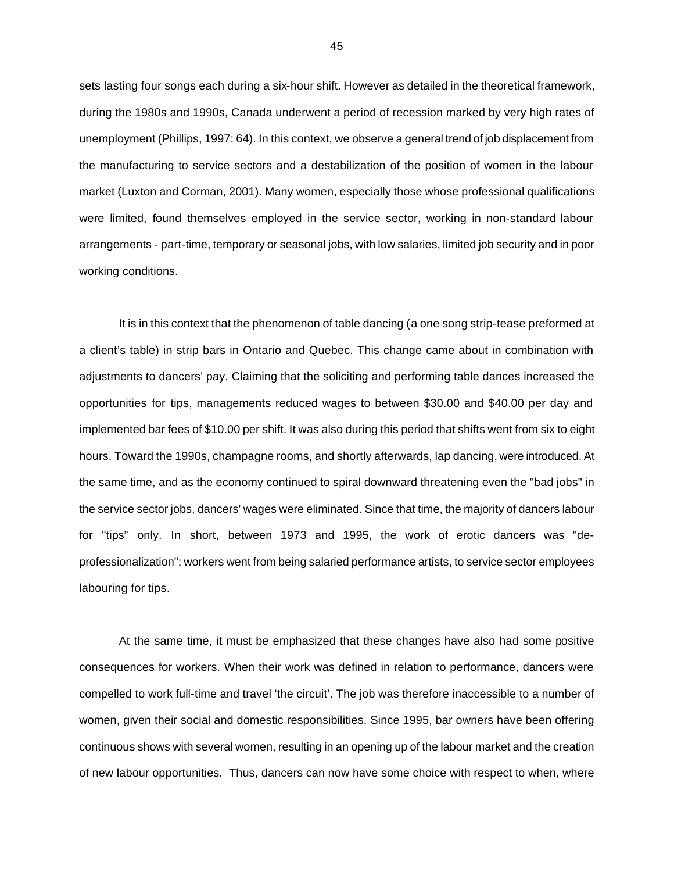sets lasting four songs each during a six-hour shift. However as detailed in the theoretical framework, during the 1980s and 1990s, Canada underwent a period of recession marked by very high rates of unemployment (Phillips, 1997: 64). In this context, we observe a general trend of job displacement from the manufacturing to service sectors and a destabilization of the position of women in the labour market (Luxton and Corman, 2001). Many women, especially those whose professional qualifications were limited, found themselves employed in the service sector, working in non-standard labour arrangements - part-time, temporary or seasonal jobs, with low salaries, limited job security and in poor working conditions.

It is in this context that the phenomenon of table dancing (a one song strip-tease preformed at a client's table) in strip bars in Ontario and Quebec. This change came about in combination with adjustments to dancers' pay. Claiming that the soliciting and performing table dances increased the opportunities for tips, managements reduced wages to between \$30.00 and \$40.00 per day and implemented bar fees of \$10.00 per shift. It was also during this period that shifts went from six to eight hours. Toward the 1990s, champagne rooms, and shortly afterwards, lap dancing, were introduced. At the same time, and as the economy continued to spiral downward threatening even the "bad jobs" in the service sector jobs, dancers' wages were eliminated. Since that time, the majority of dancers labour for "tips" only. In short, between 1973 and 1995, the work of erotic dancers was "deprofessionalization"; workers went from being salaried performance artists, to service sector employees labouring for tips.

At the same time, it must be emphasized that these changes have also had some positive consequences for workers. When their work was defined in relation to performance, dancers were compelled to work full-time and travel 'the circuit'. The job was therefore inaccessible to a number of women, given their social and domestic responsibilities. Since 1995, bar owners have been offering continuous shows with several women, resulting in an opening up of the labour market and the creation of new labour opportunities. Thus, dancers can now have some choice with respect to when, where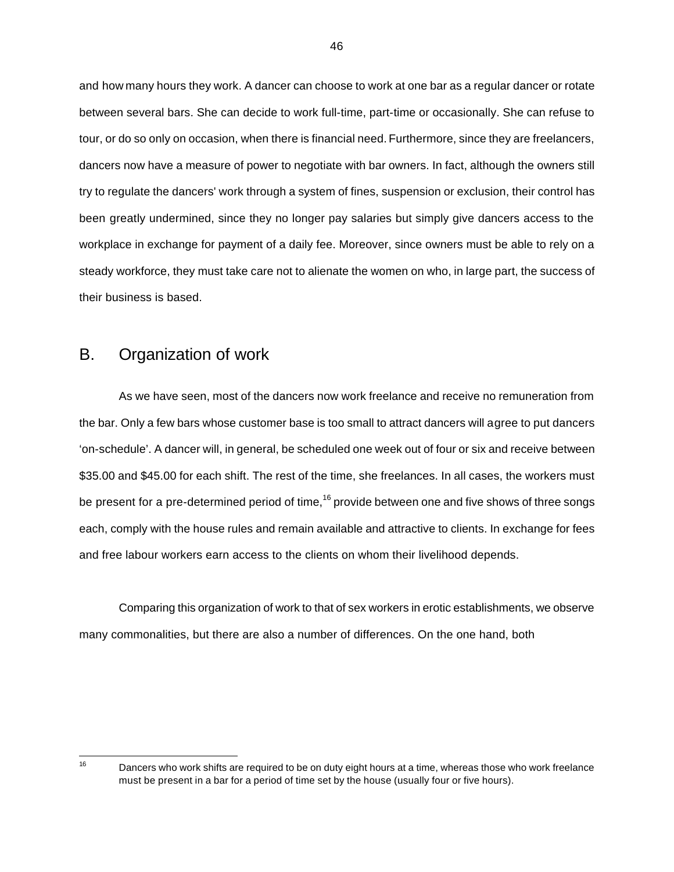and how many hours they work. A dancer can choose to work at one bar as a regular dancer or rotate between several bars. She can decide to work full-time, part-time or occasionally. She can refuse to tour, or do so only on occasion, when there is financial need. Furthermore, since they are freelancers, dancers now have a measure of power to negotiate with bar owners. In fact, although the owners still try to regulate the dancers' work through a system of fines, suspension or exclusion, their control has been greatly undermined, since they no longer pay salaries but simply give dancers access to the workplace in exchange for payment of a daily fee. Moreover, since owners must be able to rely on a steady workforce, they must take care not to alienate the women on who, in large part, the success of their business is based.

#### B. Organization of work

As we have seen, most of the dancers now work freelance and receive no remuneration from the bar. Only a few bars whose customer base is too small to attract dancers will agree to put dancers 'on-schedule'. A dancer will, in general, be scheduled one week out of four or six and receive between \$35.00 and \$45.00 for each shift. The rest of the time, she freelances. In all cases, the workers must be present for a pre-determined period of time,  $16$  provide between one and five shows of three songs each, comply with the house rules and remain available and attractive to clients. In exchange for fees and free labour workers earn access to the clients on whom their livelihood depends.

Comparing this organization of work to that of sex workers in erotic establishments, we observe many commonalities, but there are also a number of differences. On the one hand, both

<sup>16</sup> 

Dancers who work shifts are required to be on duty eight hours at a time, whereas those who work freelance must be present in a bar for a period of time set by the house (usually four or five hours).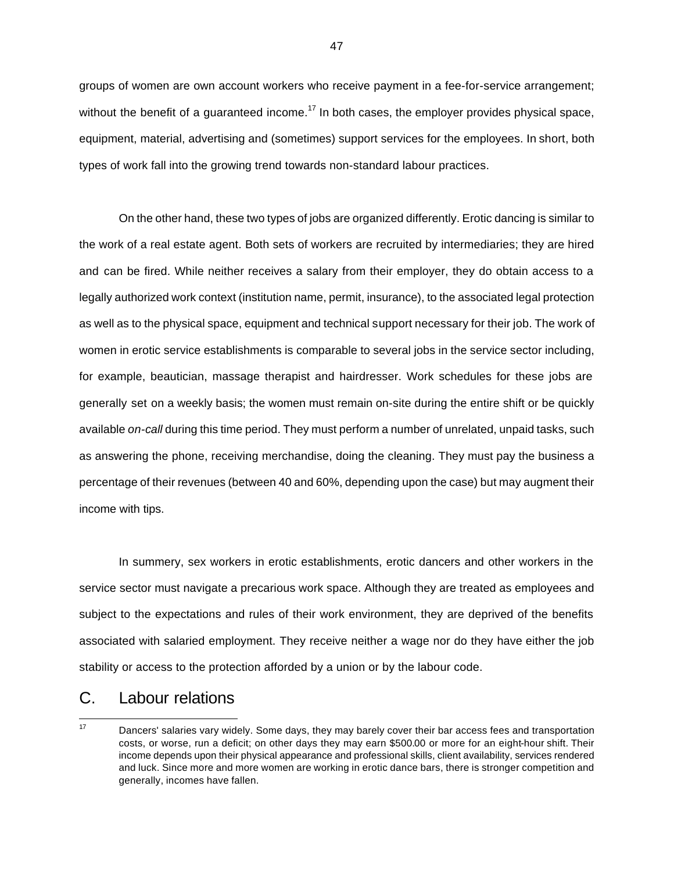groups of women are own account workers who receive payment in a fee-for-service arrangement; without the benefit of a guaranteed income.<sup>17</sup> In both cases, the employer provides physical space, equipment, material, advertising and (sometimes) support services for the employees. In short, both types of work fall into the growing trend towards non-standard labour practices.

On the other hand, these two types of jobs are organized differently. Erotic dancing is similar to the work of a real estate agent. Both sets of workers are recruited by intermediaries; they are hired and can be fired. While neither receives a salary from their employer, they do obtain access to a legally authorized work context (institution name, permit, insurance), to the associated legal protection as well as to the physical space, equipment and technical support necessary for their job. The work of women in erotic service establishments is comparable to several jobs in the service sector including, for example, beautician, massage therapist and hairdresser. Work schedules for these jobs are generally set on a weekly basis; the women must remain on-site during the entire shift or be quickly available *on-call* during this time period. They must perform a number of unrelated, unpaid tasks, such as answering the phone, receiving merchandise, doing the cleaning. They must pay the business a percentage of their revenues (between 40 and 60%, depending upon the case) but may augment their income with tips.

In summery, sex workers in erotic establishments, erotic dancers and other workers in the service sector must navigate a precarious work space. Although they are treated as employees and subject to the expectations and rules of their work environment, they are deprived of the benefits associated with salaried employment. They receive neither a wage nor do they have either the job stability or access to the protection afforded by a union or by the labour code.

#### C. Labour relations

 $17<sup>°</sup>$ Dancers' salaries vary widely. Some days, they may barely cover their bar access fees and transportation costs, or worse, run a deficit; on other days they may earn \$500.00 or more for an eight-hour shift. Their income depends upon their physical appearance and professional skills, client availability, services rendered and luck. Since more and more women are working in erotic dance bars, there is stronger competition and generally, incomes have fallen.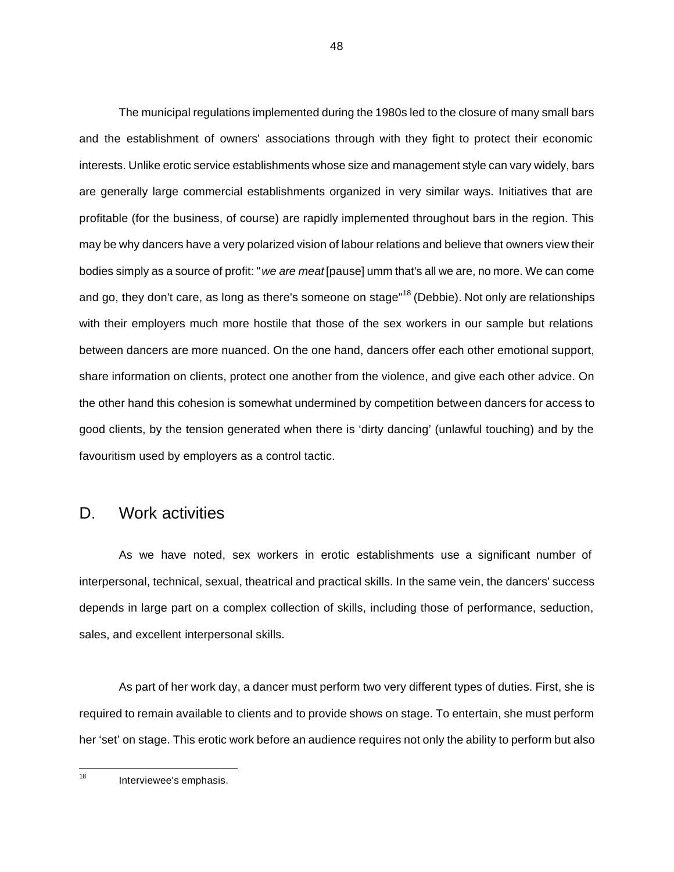The municipal regulations implemented during the 1980s led to the closure of many small bars and the establishment of owners' associations through with they fight to protect their economic interests. Unlike erotic service establishments whose size and management style can vary widely, bars are generally large commercial establishments organized in very similar ways. Initiatives that are profitable (for the business, of course) are rapidly implemented throughout bars in the region. This may be why dancers have a very polarized vision of labour relations and believe that owners view their bodies simply as a source of profit: "*we are meat* [pause] umm that's all we are, no more. We can come and go, they don't care, as long as there's someone on stage"<sup>18</sup> (Debbie). Not only are relationships with their employers much more hostile that those of the sex workers in our sample but relations between dancers are more nuanced. On the one hand, dancers offer each other emotional support, share information on clients, protect one another from the violence, and give each other advice. On the other hand this cohesion is somewhat undermined by competition between dancers for access to good clients, by the tension generated when there is 'dirty dancing' (unlawful touching) and by the favouritism used by employers as a control tactic.

#### D. Work activities

As we have noted, sex workers in erotic establishments use a significant number of interpersonal, technical, sexual, theatrical and practical skills. In the same vein, the dancers' success depends in large part on a complex collection of skills, including those of performance, seduction, sales, and excellent interpersonal skills.

As part of her work day, a dancer must perform two very different types of duties. First, she is required to remain available to clients and to provide shows on stage. To entertain, she must perform her 'set' on stage. This erotic work before an audience requires not only the ability to perform but also

Interviewee's emphasis.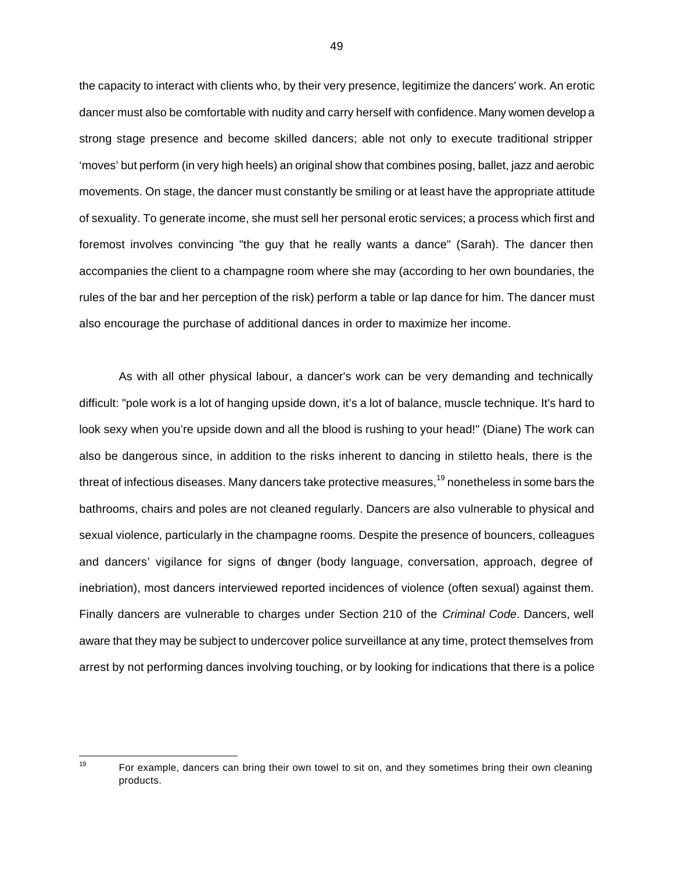the capacity to interact with clients who, by their very presence, legitimize the dancers' work. An erotic dancer must also be comfortable with nudity and carry herself with confidence. Many women develop a strong stage presence and become skilled dancers; able not only to execute traditional stripper 'moves' but perform (in very high heels) an original show that combines posing, ballet, jazz and aerobic movements. On stage, the dancer must constantly be smiling or at least have the appropriate attitude of sexuality. To generate income, she must sell her personal erotic services; a process which first and foremost involves convincing "the guy that he really wants a dance" (Sarah). The dancer then accompanies the client to a champagne room where she may (according to her own boundaries, the rules of the bar and her perception of the risk) perform a table or lap dance for him. The dancer must also encourage the purchase of additional dances in order to maximize her income.

As with all other physical labour, a dancer's work can be very demanding and technically difficult: "pole work is a lot of hanging upside down, it's a lot of balance, muscle technique. It's hard to look sexy when you're upside down and all the blood is rushing to your head!" (Diane) The work can also be dangerous since, in addition to the risks inherent to dancing in stiletto heals, there is the threat of infectious diseases. Many dancers take protective measures,<sup>19</sup> nonetheless in some bars the bathrooms, chairs and poles are not cleaned regularly. Dancers are also vulnerable to physical and sexual violence, particularly in the champagne rooms. Despite the presence of bouncers, colleagues and dancers' vigilance for signs of danger (body language, conversation, approach, degree of inebriation), most dancers interviewed reported incidences of violence (often sexual) against them. Finally dancers are vulnerable to charges under Section 210 of the *Criminal Code*. Dancers, well aware that they may be subject to undercover police surveillance at any time, protect themselves from arrest by not performing dances involving touching, or by looking for indications that there is a police

For example, dancers can bring their own towel to sit on, and they sometimes bring their own cleaning products.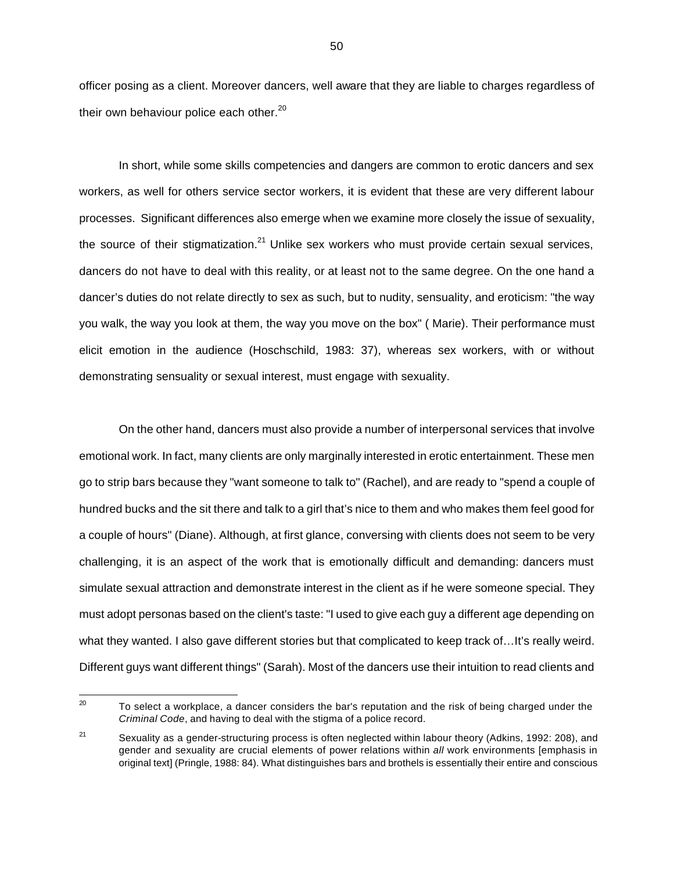officer posing as a client. Moreover dancers, well aware that they are liable to charges regardless of their own behaviour police each other. $20$ 

In short, while some skills competencies and dangers are common to erotic dancers and sex workers, as well for others service sector workers, it is evident that these are very different labour processes. Significant differences also emerge when we examine more closely the issue of sexuality, the source of their stigmatization.<sup>21</sup> Unlike sex workers who must provide certain sexual services, dancers do not have to deal with this reality, or at least not to the same degree. On the one hand a dancer's duties do not relate directly to sex as such, but to nudity, sensuality, and eroticism: "the way you walk, the way you look at them, the way you move on the box" ( Marie). Their performance must elicit emotion in the audience (Hoschschild, 1983: 37), whereas sex workers, with or without demonstrating sensuality or sexual interest, must engage with sexuality.

On the other hand, dancers must also provide a number of interpersonal services that involve emotional work. In fact, many clients are only marginally interested in erotic entertainment. These men go to strip bars because they "want someone to talk to" (Rachel), and are ready to "spend a couple of hundred bucks and the sit there and talk to a girl that's nice to them and who makes them feel good for a couple of hours" (Diane). Although, at first glance, conversing with clients does not seem to be very challenging, it is an aspect of the work that is emotionally difficult and demanding: dancers must simulate sexual attraction and demonstrate interest in the client as if he were someone special. They must adopt personas based on the client's taste: "I used to give each guy a different age depending on what they wanted. I also gave different stories but that complicated to keep track of...It's really weird. Different guys want different things" (Sarah). Most of the dancers use their intuition to read clients and

 $20\,$ <sup>20</sup> To select a workplace, a dancer considers the bar's reputation and the risk of being charged under the *Criminal Code*, and having to deal with the stigma of a police record.

<sup>&</sup>lt;sup>21</sup> Sexuality as a gender-structuring process is often neglected within labour theory (Adkins, 1992: 208), and gender and sexuality are crucial elements of power relations within *all* work environments [emphasis in original text] (Pringle, 1988: 84). What distinguishes bars and brothels is essentially their entire and conscious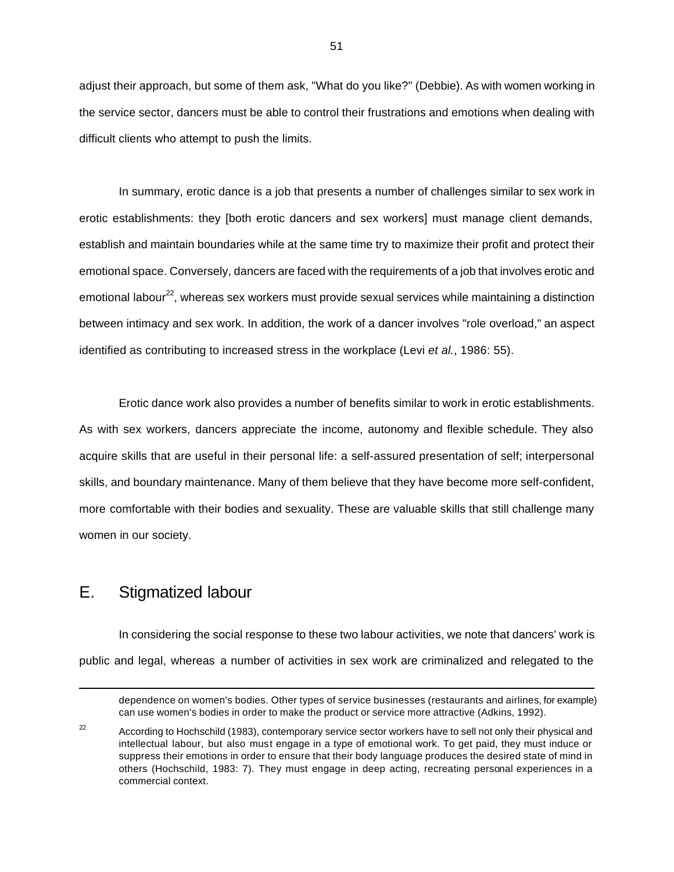adjust their approach, but some of them ask, "What do you like?" (Debbie). As with women working in the service sector, dancers must be able to control their frustrations and emotions when dealing with difficult clients who attempt to push the limits.

In summary, erotic dance is a job that presents a number of challenges similar to sex work in erotic establishments: they [both erotic dancers and sex workers] must manage client demands, establish and maintain boundaries while at the same time try to maximize their profit and protect their emotional space. Conversely, dancers are faced with the requirements of a job that involves erotic and emotional labour<sup>22</sup>, whereas sex workers must provide sexual services while maintaining a distinction between intimacy and sex work. In addition, the work of a dancer involves "role overload," an aspect identified as contributing to increased stress in the workplace (Levi *et al.*, 1986: 55).

Erotic dance work also provides a number of benefits similar to work in erotic establishments. As with sex workers, dancers appreciate the income, autonomy and flexible schedule. They also acquire skills that are useful in their personal life: a self-assured presentation of self; interpersonal skills, and boundary maintenance. Many of them believe that they have become more self-confident, more comfortable with their bodies and sexuality. These are valuable skills that still challenge many women in our society.

## E. Stigmatized labour

 $\overline{a}$ 

In considering the social response to these two labour activities, we note that dancers' work is public and legal, whereas a number of activities in sex work are criminalized and relegated to the

dependence on women's bodies. Other types of service businesses (restaurants and airlines, for example) can use women's bodies in order to make the product or service more attractive (Adkins, 1992).

 $22$  According to Hochschild (1983), contemporary service sector workers have to sell not only their physical and intellectual labour, but also must engage in a type of emotional work. To get paid, they must induce or suppress their emotions in order to ensure that their body language produces the desired state of mind in others (Hochschild, 1983: 7). They must engage in deep acting, recreating personal experiences in a commercial context.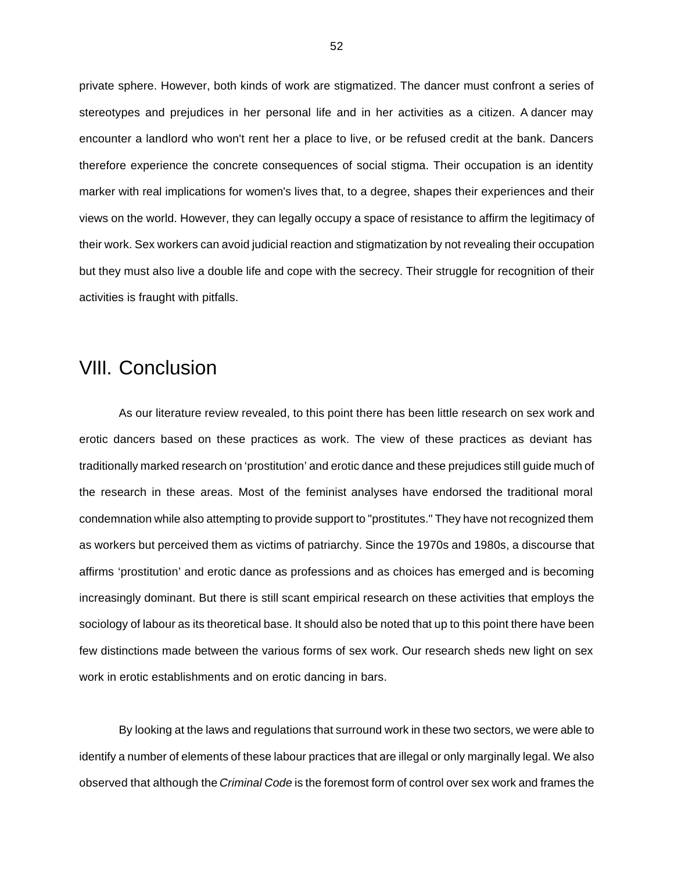private sphere. However, both kinds of work are stigmatized. The dancer must confront a series of stereotypes and prejudices in her personal life and in her activities as a citizen. A dancer may encounter a landlord who won't rent her a place to live, or be refused credit at the bank. Dancers therefore experience the concrete consequences of social stigma. Their occupation is an identity marker with real implications for women's lives that, to a degree, shapes their experiences and their views on the world. However, they can legally occupy a space of resistance to affirm the legitimacy of their work. Sex workers can avoid judicial reaction and stigmatization by not revealing their occupation but they must also live a double life and cope with the secrecy. Their struggle for recognition of their activities is fraught with pitfalls.

## VIII. Conclusion

As our literature review revealed, to this point there has been little research on sex work and erotic dancers based on these practices as work. The view of these practices as deviant has traditionally marked research on 'prostitution' and erotic dance and these prejudices still guide much of the research in these areas. Most of the feminist analyses have endorsed the traditional moral condemnation while also attempting to provide support to "prostitutes." They have not recognized them as workers but perceived them as victims of patriarchy. Since the 1970s and 1980s, a discourse that affirms 'prostitution' and erotic dance as professions and as choices has emerged and is becoming increasingly dominant. But there is still scant empirical research on these activities that employs the sociology of labour as its theoretical base. It should also be noted that up to this point there have been few distinctions made between the various forms of sex work. Our research sheds new light on sex work in erotic establishments and on erotic dancing in bars.

By looking at the laws and regulations that surround work in these two sectors, we were able to identify a number of elements of these labour practices that are illegal or only marginally legal. We also observed that although the *Criminal Code* is the foremost form of control over sex work and frames the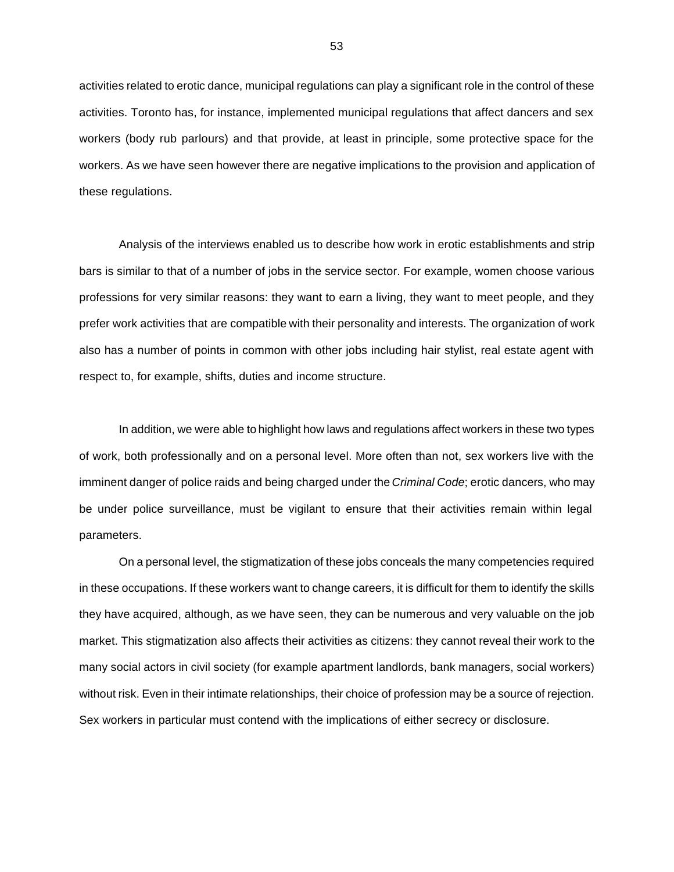activities related to erotic dance, municipal regulations can play a significant role in the control of these activities. Toronto has, for instance, implemented municipal regulations that affect dancers and sex workers (body rub parlours) and that provide, at least in principle, some protective space for the workers. As we have seen however there are negative implications to the provision and application of these regulations.

Analysis of the interviews enabled us to describe how work in erotic establishments and strip bars is similar to that of a number of jobs in the service sector. For example, women choose various professions for very similar reasons: they want to earn a living, they want to meet people, and they prefer work activities that are compatible with their personality and interests. The organization of work also has a number of points in common with other jobs including hair stylist, real estate agent with respect to, for example, shifts, duties and income structure.

In addition, we were able to highlight how laws and regulations affect workers in these two types of work, both professionally and on a personal level. More often than not, sex workers live with the imminent danger of police raids and being charged under the *Criminal Code*; erotic dancers, who may be under police surveillance, must be vigilant to ensure that their activities remain within legal parameters.

On a personal level, the stigmatization of these jobs conceals the many competencies required in these occupations. If these workers want to change careers, it is difficult for them to identify the skills they have acquired, although, as we have seen, they can be numerous and very valuable on the job market. This stigmatization also affects their activities as citizens: they cannot reveal their work to the many social actors in civil society (for example apartment landlords, bank managers, social workers) without risk. Even in their intimate relationships, their choice of profession may be a source of rejection. Sex workers in particular must contend with the implications of either secrecy or disclosure.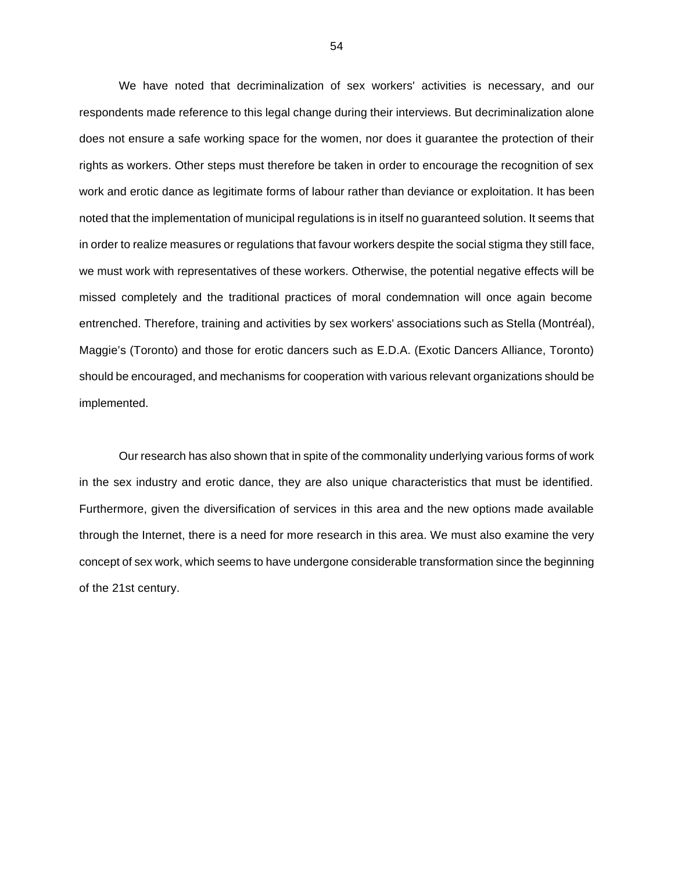We have noted that decriminalization of sex workers' activities is necessary, and our respondents made reference to this legal change during their interviews. But decriminalization alone does not ensure a safe working space for the women, nor does it guarantee the protection of their rights as workers. Other steps must therefore be taken in order to encourage the recognition of sex work and erotic dance as legitimate forms of labour rather than deviance or exploitation. It has been noted that the implementation of municipal regulations is in itself no guaranteed solution. It seems that in order to realize measures or regulations that favour workers despite the social stigma they still face, we must work with representatives of these workers. Otherwise, the potential negative effects will be missed completely and the traditional practices of moral condemnation will once again become entrenched. Therefore, training and activities by sex workers' associations such as Stella (Montréal), Maggie's (Toronto) and those for erotic dancers such as E.D.A. (Exotic Dancers Alliance, Toronto) should be encouraged, and mechanisms for cooperation with various relevant organizations should be implemented.

Our research has also shown that in spite of the commonality underlying various forms of work in the sex industry and erotic dance, they are also unique characteristics that must be identified. Furthermore, given the diversification of services in this area and the new options made available through the Internet, there is a need for more research in this area. We must also examine the very concept of sex work, which seems to have undergone considerable transformation since the beginning of the 21st century.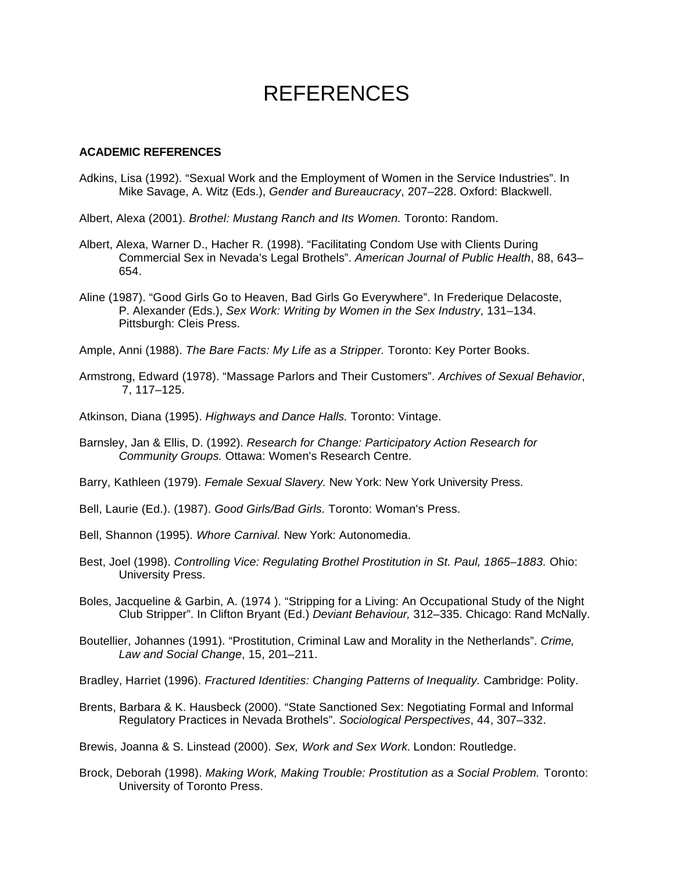# REFERENCES

#### **ACADEMIC REFERENCES**

- Adkins, Lisa (1992). "Sexual Work and the Employment of Women in the Service Industries". In Mike Savage, A. Witz (Eds.), *Gender and Bureaucracy*, 207–228. Oxford: Blackwell.
- Albert, Alexa (2001). *Brothel: Mustang Ranch and Its Women.* Toronto: Random.
- Albert, Alexa, Warner D., Hacher R. (1998). "Facilitating Condom Use with Clients During Commercial Sex in Nevada's Legal Brothels". *American Journal of Public Health*, 88, 643– 654.
- Aline (1987). "Good Girls Go to Heaven, Bad Girls Go Everywhere". In Frederique Delacoste, P. Alexander (Eds.), *Sex Work: Writing by Women in the Sex Industry*, 131–134. Pittsburgh: Cleis Press.
- Ample, Anni (1988). *The Bare Facts: My Life as a Stripper.* Toronto: Key Porter Books.
- Armstrong, Edward (1978). "Massage Parlors and Their Customers". *Archives of Sexual Behavior*, 7, 117–125.
- Atkinson, Diana (1995). *Highways and Dance Halls.* Toronto: Vintage.
- Barnsley, Jan & Ellis, D. (1992). *Research for Change: Participatory Action Research for Community Groups.* Ottawa: Women's Research Centre.
- Barry, Kathleen (1979). *Female Sexual Slavery.* New York: New York University Press.
- Bell, Laurie (Ed.). (1987). *Good Girls/Bad Girls.* Toronto: Woman's Press.
- Bell, Shannon (1995). *Whore Carnival.* New York: Autonomedia.
- Best, Joel (1998). *Controlling Vice: Regulating Brothel Prostitution in St. Paul, 1865–1883.* Ohio: University Press.
- Boles, Jacqueline & Garbin, A. (1974 ). "Stripping for a Living: An Occupational Study of the Night Club Stripper". In Clifton Bryant (Ed.) *Deviant Behaviour,* 312–335. Chicago: Rand McNally.
- Boutellier, Johannes (1991). "Prostitution, Criminal Law and Morality in the Netherlands". *Crime, Law and Social Change*, 15, 201–211.
- Bradley, Harriet (1996). *Fractured Identities: Changing Patterns of Inequality.* Cambridge: Polity.
- Brents, Barbara & K. Hausbeck (2000). "State Sanctioned Sex: Negotiating Formal and Informal Regulatory Practices in Nevada Brothels". *Sociological Perspectives*, 44, 307–332.

Brewis, Joanna & S. Linstead (2000). *Sex, Work and Sex Work.* London: Routledge.

Brock, Deborah (1998). *Making Work, Making Trouble: Prostitution as a Social Problem.* Toronto: University of Toronto Press.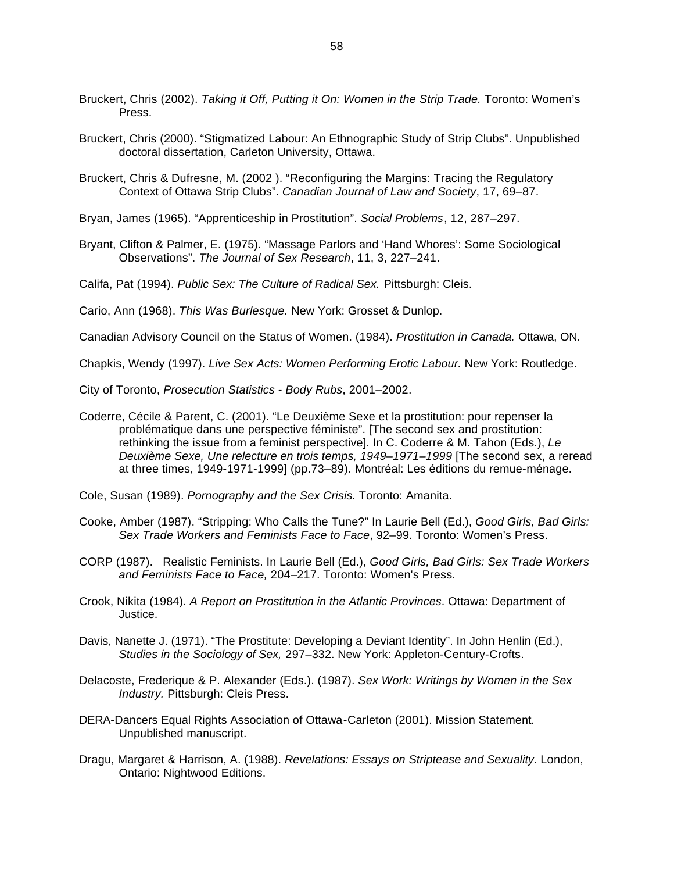- Bruckert, Chris (2002). *Taking it Off, Putting it On: Women in the Strip Trade.* Toronto: Women's Press.
- Bruckert, Chris (2000). "Stigmatized Labour: An Ethnographic Study of Strip Clubs". Unpublished doctoral dissertation, Carleton University, Ottawa.
- Bruckert, Chris & Dufresne, M. (2002 ). "Reconfiguring the Margins: Tracing the Regulatory Context of Ottawa Strip Clubs". *Canadian Journal of Law and Society*, 17, 69–87.
- Bryan, James (1965). "Apprenticeship in Prostitution". *Social Problems*, 12, 287–297.
- Bryant, Clifton & Palmer, E. (1975). "Massage Parlors and 'Hand Whores': Some Sociological Observations". *The Journal of Sex Research*, 11, 3, 227–241.
- Califa, Pat (1994). *Public Sex: The Culture of Radical Sex.* Pittsburgh: Cleis.
- Cario, Ann (1968). *This Was Burlesque.* New York: Grosset & Dunlop.
- Canadian Advisory Council on the Status of Women. (1984). *Prostitution in Canada.* Ottawa, ON.

Chapkis, Wendy (1997). *Live Sex Acts: Women Performing Erotic Labour.* New York: Routledge.

City of Toronto, *Prosecution Statistics - Body Rubs*, 2001–2002.

- Coderre, Cécile & Parent, C. (2001). "Le Deuxième Sexe et la prostitution: pour repenser la problématique dans une perspective féministe". [The second sex and prostitution: rethinking the issue from a feminist perspective]. In C. Coderre & M. Tahon (Eds.), *Le Deuxième Sexe, Une relecture en trois temps, 1949–1971–1999* [The second sex, a reread at three times, 1949-1971-1999] (pp.73–89). Montréal: Les éditions du remue-ménage.
- Cole, Susan (1989). *Pornography and the Sex Crisis.* Toronto: Amanita.
- Cooke, Amber (1987). "Stripping: Who Calls the Tune?" In Laurie Bell (Ed.), *Good Girls, Bad Girls: Sex Trade Workers and Feminists Face to Face*, 92–99. Toronto: Women's Press.
- CORP (1987). Realistic Feminists. In Laurie Bell (Ed.), *Good Girls, Bad Girls: Sex Trade Workers and Feminists Face to Face,* 204–217. Toronto: Women's Press.
- Crook, Nikita (1984). *A Report on Prostitution in the Atlantic Provinces*. Ottawa: Department of Justice.
- Davis, Nanette J. (1971). "The Prostitute: Developing a Deviant Identity". In John Henlin (Ed.), *Studies in the Sociology of Sex,* 297–332. New York: Appleton-Century-Crofts.
- Delacoste, Frederique & P. Alexander (Eds.). (1987). *Sex Work: Writings by Women in the Sex Industry.* Pittsburgh: Cleis Press.
- DERA-Dancers Equal Rights Association of Ottawa-Carleton (2001). Mission Statement*.*  Unpublished manuscript.
- Dragu, Margaret & Harrison, A. (1988). *Revelations: Essays on Striptease and Sexuality.* London, Ontario: Nightwood Editions.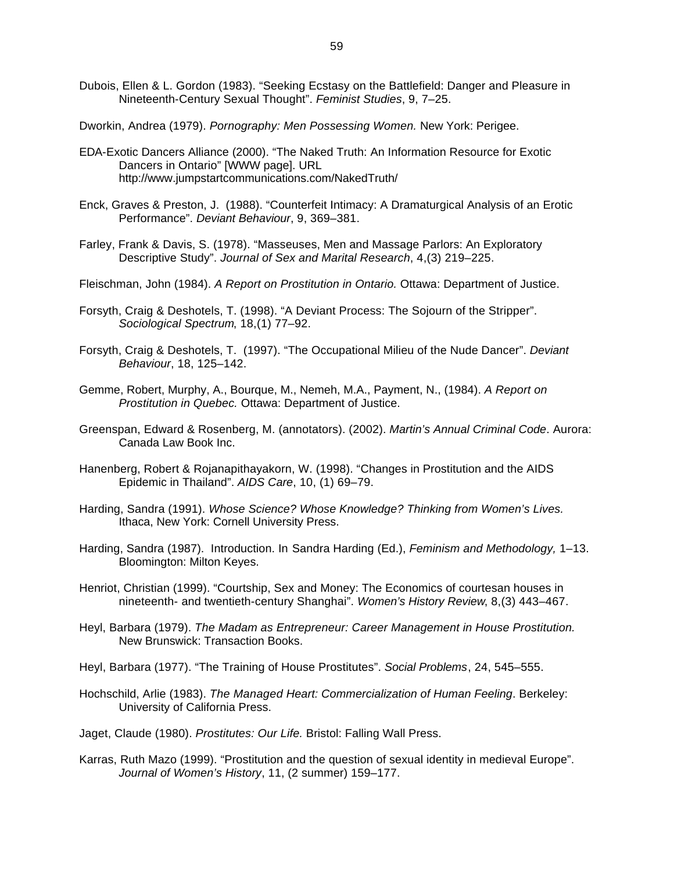Dubois, Ellen & L. Gordon (1983). "Seeking Ecstasy on the Battlefield: Danger and Pleasure in Nineteenth-Century Sexual Thought". *Feminist Studies*, 9, 7–25.

Dworkin, Andrea (1979). *Pornography: Men Possessing Women.* New York: Perigee.

- EDA-Exotic Dancers Alliance (2000). "The Naked Truth: An Information Resource for Exotic Dancers in Ontario" [WWW page]. URL http://www.jumpstartcommunications.com/NakedTruth/
- Enck, Graves & Preston, J. (1988). "Counterfeit Intimacy: A Dramaturgical Analysis of an Erotic Performance". *Deviant Behaviour*, 9, 369–381.
- Farley, Frank & Davis, S. (1978). "Masseuses, Men and Massage Parlors: An Exploratory Descriptive Study". *Journal of Sex and Marital Research*, 4,(3) 219–225.
- Fleischman, John (1984). *A Report on Prostitution in Ontario.* Ottawa: Department of Justice.
- Forsyth, Craig & Deshotels, T. (1998). "A Deviant Process: The Sojourn of the Stripper". *Sociological Spectrum*, 18,(1) 77–92.
- Forsyth, Craig & Deshotels, T. (1997). "The Occupational Milieu of the Nude Dancer". *Deviant Behaviour*, 18, 125–142.
- Gemme, Robert, Murphy, A., Bourque, M., Nemeh, M.A., Payment, N., (1984). *A Report on Prostitution in Quebec.* Ottawa: Department of Justice.
- Greenspan, Edward & Rosenberg, M. (annotators). (2002). *Martin's Annual Criminal Code*. Aurora: Canada Law Book Inc.
- Hanenberg, Robert & Rojanapithayakorn, W. (1998). "Changes in Prostitution and the AIDS Epidemic in Thailand". *AIDS Care*, 10, (1) 69–79.
- Harding, Sandra (1991). *Whose Science? Whose Knowledge? Thinking from Women's Lives.* Ithaca, New York: Cornell University Press.
- Harding, Sandra (1987). Introduction. In Sandra Harding (Ed.), *Feminism and Methodology,* 1–13. Bloomington: Milton Keyes.
- Henriot, Christian (1999). "Courtship, Sex and Money: The Economics of courtesan houses in nineteenth- and twentieth-century Shanghai". *Women's History Review*, 8,(3) 443–467.
- Heyl, Barbara (1979). *The Madam as Entrepreneur: Career Management in House Prostitution.* New Brunswick: Transaction Books.
- Heyl, Barbara (1977). "The Training of House Prostitutes". *Social Problems*, 24, 545–555.
- Hochschild, Arlie (1983). *The Managed Heart: Commercialization of Human Feeling*. Berkeley: University of California Press.
- Jaget, Claude (1980). *Prostitutes: Our Life.* Bristol: Falling Wall Press.
- Karras, Ruth Mazo (1999). "Prostitution and the question of sexual identity in medieval Europe". *Journal of Women's History*, 11, (2 summer) 159–177.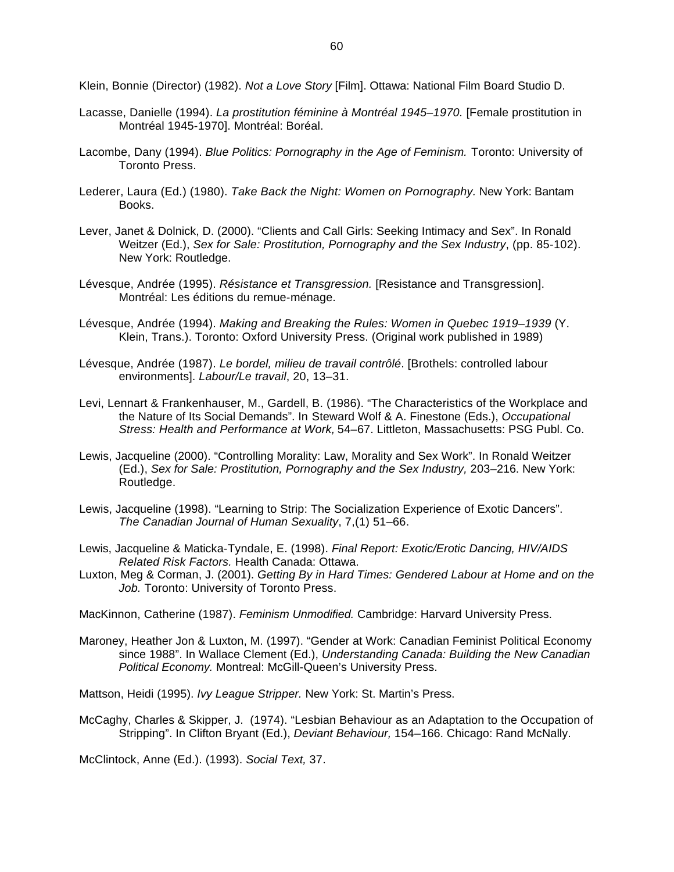Klein, Bonnie (Director) (1982). *Not a Love Story* [Film]. Ottawa: National Film Board Studio D.

- Lacasse, Danielle (1994). *La prostitution féminine à Montréal 1945–1970.* [Female prostitution in Montréal 1945-1970]. Montréal: Boréal.
- Lacombe, Dany (1994). *Blue Politics: Pornography in the Age of Feminism.* Toronto: University of Toronto Press.
- Lederer, Laura (Ed.) (1980). *Take Back the Night: Women on Pornography.* New York: Bantam Books.
- Lever, Janet & Dolnick, D. (2000). "Clients and Call Girls: Seeking Intimacy and Sex". In Ronald Weitzer (Ed.), *Sex for Sale: Prostitution, Pornography and the Sex Industry*, (pp. 85-102). New York: Routledge.
- Lévesque, Andrée (1995). *Résistance et Transgression.* [Resistance and Transgression]. Montréal: Les éditions du remue-ménage.
- Lévesque, Andrée (1994). *Making and Breaking the Rules: Women in Quebec 1919–1939* (Y. Klein, Trans.). Toronto: Oxford University Press. (Original work published in 1989)
- Lévesque, Andrée (1987). *Le bordel, milieu de travail contrôlé*. [Brothels: controlled labour environments]. *Labour/Le travail*, 20, 13–31.
- Levi, Lennart & Frankenhauser, M., Gardell, B. (1986). "The Characteristics of the Workplace and the Nature of Its Social Demands". In Steward Wolf & A. Finestone (Eds.), *Occupational Stress: Health and Performance at Work,* 54–67. Littleton, Massachusetts: PSG Publ. Co.
- Lewis, Jacqueline (2000). "Controlling Morality: Law, Morality and Sex Work". In Ronald Weitzer (Ed.), *Sex for Sale: Prostitution, Pornography and the Sex Industry,* 203–216. New York: Routledge.
- Lewis, Jacqueline (1998). "Learning to Strip: The Socialization Experience of Exotic Dancers". *The Canadian Journal of Human Sexuality*, 7,(1) 51–66.
- Lewis, Jacqueline & Maticka-Tyndale, E. (1998). *Final Report: Exotic/Erotic Dancing, HIV/AIDS Related Risk Factors.* Health Canada: Ottawa.
- Luxton, Meg & Corman, J. (2001). *Getting By in Hard Times: Gendered Labour at Home and on the Job.* Toronto: University of Toronto Press.

MacKinnon, Catherine (1987). *Feminism Unmodified.* Cambridge: Harvard University Press.

Maroney, Heather Jon & Luxton, M. (1997). "Gender at Work: Canadian Feminist Political Economy since 1988". In Wallace Clement (Ed.), *Understanding Canada: Building the New Canadian Political Economy.* Montreal: McGill-Queen's University Press.

Mattson, Heidi (1995). *Ivy League Stripper.* New York: St. Martin's Press.

McCaghy, Charles & Skipper, J. (1974). "Lesbian Behaviour as an Adaptation to the Occupation of Stripping". In Clifton Bryant (Ed.), *Deviant Behaviour,* 154–166. Chicago: Rand McNally.

McClintock, Anne (Ed.). (1993). *Social Text,* 37.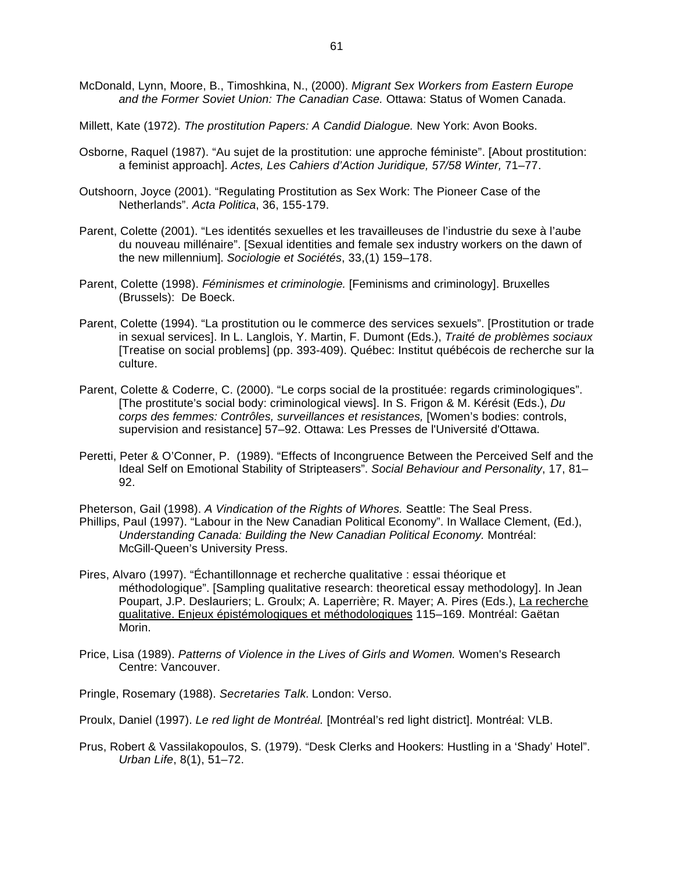- McDonald, Lynn, Moore, B., Timoshkina, N., (2000). *Migrant Sex Workers from Eastern Europe and the Former Soviet Union: The Canadian Case.* Ottawa: Status of Women Canada.
- Millett, Kate (1972). *The prostitution Papers: A Candid Dialogue.* New York: Avon Books.
- Osborne, Raquel (1987). "Au sujet de la prostitution: une approche féministe". [About prostitution: a feminist approach]. *Actes, Les Cahiers d'Action Juridique, 57/58 Winter,* 71–77.
- Outshoorn, Joyce (2001). "Regulating Prostitution as Sex Work: The Pioneer Case of the Netherlands". *Acta Politica*, 36, 155-179.
- Parent, Colette (2001). "Les identités sexuelles et les travailleuses de l'industrie du sexe à l'aube du nouveau millénaire". [Sexual identities and female sex industry workers on the dawn of the new millennium]. *Sociologie et Sociétés*, 33,(1) 159–178.
- Parent, Colette (1998). *Féminismes et criminologie.* [Feminisms and criminology]. Bruxelles (Brussels): De Boeck.
- Parent, Colette (1994). "La prostitution ou le commerce des services sexuels". [Prostitution or trade in sexual services]. In L. Langlois, Y. Martin, F. Dumont (Eds.), *Traité de problèmes sociaux* [Treatise on social problems] (pp. 393-409). Québec: Institut québécois de recherche sur la culture.
- Parent, Colette & Coderre, C. (2000). "Le corps social de la prostituée: regards criminologiques". [The prostitute's social body: criminological views]. In S. Frigon & M. Kérésit (Eds.), *Du corps des femmes: Contrôles, surveillances et resistances,* [Women's bodies: controls, supervision and resistance] 57–92. Ottawa: Les Presses de l'Université d'Ottawa.
- Peretti, Peter & O'Conner, P. (1989). "Effects of Incongruence Between the Perceived Self and the Ideal Self on Emotional Stability of Stripteasers". *Social Behaviour and Personality*, 17, 81– 92.
- Pheterson, Gail (1998). *A Vindication of the Rights of Whores.* Seattle: The Seal Press. Phillips, Paul (1997). "Labour in the New Canadian Political Economy". In Wallace Clement, (Ed.), *Understanding Canada: Building the New Canadian Political Economy.* Montréal: McGill-Queen's University Press.
- Pires, Alvaro (1997). "Échantillonnage et recherche qualitative : essai théorique et méthodologique". [Sampling qualitative research: theoretical essay methodology]. In Jean Poupart, J.P. Deslauriers; L. Groulx; A. Laperrière; R. Mayer; A. Pires (Eds.), La recherche qualitative. Enjeux épistémologiques et méthodologiques 115–169. Montréal: Gaëtan Morin.
- Price, Lisa (1989). *Patterns of Violence in the Lives of Girls and Women.* Women's Research Centre: Vancouver.
- Pringle, Rosemary (1988). *Secretaries Talk.* London: Verso.
- Proulx, Daniel (1997). *Le red light de Montréal.* [Montréal's red light district]. Montréal: VLB.
- Prus, Robert & Vassilakopoulos, S. (1979). "Desk Clerks and Hookers: Hustling in a 'Shady' Hotel". *Urban Life*, 8(1), 51–72.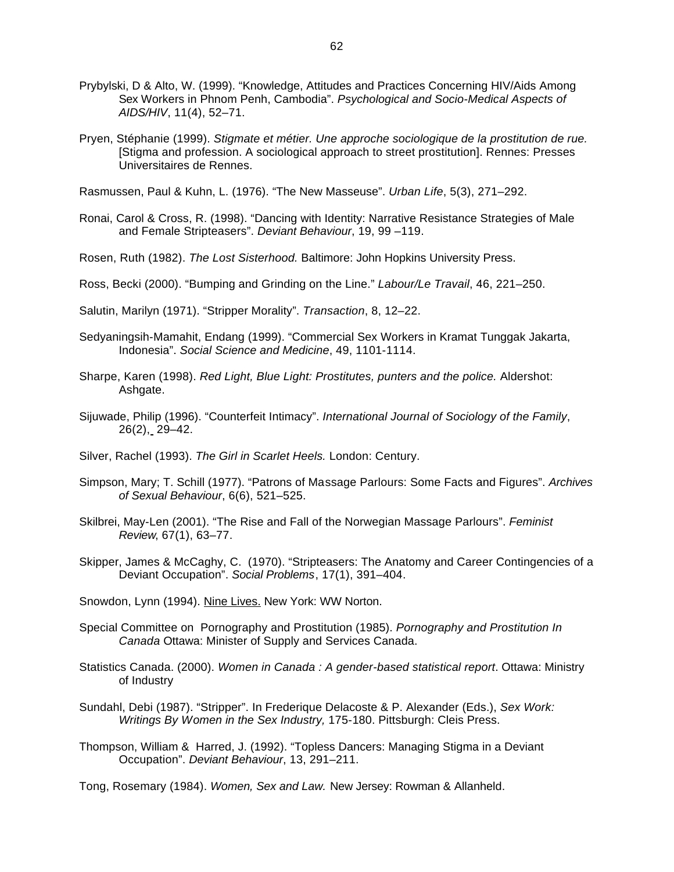- Prybylski, D & Alto, W. (1999). "Knowledge, Attitudes and Practices Concerning HIV/Aids Among Sex Workers in Phnom Penh, Cambodia". *Psychological and Socio-Medical Aspects of AIDS/HIV*, 11(4), 52–71.
- Pryen, Stéphanie (1999). *Stigmate et métier. Une approche sociologique de la prostitution de rue.* [Stigma and profession. A sociological approach to street prostitution]. Rennes: Presses Universitaires de Rennes.

Rasmussen, Paul & Kuhn, L. (1976). "The New Masseuse". *Urban Life*, 5(3), 271–292.

Ronai, Carol & Cross, R. (1998). "Dancing with Identity: Narrative Resistance Strategies of Male and Female Stripteasers". *Deviant Behaviour*, 19, 99 –119.

Rosen, Ruth (1982). *The Lost Sisterhood.* Baltimore: John Hopkins University Press.

Ross, Becki (2000). "Bumping and Grinding on the Line." *Labour/Le Travail*, 46, 221–250.

Salutin, Marilyn (1971). "Stripper Morality". *Transaction*, 8, 12–22.

- Sedyaningsih-Mamahit, Endang (1999). "Commercial Sex Workers in Kramat Tunggak Jakarta, Indonesia". *Social Science and Medicine*, 49, 1101-1114.
- Sharpe, Karen (1998). *Red Light, Blue Light: Prostitutes, punters and the police.* Aldershot: Ashgate.
- Sijuwade, Philip (1996). "Counterfeit Intimacy". *International Journal of Sociology of the Family*, 26(2), 29–42.

Silver, Rachel (1993). *The Girl in Scarlet Heels.* London: Century.

- Simpson, Mary; T. Schill (1977). "Patrons of Massage Parlours: Some Facts and Figures". *Archives of Sexual Behaviour*, 6(6), 521–525.
- Skilbrei, May-Len (2001). "The Rise and Fall of the Norwegian Massage Parlours". *Feminist Review*, 67(1), 63–77.
- Skipper, James & McCaghy, C. (1970). "Stripteasers: The Anatomy and Career Contingencies of a Deviant Occupation". *Social Problems*, 17(1), 391–404.

Snowdon, Lynn (1994). Nine Lives. New York: WW Norton.

- Special Committee on Pornography and Prostitution (1985). *Pornography and Prostitution In Canada* Ottawa: Minister of Supply and Services Canada.
- Statistics Canada. (2000). *Women in Canada : A gender-based statistical report*. Ottawa: Ministry of Industry
- Sundahl, Debi (1987). "Stripper". In Frederique Delacoste & P. Alexander (Eds.), *Sex Work: Writings By Women in the Sex Industry,* 175-180. Pittsburgh: Cleis Press.
- Thompson, William & Harred, J. (1992). "Topless Dancers: Managing Stigma in a Deviant Occupation". *Deviant Behaviour*, 13, 291–211.

Tong, Rosemary (1984). *Women, Sex and Law.* New Jersey: Rowman & Allanheld.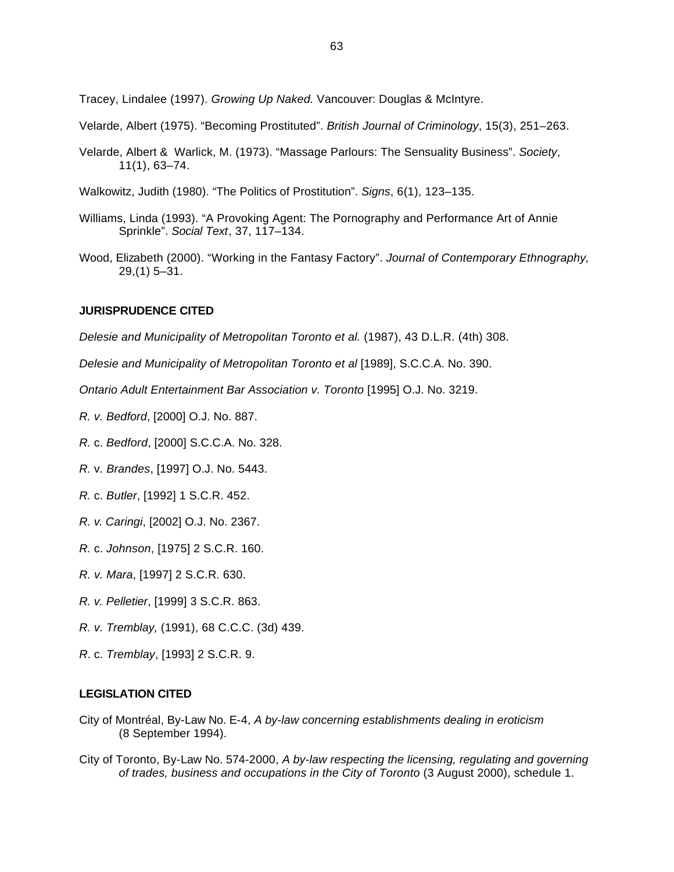Tracey, Lindalee (1997). *Growing Up Naked.* Vancouver: Douglas & McIntyre.

Velarde, Albert (1975). "Becoming Prostituted". *British Journal of Criminology*, 15(3), 251–263.

- Velarde, Albert & Warlick, M. (1973). "Massage Parlours: The Sensuality Business". *Society*, 11(1), 63–74.
- Walkowitz, Judith (1980). "The Politics of Prostitution". *Signs*, 6(1), 123–135.
- Williams, Linda (1993). "A Provoking Agent: The Pornography and Performance Art of Annie Sprinkle". *Social Text*, 37, 117–134.
- Wood, Elizabeth (2000). "Working in the Fantasy Factory". *Journal of Contemporary Ethnography,*  29,(1) 5–31.

#### **JURISPRUDENCE CITED**

*Delesie and Municipality of Metropolitan Toronto et al.* (1987), 43 D.L.R. (4th) 308.

*Delesie and Municipality of Metropolitan Toronto et al* [1989], S.C.C.A. No. 390.

*Ontario Adult Entertainment Bar Association v. Toronto* [1995] O.J. No. 3219.

- *R. v. Bedford*, [2000] O.J. No. 887.
- *R.* c. *Bedford*, [2000] S.C.C.A. No. 328.
- *R.* v*. Brandes*, [1997] O.J. No. 5443.
- *R.* c. *Butler*, [1992] 1 S.C.R. 452.
- *R. v*. *Caringi*, [2002] O.J. No. 2367.
- *R.* c. *Johnson*, [1975] 2 S.C.R. 160.
- *R. v. Mara*, [1997] 2 S.C.R. 630.
- *R. v. Pelletier*, [1999] 3 S.C.R. 863.
- *R. v. Tremblay,* (1991), 68 C.C.C. (3d) 439.
- *R*. c. *Tremblay*, [1993] 2 S.C.R. 9.

#### **LEGISLATION CITED**

- City of Montréal, By-Law No. E-4, *A by-law concerning establishments dealing in eroticism* (8 September 1994).
- City of Toronto, By-Law No. 574-2000, *A by-law respecting the licensing, regulating and governing of trades, business and occupations in the City of Toronto* (3 August 2000), schedule 1.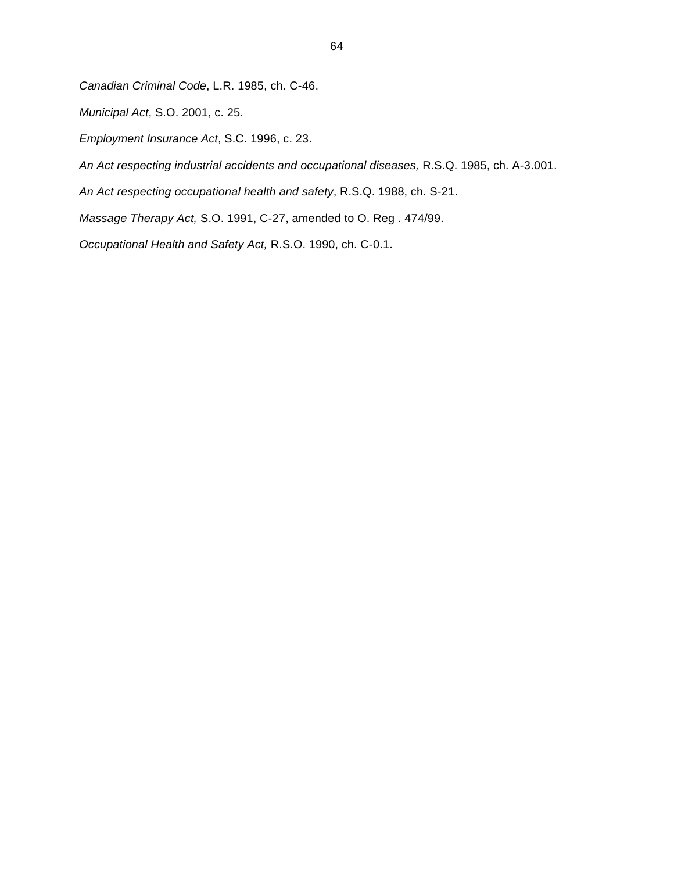*Canadian Criminal Code*, L.R. 1985, ch. C-46.

*Municipal Act*, S.O. 2001, c. 25.

*Employment Insurance Act*, S.C. 1996, c. 23.

*An Act respecting industrial accidents and occupational diseases,* R.S.Q. 1985, ch. A-3.001.

*An Act respecting occupational health and safety*, R.S.Q. 1988, ch. S-21.

*Massage Therapy Act,* S.O. 1991, C-27, amended to O. Reg . 474/99.

*Occupational Health and Safety Act,* R.S.O. 1990, ch. C-0.1.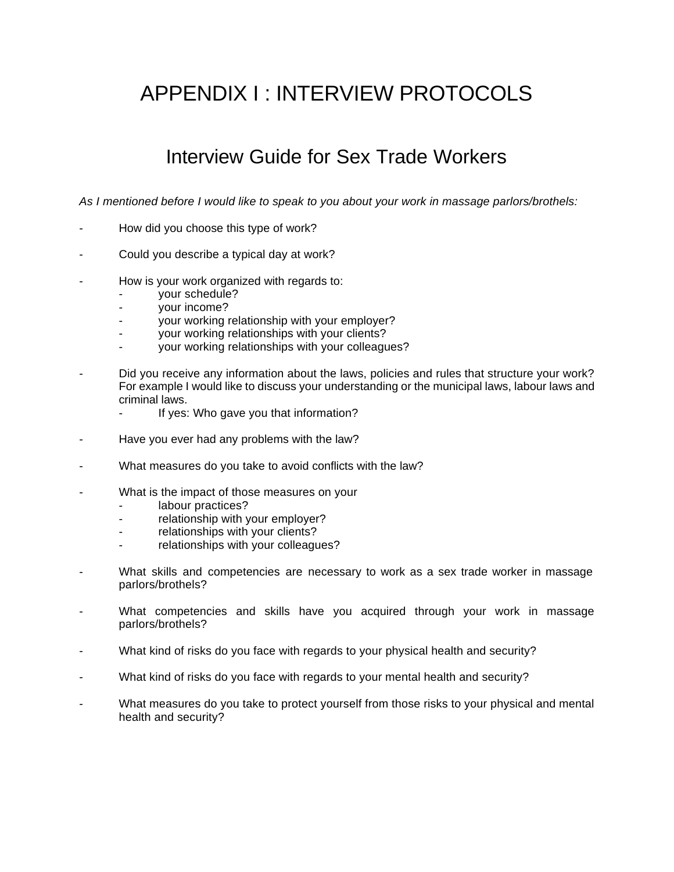# APPENDIX I : INTERVIEW PROTOCOLS

## Interview Guide for Sex Trade Workers

*As I mentioned before I would like to speak to you about your work in massage parlors/brothels:*

- How did you choose this type of work?
- Could you describe a typical day at work?
- How is your work organized with regards to:
	- your schedule?
	- your income?
	- your working relationship with your employer?
	- your working relationships with your clients?
	- your working relationships with your colleagues?
- Did you receive any information about the laws, policies and rules that structure your work? For example I would like to discuss your understanding or the municipal laws, labour laws and criminal laws.
	- If yes: Who gave you that information?
- Have you ever had any problems with the law?
- What measures do you take to avoid conflicts with the law?
- What is the impact of those measures on your
	- labour practices?
	- relationship with your employer?
	- relationships with your clients?
	- relationships with your colleagues?
- What skills and competencies are necessary to work as a sex trade worker in massage parlors/brothels?
- What competencies and skills have you acquired through your work in massage parlors/brothels?
- What kind of risks do you face with regards to your physical health and security?
- What kind of risks do you face with regards to your mental health and security?
- What measures do you take to protect yourself from those risks to your physical and mental health and security?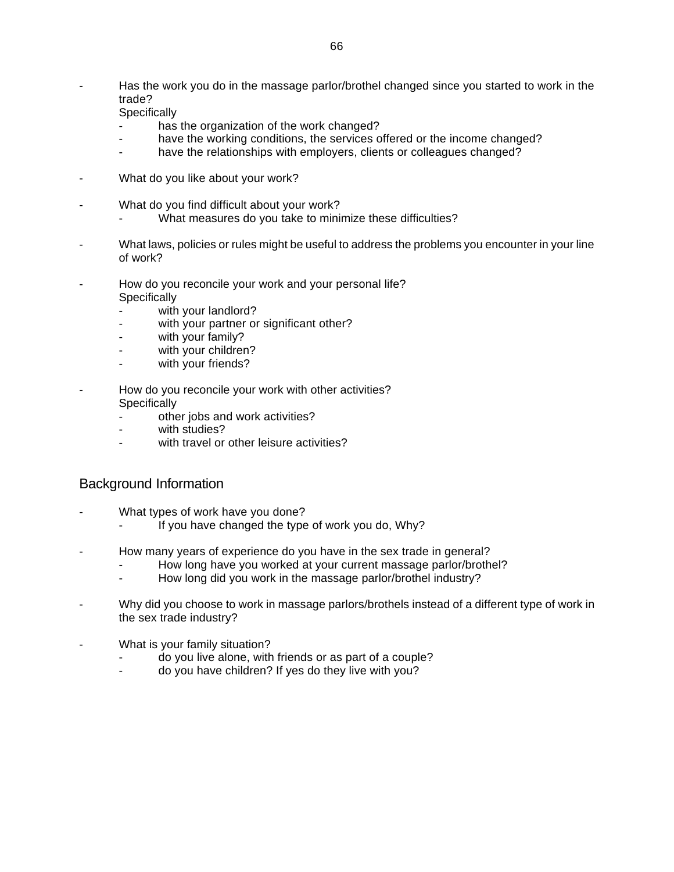Has the work you do in the massage parlor/brothel changed since you started to work in the trade?

**Specifically** 

- has the organization of the work changed?
- have the working conditions, the services offered or the income changed?
- have the relationships with employers, clients or colleagues changed?
- What do you like about your work?
- What do you find difficult about your work?
	- What measures do you take to minimize these difficulties?
- What laws, policies or rules might be useful to address the problems you encounter in your line of work?
- How do you reconcile your work and your personal life? **Specifically** 
	- with your landlord?
	- with your partner or significant other?
	- with your family?
	- with your children?
	- with your friends?
- How do you reconcile your work with other activities? **Specifically** 
	- other jobs and work activities?
	- with studies?
	- with travel or other leisure activities?

### Background Information

- What types of work have you done?
	- If you have changed the type of work you do, Why?
- How many years of experience do you have in the sex trade in general?
	- How long have you worked at your current massage parlor/brothel?
	- How long did you work in the massage parlor/brothel industry?
- Why did you choose to work in massage parlors/brothels instead of a different type of work in the sex trade industry?
- What is your family situation?
	- do you live alone, with friends or as part of a couple?
	- do you have children? If yes do they live with you?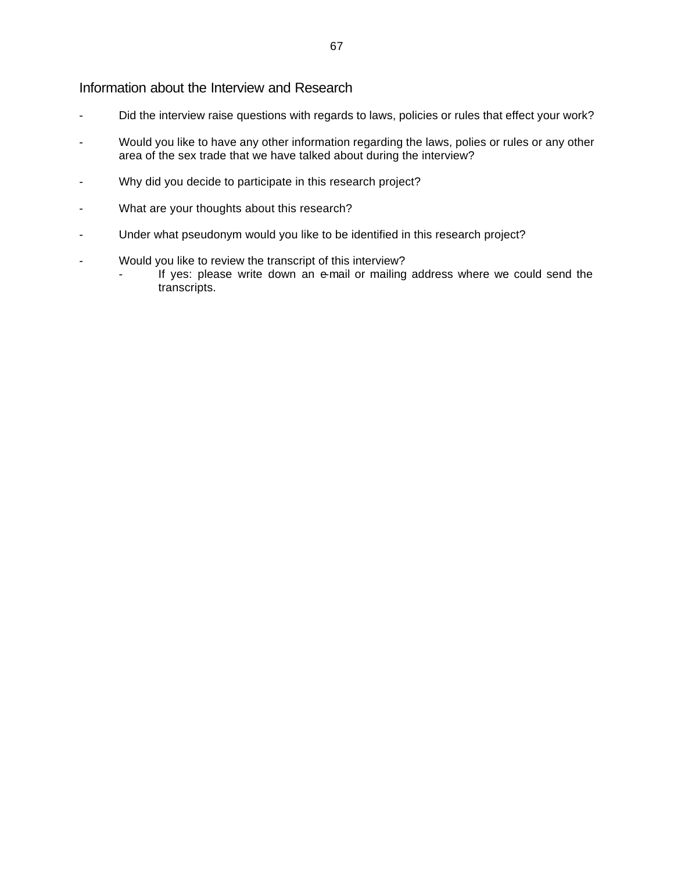#### Information about the Interview and Research

- Did the interview raise questions with regards to laws, policies or rules that effect your work?
- Would you like to have any other information regarding the laws, polies or rules or any other area of the sex trade that we have talked about during the interview?
- Why did you decide to participate in this research project?
- What are your thoughts about this research?
- Under what pseudonym would you like to be identified in this research project?
- Would you like to review the transcript of this interview?
	- If yes: please write down an e-mail or mailing address where we could send the transcripts.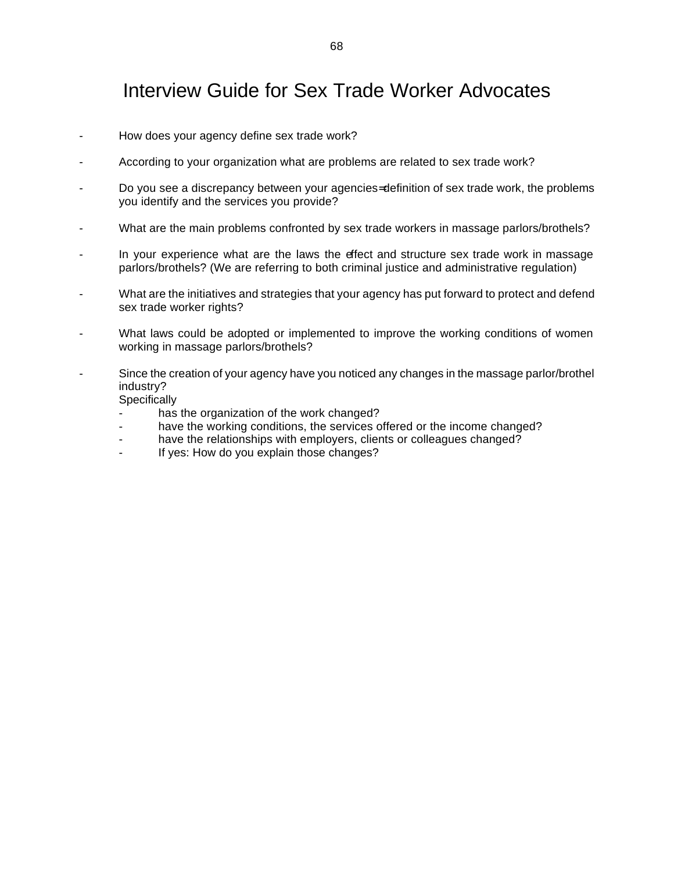## Interview Guide for Sex Trade Worker Advocates

- How does your agency define sex trade work?
- According to your organization what are problems are related to sex trade work?
- Do you see a discrepancy between your agencies= definition of sex trade work, the problems you identify and the services you provide?
- What are the main problems confronted by sex trade workers in massage parlors/brothels?
- In your experience what are the laws the effect and structure sex trade work in massage parlors/brothels? (We are referring to both criminal justice and administrative regulation)
- What are the initiatives and strategies that your agency has put forward to protect and defend sex trade worker rights?
- What laws could be adopted or implemented to improve the working conditions of women working in massage parlors/brothels?
- Since the creation of your agency have you noticed any changes in the massage parlor/brothel industry?

**Specifically** 

- has the organization of the work changed?
- have the working conditions, the services offered or the income changed?
- have the relationships with employers, clients or colleagues changed?
- If yes: How do you explain those changes?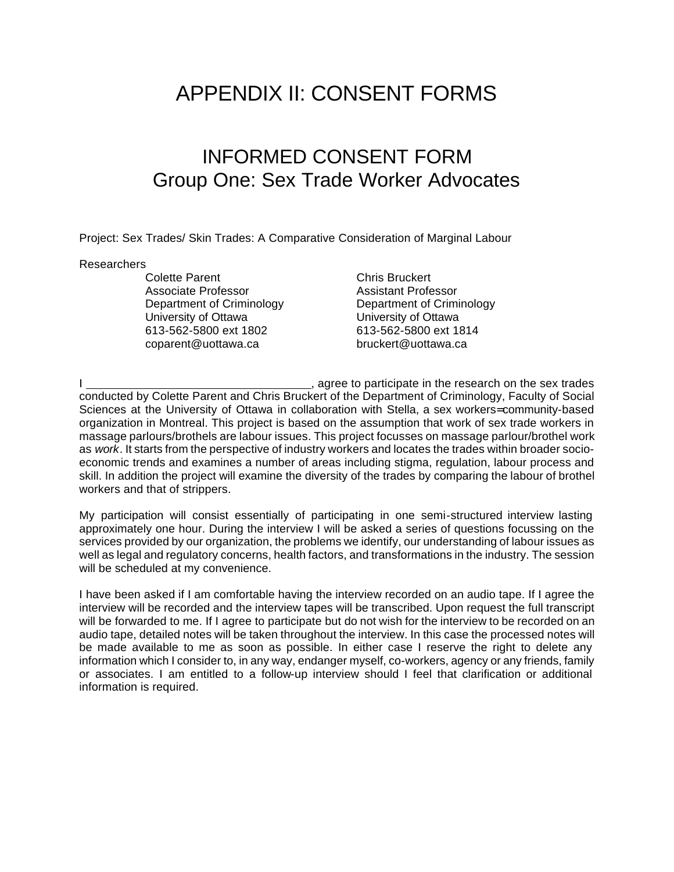# APPENDIX II: CONSENT FORMS

## INFORMED CONSENT FORM Group One: Sex Trade Worker Advocates

Project: Sex Trades/ Skin Trades: A Comparative Consideration of Marginal Labour

#### Researchers

Colette Parent Chris Bruckert Associate Professor Assistant Professor University of Ottawa University of Ottawa 613-562-5800 ext 1802 613-562-5800 ext 1814 coparent@uottawa.ca bruckert@uottawa.ca

Department of Criminology Department of Criminology

going, agree to participate in the research on the sex trades conducted by Colette Parent and Chris Bruckert of the Department of Criminology, Faculty of Social Sciences at the University of Ottawa in collaboration with Stella, a sex workers= community-based organization in Montreal. This project is based on the assumption that work of sex trade workers in massage parlours/brothels are labour issues. This project focusses on massage parlour/brothel work as *work*. It starts from the perspective of industry workers and locates the trades within broader socioeconomic trends and examines a number of areas including stigma, regulation, labour process and skill. In addition the project will examine the diversity of the trades by comparing the labour of brothel workers and that of strippers.

My participation will consist essentially of participating in one semi-structured interview lasting approximately one hour. During the interview I will be asked a series of questions focussing on the services provided by our organization, the problems we identify, our understanding of labour issues as well as legal and regulatory concerns, health factors, and transformations in the industry. The session will be scheduled at my convenience.

I have been asked if I am comfortable having the interview recorded on an audio tape. If I agree the interview will be recorded and the interview tapes will be transcribed. Upon request the full transcript will be forwarded to me. If I agree to participate but do not wish for the interview to be recorded on an audio tape, detailed notes will be taken throughout the interview. In this case the processed notes will be made available to me as soon as possible. In either case I reserve the right to delete any information which I consider to, in any way, endanger myself, co-workers, agency or any friends, family or associates. I am entitled to a follow-up interview should I feel that clarification or additional information is required.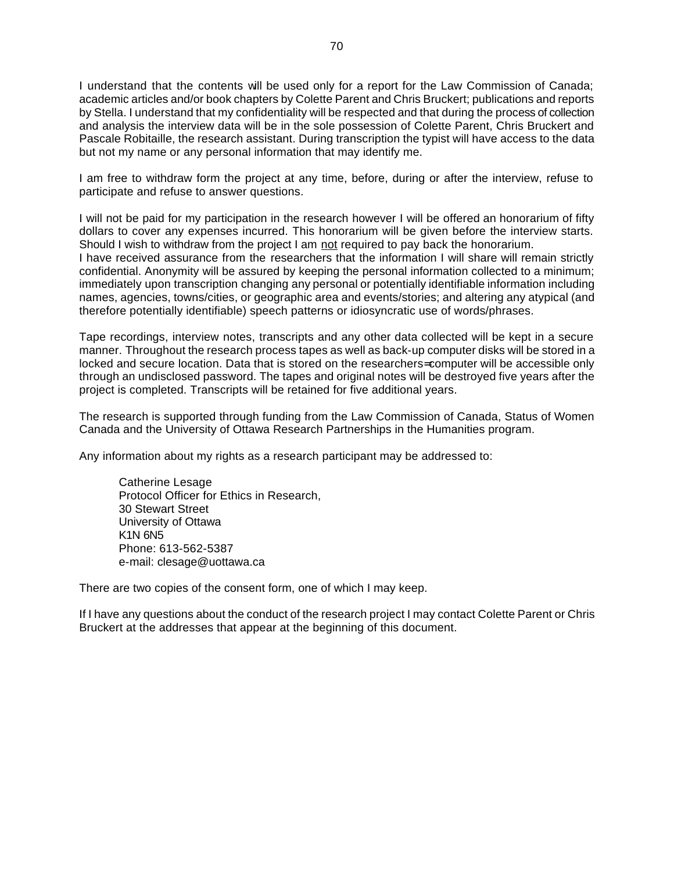I understand that the contents will be used only for a report for the Law Commission of Canada; academic articles and/or book chapters by Colette Parent and Chris Bruckert; publications and reports by Stella. I understand that my confidentiality will be respected and that during the process of collection and analysis the interview data will be in the sole possession of Colette Parent, Chris Bruckert and Pascale Robitaille, the research assistant. During transcription the typist will have access to the data but not my name or any personal information that may identify me.

I am free to withdraw form the project at any time, before, during or after the interview, refuse to participate and refuse to answer questions.

I will not be paid for my participation in the research however I will be offered an honorarium of fifty dollars to cover any expenses incurred. This honorarium will be given before the interview starts. Should I wish to withdraw from the project I am not required to pay back the honorarium. I have received assurance from the researchers that the information I will share will remain strictly confidential. Anonymity will be assured by keeping the personal information collected to a minimum; immediately upon transcription changing any personal or potentially identifiable information including names, agencies, towns/cities, or geographic area and events/stories; and altering any atypical (and therefore potentially identifiable) speech patterns or idiosyncratic use of words/phrases.

Tape recordings, interview notes, transcripts and any other data collected will be kept in a secure manner. Throughout the research process tapes as well as back-up computer disks will be stored in a locked and secure location. Data that is stored on the researchers= computer will be accessible only through an undisclosed password. The tapes and original notes will be destroyed five years after the project is completed. Transcripts will be retained for five additional years.

The research is supported through funding from the Law Commission of Canada, Status of Women Canada and the University of Ottawa Research Partnerships in the Humanities program.

Any information about my rights as a research participant may be addressed to:

Catherine Lesage Protocol Officer for Ethics in Research, 30 Stewart Street University of Ottawa K1N 6N5 Phone: 613-562-5387 e-mail: clesage@uottawa.ca

There are two copies of the consent form, one of which I may keep.

If I have any questions about the conduct of the research project I may contact Colette Parent or Chris Bruckert at the addresses that appear at the beginning of this document.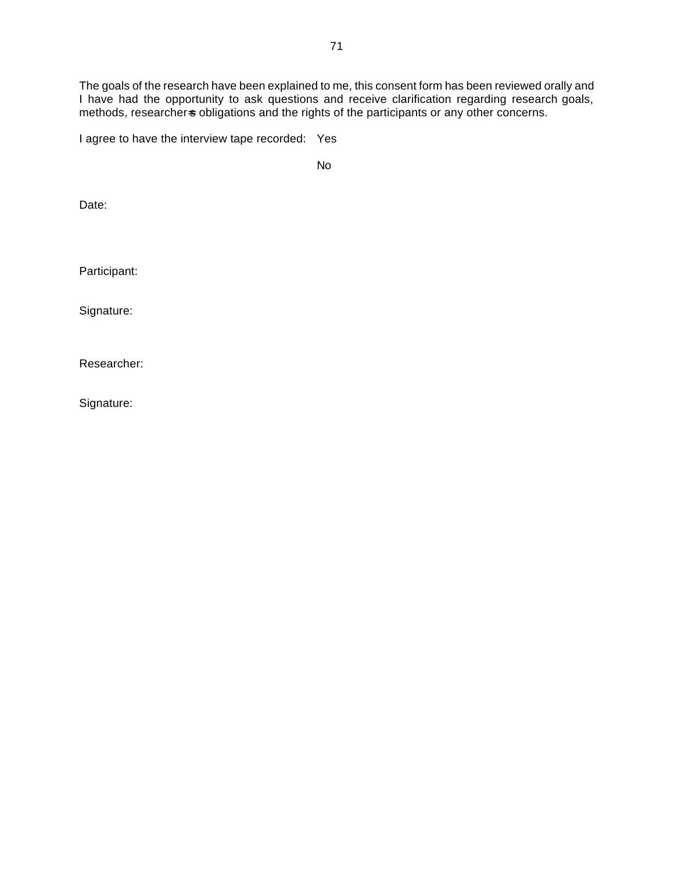The goals of the research have been explained to me, this consent form has been reviewed orally and I have had the opportunity to ask questions and receive clarification regarding research goals, methods, researchers obligations and the rights of the participants or any other concerns.

I agree to have the interview tape recorded: Yes

No

Date:

Participant:

Signature:

Researcher:

Signature: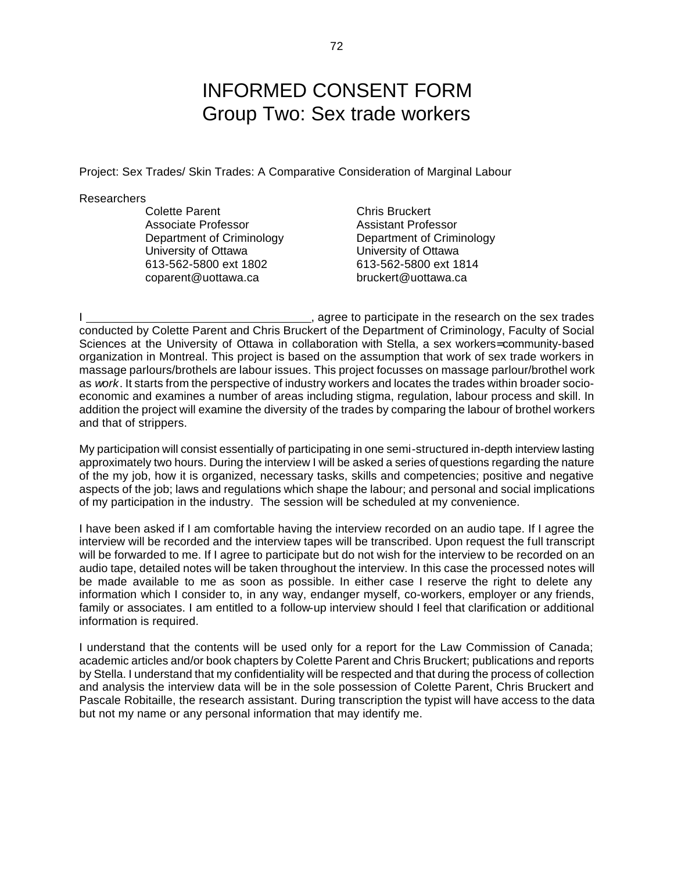### INFORMED CONSENT FORM Group Two: Sex trade workers

Project: Sex Trades/ Skin Trades: A Comparative Consideration of Marginal Labour

#### **Researchers**

Colette Parent Colette Parent Chris Bruckert Associate Professor Assistant Professor University of Ottawa University of Ottawa 613-562-5800 ext 1802 613-562-5800 ext 1814 coparent@uottawa.ca bruckert@uottawa.ca

Department of Criminology Department of Criminology

I , agree to participate in the research on the sex trades conducted by Colette Parent and Chris Bruckert of the Department of Criminology, Faculty of Social Sciences at the University of Ottawa in collaboration with Stella, a sex workers= community-based organization in Montreal. This project is based on the assumption that work of sex trade workers in massage parlours/brothels are labour issues. This project focusses on massage parlour/brothel work as *work*. It starts from the perspective of industry workers and locates the trades within broader socioeconomic and examines a number of areas including stigma, regulation, labour process and skill. In addition the project will examine the diversity of the trades by comparing the labour of brothel workers and that of strippers.

My participation will consist essentially of participating in one semi-structured in-depth interview lasting approximately two hours. During the interview I will be asked a series of questions regarding the nature of the my job, how it is organized, necessary tasks, skills and competencies; positive and negative aspects of the job; laws and regulations which shape the labour; and personal and social implications of my participation in the industry. The session will be scheduled at my convenience.

I have been asked if I am comfortable having the interview recorded on an audio tape. If I agree the interview will be recorded and the interview tapes will be transcribed. Upon request the full transcript will be forwarded to me. If I agree to participate but do not wish for the interview to be recorded on an audio tape, detailed notes will be taken throughout the interview. In this case the processed notes will be made available to me as soon as possible. In either case I reserve the right to delete any information which I consider to, in any way, endanger myself, co-workers, employer or any friends, family or associates. I am entitled to a follow-up interview should I feel that clarification or additional information is required.

I understand that the contents will be used only for a report for the Law Commission of Canada; academic articles and/or book chapters by Colette Parent and Chris Bruckert; publications and reports by Stella. I understand that my confidentiality will be respected and that during the process of collection and analysis the interview data will be in the sole possession of Colette Parent, Chris Bruckert and Pascale Robitaille, the research assistant. During transcription the typist will have access to the data but not my name or any personal information that may identify me.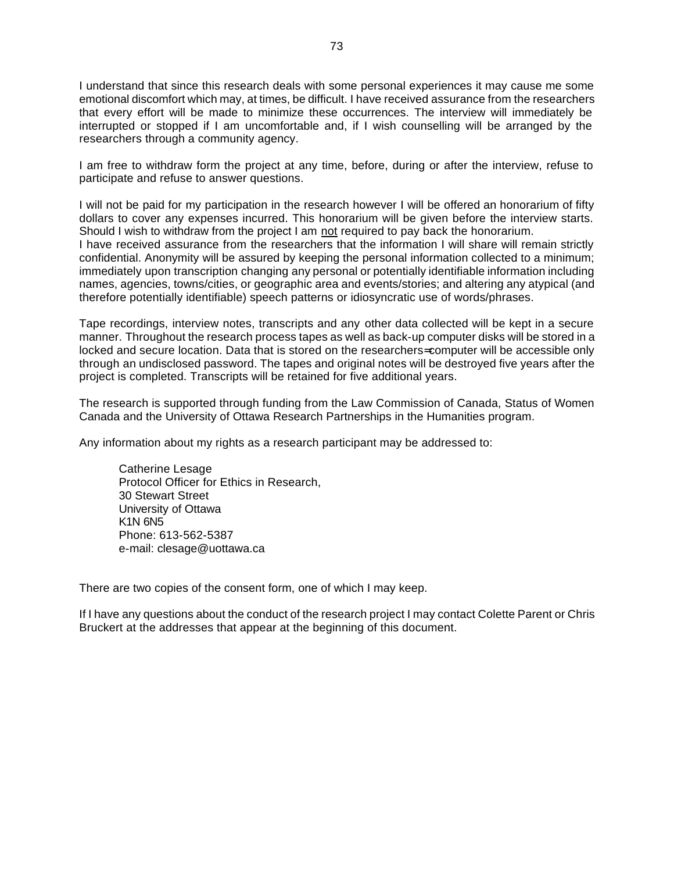I understand that since this research deals with some personal experiences it may cause me some emotional discomfort which may, at times, be difficult. I have received assurance from the researchers that every effort will be made to minimize these occurrences. The interview will immediately be interrupted or stopped if I am uncomfortable and, if I wish counselling will be arranged by the researchers through a community agency.

I am free to withdraw form the project at any time, before, during or after the interview, refuse to participate and refuse to answer questions.

I will not be paid for my participation in the research however I will be offered an honorarium of fifty dollars to cover any expenses incurred. This honorarium will be given before the interview starts. Should I wish to withdraw from the project I am not required to pay back the honorarium. I have received assurance from the researchers that the information I will share will remain strictly confidential. Anonymity will be assured by keeping the personal information collected to a minimum; immediately upon transcription changing any personal or potentially identifiable information including names, agencies, towns/cities, or geographic area and events/stories; and altering any atypical (and therefore potentially identifiable) speech patterns or idiosyncratic use of words/phrases.

Tape recordings, interview notes, transcripts and any other data collected will be kept in a secure manner. Throughout the research process tapes as well as back-up computer disks will be stored in a locked and secure location. Data that is stored on the researchers= computer will be accessible only through an undisclosed password. The tapes and original notes will be destroyed five years after the project is completed. Transcripts will be retained for five additional years.

The research is supported through funding from the Law Commission of Canada, Status of Women Canada and the University of Ottawa Research Partnerships in the Humanities program.

Any information about my rights as a research participant may be addressed to:

Catherine Lesage Protocol Officer for Ethics in Research, 30 Stewart Street University of Ottawa K1N 6N5 Phone: 613-562-5387 e-mail: clesage@uottawa.ca

There are two copies of the consent form, one of which I may keep.

If I have any questions about the conduct of the research project I may contact Colette Parent or Chris Bruckert at the addresses that appear at the beginning of this document.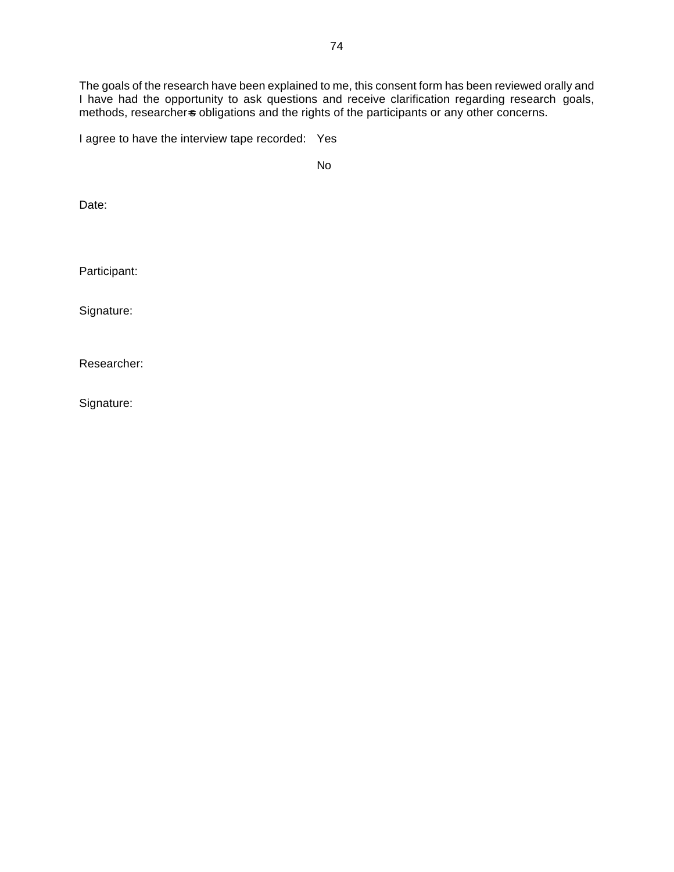The goals of the research have been explained to me, this consent form has been reviewed orally and I have had the opportunity to ask questions and receive clarification regarding research goals, methods, researchers obligations and the rights of the participants or any other concerns.

I agree to have the interview tape recorded: Yes

No

Date:

Participant:

Signature:

Researcher:

Signature: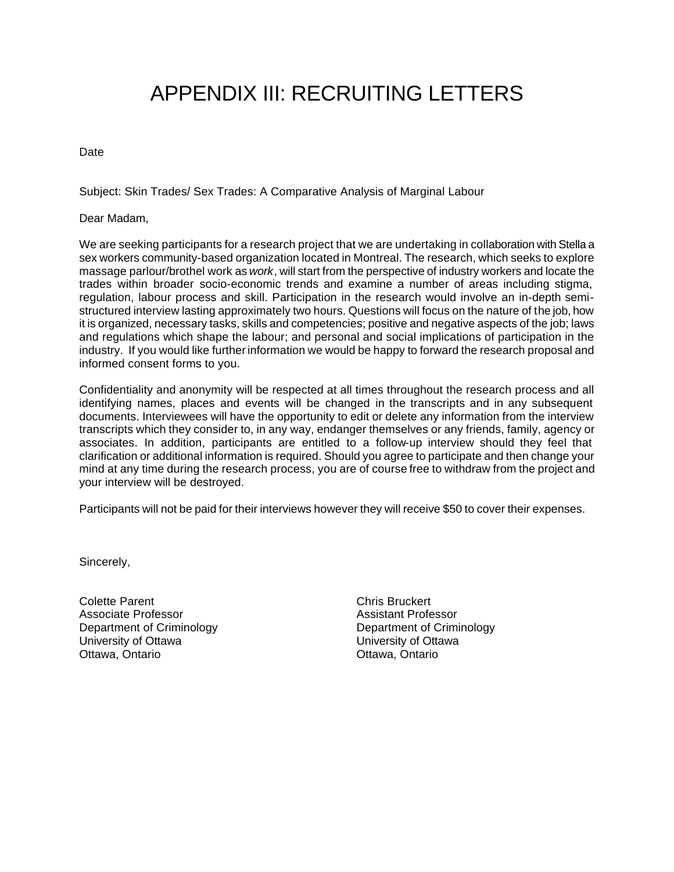# APPENDIX III: RECRUITING LETTERS

Date

Subject: Skin Trades/ Sex Trades: A Comparative Analysis of Marginal Labour

Dear Madam,

We are seeking participants for a research project that we are undertaking in collaboration with Stella a sex workers community-based organization located in Montreal. The research, which seeks to explore massage parlour/brothel work as *work*, will start from the perspective of industry workers and locate the trades within broader socio-economic trends and examine a number of areas including stigma, regulation, labour process and skill. Participation in the research would involve an in-depth semistructured interview lasting approximately two hours. Questions will focus on the nature of the job, how it is organized, necessary tasks, skills and competencies; positive and negative aspects of the job; laws and regulations which shape the labour; and personal and social implications of participation in the industry. If you would like further information we would be happy to forward the research proposal and informed consent forms to you.

Confidentiality and anonymity will be respected at all times throughout the research process and all identifying names, places and events will be changed in the transcripts and in any subsequent documents. Interviewees will have the opportunity to edit or delete any information from the interview transcripts which they consider to, in any way, endanger themselves or any friends, family, agency or associates. In addition, participants are entitled to a follow-up interview should they feel that clarification or additional information is required. Should you agree to participate and then change your mind at any time during the research process, you are of course free to withdraw from the project and your interview will be destroyed.

Participants will not be paid for their interviews however they will receive \$50 to cover their expenses.

Sincerely,

Colette Parent **Colette Parent** Chris Bruckert Associate Professor **Associate Professor** Assistant Professor Department of Criminology Department of Criminology University of Ottawa University of Ottawa Ottawa, Ontario **Ottawa, Ontario**